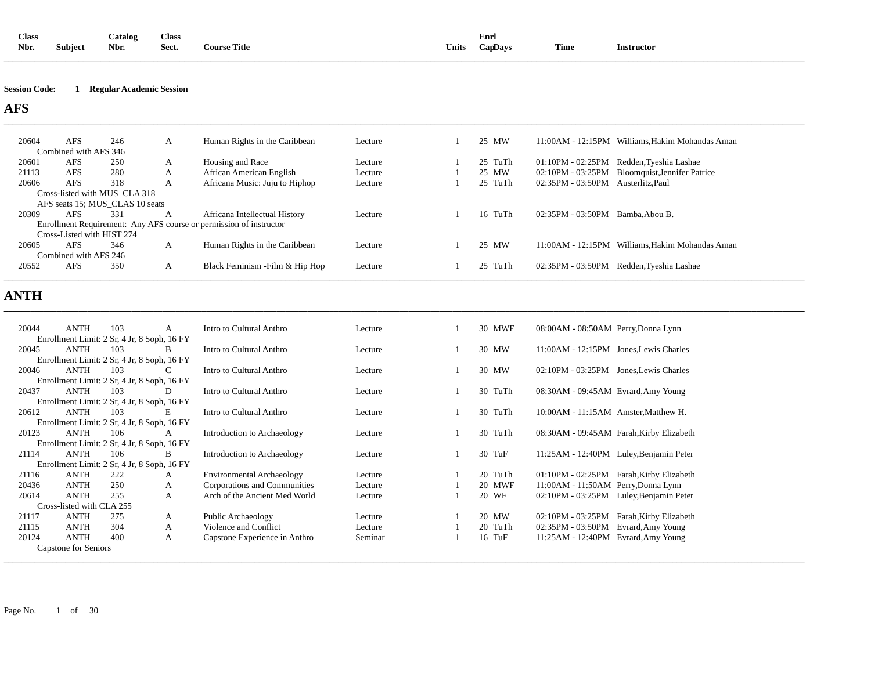<span id="page-0-0"></span>

| $\sim$<br>Class |         | <b>Catalog</b> | <b>Class</b> |                     |       | Enrl    |             |                 |
|-----------------|---------|----------------|--------------|---------------------|-------|---------|-------------|-----------------|
| Nbr.            | Subject | Nbr.           | Sect.        | <b>Course Title</b> | Units | CapDays | <b>Time</b> | Instructor<br>. |
|                 |         |                |              |                     |       |         |             |                 |

#### **Session Code: 1 Regular Academic Session**

### **AFS**

| 20604 | <b>AFS</b>                 | 246                             | A | Human Rights in the Caribbean                                      | Lecture |  | 25 MW   |                                   | 11:00AM - 12:15PM Williams, Hakim Mohandas Aman |
|-------|----------------------------|---------------------------------|---|--------------------------------------------------------------------|---------|--|---------|-----------------------------------|-------------------------------------------------|
|       | Combined with AFS 346      |                                 |   |                                                                    |         |  |         |                                   |                                                 |
| 20601 | <b>AFS</b>                 | 250                             | A | Housing and Race                                                   | Lecture |  | 25 TuTh |                                   | 01:10PM - 02:25PM Redden, Tyeshia Lashae        |
| 21113 | <b>AFS</b>                 | 280                             | A | African American English                                           | Lecture |  | 25 MW   |                                   | 02:10PM - 03:25PM Bloomquist, Jennifer Patrice  |
| 20606 | <b>AFS</b>                 | 318                             | А | Africana Music: Juju to Hiphop                                     | Lecture |  | 25 TuTh | 02:35PM - 03:50PM                 | Austerlitz.Paul                                 |
|       |                            | Cross-listed with MUS CLA 318   |   |                                                                    |         |  |         |                                   |                                                 |
|       |                            | AFS seats 15; MUS CLAS 10 seats |   |                                                                    |         |  |         |                                   |                                                 |
| 20309 | <b>AFS</b>                 | 331                             | А | Africana Intellectual History                                      | Lecture |  | 16 TuTh | $02:35PM - 03:50PM$ Bamba.Abou B. |                                                 |
|       |                            |                                 |   | Enrollment Requirement: Any AFS course or permission of instructor |         |  |         |                                   |                                                 |
|       | Cross-Listed with HIST 274 |                                 |   |                                                                    |         |  |         |                                   |                                                 |
| 20605 | <b>AFS</b>                 | 346                             | A | Human Rights in the Caribbean                                      | Lecture |  | 25 MW   |                                   | 11:00AM - 12:15PM Williams, Hakim Mohandas Aman |
|       | Combined with AFS 246      |                                 |   |                                                                    |         |  |         |                                   |                                                 |
| 20552 | <b>AFS</b>                 | 350                             | A | Black Feminism - Film & Hip Hop                                    | Lecture |  | 25 TuTh |                                   | 02:35PM - 03:50PM Redden, Tyeshia Lashae        |
|       |                            |                                 |   |                                                                    |         |  |         |                                   |                                                 |

**\_\_\_\_\_\_\_\_\_\_\_\_\_\_\_\_\_\_\_\_\_\_\_\_\_\_\_\_\_\_\_\_\_\_\_\_\_\_\_\_\_\_\_\_\_\_\_\_\_\_\_\_\_\_\_\_\_\_\_\_\_\_\_\_\_\_\_\_\_\_\_\_\_\_\_\_\_\_\_\_\_\_\_\_\_\_\_\_\_\_\_\_\_\_\_\_\_\_\_\_\_\_\_\_\_\_\_\_\_\_\_\_\_\_\_\_\_\_\_\_\_\_\_\_\_\_\_\_\_\_\_\_\_\_\_\_\_\_\_\_\_\_\_\_\_\_\_\_\_\_\_\_\_\_\_\_\_\_\_\_\_\_\_\_\_\_\_\_\_\_\_\_\_\_\_\_\_\_\_\_\_\_** 

**\_\_\_\_\_\_\_\_\_\_\_\_\_\_\_\_\_\_\_\_\_\_\_\_\_\_\_\_\_\_\_\_\_\_\_\_\_\_\_\_\_\_\_\_\_\_\_\_\_\_\_\_\_\_\_\_\_\_\_\_\_\_\_\_\_\_\_\_\_\_\_\_\_\_\_\_\_\_\_\_\_\_\_\_\_\_\_\_\_\_\_\_\_\_\_\_\_\_\_\_\_\_\_\_\_\_\_\_\_\_\_\_\_\_\_\_\_\_\_\_\_\_\_\_\_\_\_\_\_\_\_\_\_\_\_\_\_\_\_\_\_\_\_\_\_\_\_\_\_\_\_\_\_\_\_\_\_\_\_\_\_\_\_\_\_\_\_\_\_\_\_\_\_\_\_\_\_\_\_\_\_\_** 

# **ANTH**

| 20044                       | <b>ANTH</b>               | 103 | А                                           | Intro to Cultural Anthro         | Lecture |  | 30 MWF   | 08:00AM - 08:50AM Perry, Donna Lynn         |  |
|-----------------------------|---------------------------|-----|---------------------------------------------|----------------------------------|---------|--|----------|---------------------------------------------|--|
|                             |                           |     | Enrollment Limit: 2 Sr, 4 Jr, 8 Soph, 16 FY |                                  |         |  |          |                                             |  |
| 20045                       | <b>ANTH</b>               | 103 | B                                           | Intro to Cultural Anthro         | Lecture |  | 30 MW    | 11:00AM - 12:15PM Jones, Lewis Charles      |  |
|                             |                           |     | Enrollment Limit: 2 Sr, 4 Jr, 8 Soph, 16 FY |                                  |         |  |          |                                             |  |
| 20046                       | <b>ANTH</b>               | 103 |                                             | Intro to Cultural Anthro         | Lecture |  | 30 MW    | 02:10PM - 03:25PM Jones, Lewis Charles      |  |
|                             |                           |     | Enrollment Limit: 2 Sr, 4 Jr, 8 Soph, 16 FY |                                  |         |  |          |                                             |  |
| 20437                       | <b>ANTH</b>               | 103 | D                                           | Intro to Cultural Anthro         | Lecture |  | 30 TuTh  | 08:30AM - 09:45AM Evrard, Amy Young         |  |
|                             |                           |     | Enrollment Limit: 2 Sr, 4 Jr, 8 Soph, 16 FY |                                  |         |  |          |                                             |  |
| 20612                       | <b>ANTH</b>               | 103 | E                                           | Intro to Cultural Anthro         | Lecture |  | 30 TuTh  | 10:00AM - 11:15AM Amster, Matthew H.        |  |
|                             |                           |     | Enrollment Limit: 2 Sr, 4 Jr, 8 Soph, 16 FY |                                  |         |  |          |                                             |  |
| 20123                       | <b>ANTH</b>               | 106 | А                                           | Introduction to Archaeology      | Lecture |  | 30 TuTh  | 08:30AM - 09:45AM Farah, Kirby Elizabeth    |  |
|                             |                           |     | Enrollment Limit: 2 Sr, 4 Jr, 8 Soph, 16 FY |                                  |         |  |          |                                             |  |
| 21114                       | <b>ANTH</b>               | 106 | B                                           | Introduction to Archaeology      | Lecture |  | $30$ TuF | 11:25AM - 12:40PM Luley, Benjamin Peter     |  |
|                             |                           |     | Enrollment Limit: 2 Sr, 4 Jr, 8 Soph, 16 FY |                                  |         |  |          |                                             |  |
| 21116                       | <b>ANTH</b>               | 222 | A                                           | <b>Environmental Archaeology</b> | Lecture |  | 20 TuTh  | 01:10PM - 02:25PM Farah, Kirby Elizabeth    |  |
| 20436                       | <b>ANTH</b>               | 250 | A                                           | Corporations and Communities     | Lecture |  | 20 MWF   | 11:00AM - 11:50AM Perry, Donna Lynn         |  |
| 20614                       | <b>ANTH</b>               | 255 | A                                           | Arch of the Ancient Med World    | Lecture |  | 20 WF    | 02:10PM - 03:25PM Luley, Benjamin Peter     |  |
|                             | Cross-listed with CLA 255 |     |                                             |                                  |         |  |          |                                             |  |
| 21117                       | <b>ANTH</b>               | 275 | A                                           | Public Archaeology               | Lecture |  | 20 MW    | 02:10PM - 03:25PM<br>Farah, Kirby Elizabeth |  |
| 21115                       | <b>ANTH</b>               | 304 | A                                           | Violence and Conflict            | Lecture |  | 20 TuTh  | 02:35PM - 03:50PM<br>Evrard, Amy Young      |  |
| 20124                       | <b>ANTH</b>               | 400 | A                                           | Capstone Experience in Anthro    | Seminar |  | $16$ TuF | 11:25AM - 12:40PM<br>Evrard, Amy Young      |  |
| <b>Capstone for Seniors</b> |                           |     |                                             |                                  |         |  |          |                                             |  |

**\_\_\_\_\_\_\_\_\_\_\_\_\_\_\_\_\_\_\_\_\_\_\_\_\_\_\_\_\_\_\_\_\_\_\_\_\_\_\_\_\_\_\_\_\_\_\_\_\_\_\_\_\_\_\_\_\_\_\_\_\_\_\_\_\_\_\_\_\_\_\_\_\_\_\_\_\_\_\_\_\_\_\_\_\_\_\_\_\_\_\_\_\_\_\_\_\_\_\_\_\_\_\_\_\_\_\_\_\_\_\_\_\_\_\_\_\_\_\_\_\_\_\_\_\_\_\_\_\_\_\_\_\_\_\_\_\_\_\_\_\_\_\_\_\_\_\_\_\_\_\_\_\_\_\_\_\_\_\_\_\_\_\_\_\_\_\_\_\_\_\_\_\_\_\_\_\_\_\_\_\_\_**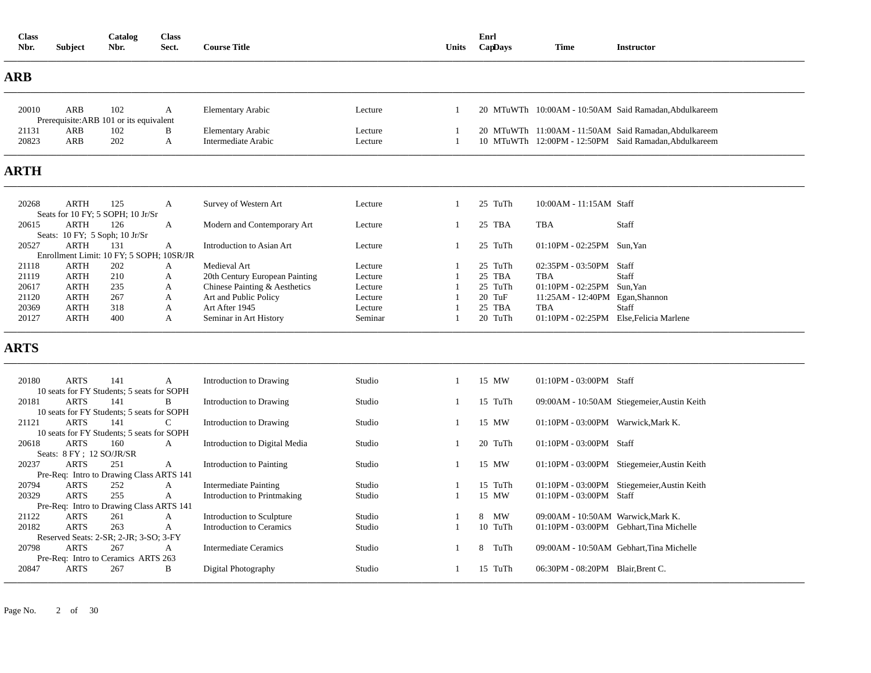| <b>Class</b><br>Nbr.    | Subject                                   | Catalog<br>Nbr.                                                                      | <b>Class</b><br>Sect.  | <b>Course Title</b>                                                             |                               | Units          | Enrl<br>CapDays              | <b>Time</b>                                                        | <b>Instructor</b>                                                                                              |
|-------------------------|-------------------------------------------|--------------------------------------------------------------------------------------|------------------------|---------------------------------------------------------------------------------|-------------------------------|----------------|------------------------------|--------------------------------------------------------------------|----------------------------------------------------------------------------------------------------------------|
| <b>ARB</b>              |                                           |                                                                                      |                        |                                                                                 |                               |                |                              |                                                                    |                                                                                                                |
| 20010                   | <b>ARB</b>                                | 102<br>Prerequisite: ARB 101 or its equivalent                                       | $\mathbf{A}$           | <b>Elementary Arabic</b>                                                        | Lecture                       | -1             |                              |                                                                    | 20 MTuWTh 10:00AM - 10:50AM Said Ramadan, Abdulkareem                                                          |
| 21131<br>20823          | ARB<br><b>ARB</b>                         | 102<br>202                                                                           | B<br>A                 | <b>Elementary Arabic</b><br><b>Intermediate Arabic</b>                          | Lecture<br>Lecture            | $\overline{1}$ |                              |                                                                    | 20 MTuWTh 11:00AM - 11:50AM Said Ramadan, Abdulkareem<br>10 MTuWTh 12:00PM - 12:50PM Said Ramadan, Abdulkareem |
| <b>ARTH</b>             |                                           |                                                                                      |                        |                                                                                 |                               |                |                              |                                                                    |                                                                                                                |
| 20268                   | <b>ARTH</b>                               | 125<br>Seats for 10 FY; 5 SOPH; 10 Jr/Sr                                             | A                      | Survey of Western Art                                                           | Lecture                       |                | 25 TuTh                      | 10:00AM - 11:15AM Staff                                            |                                                                                                                |
| 20615                   | <b>ARTH</b>                               | 126<br>Seats: 10 FY; 5 Soph; 10 Jr/Sr                                                | A                      | Modern and Contemporary Art                                                     | Lecture                       |                | 25 TBA                       | <b>TBA</b>                                                         | Staff                                                                                                          |
| 20527                   | <b>ARTH</b>                               | 131<br>Enrollment Limit: 10 FY; 5 SOPH; 10SR/JR                                      | A                      | Introduction to Asian Art                                                       | Lecture                       | -1             | 25 TuTh                      | 01:10PM - 02:25PM Sun, Yan                                         |                                                                                                                |
| 21118<br>21119<br>20617 | <b>ARTH</b><br><b>ARTH</b><br><b>ARTH</b> | 202<br>210<br>235                                                                    | A<br>A<br>$\mathbf{A}$ | Medieval Art<br>20th Century European Painting<br>Chinese Painting & Aesthetics | Lecture<br>Lecture<br>Lecture |                | 25 TuTh<br>25 TBA<br>25 TuTh | 02:35PM - 03:50PM Staff<br><b>TBA</b><br>01:10PM - 02:25PM Sun.Yan | Staff                                                                                                          |
| 21120<br>20369          | <b>ARTH</b><br><b>ARTH</b>                | 267<br>318                                                                           | A<br>A                 | Art and Public Policy<br>Art After 1945                                         | Lecture<br>Lecture            |                | 20 TuF<br>25 TBA             | 11:25AM - 12:40PM Egan, Shannon<br><b>TBA</b>                      | Staff                                                                                                          |
| 20127                   | <b>ARTH</b>                               | 400                                                                                  | A                      | Seminar in Art History                                                          | Seminar                       |                | 20 TuTh                      | 01:10PM - 02:25PM Else, Felicia Marlene                            |                                                                                                                |
| <b>ARTS</b>             |                                           |                                                                                      |                        |                                                                                 |                               |                |                              |                                                                    |                                                                                                                |
| 20180                   | <b>ARTS</b>                               | 141<br>10 seats for FY Students: 5 seats for SOPH                                    | A                      | Introduction to Drawing                                                         | Studio                        |                | 15 MW                        | 01:10PM - 03:00PM Staff                                            |                                                                                                                |
| 20181                   | <b>ARTS</b>                               | 141<br>10 seats for FY Students; 5 seats for SOPH                                    | B                      | Introduction to Drawing                                                         | Studio                        |                | 15 TuTh                      |                                                                    | 09:00AM - 10:50AM Stiegemeier, Austin Keith                                                                    |
| 21121                   | <b>ARTS</b>                               | 141<br>10 seats for FY Students; 5 seats for SOPH                                    | $\mathbf C$            | Introduction to Drawing                                                         | Studio                        |                | 15 MW                        | 01:10PM - 03:00PM Warwick, Mark K.                                 |                                                                                                                |
| 20618                   | <b>ARTS</b><br>Seats: 8 FY ; 12 SO/JR/SR  | 160                                                                                  | $\mathbf{A}$           | Introduction to Digital Media                                                   | Studio                        |                | 20 TuTh                      | 01:10PM - 03:00PM Staff                                            |                                                                                                                |
| 20237                   | <b>ARTS</b>                               | 251<br>Pre-Req: Intro to Drawing Class ARTS 141                                      | A                      | Introduction to Painting                                                        | Studio                        | 1              | 15 MW                        |                                                                    | 01:10PM - 03:00PM Stiegemeier, Austin Keith                                                                    |
| 20794<br>20329          | <b>ARTS</b><br><b>ARTS</b>                | 252<br>255<br>Pre-Req: Intro to Drawing Class ARTS 141                               | A<br>$\mathbf{A}$      | <b>Intermediate Painting</b><br>Introduction to Printmaking                     | Studio<br>Studio              |                | 15 TuTh<br>15 MW             | 01:10PM - 03:00PM Staff                                            | 01:10PM - 03:00PM Stiegemeier, Austin Keith                                                                    |
| 21122<br>20182          | <b>ARTS</b><br><b>ARTS</b>                | 261<br>263                                                                           | A<br>$\mathbf{A}$      | Introduction to Sculpture<br><b>Introduction to Ceramics</b>                    | Studio<br>Studio              | -1             | MW<br>8<br>10 TuTh           | 09:00AM - 10:50AM Warwick, Mark K.                                 | 01:10PM - 03:00PM Gebhart, Tina Michelle                                                                       |
| 20798                   | <b>ARTS</b>                               | Reserved Seats: 2-SR; 2-JR; 3-SO; 3-FY<br>267<br>Pre-Req: Intro to Ceramics ARTS 263 | $\mathbf{A}$           | <b>Intermediate Ceramics</b>                                                    | Studio                        |                | TuTh<br>8                    |                                                                    | 09:00AM - 10:50AM Gebhart, Tina Michelle                                                                       |
| 20847                   | <b>ARTS</b>                               | 267                                                                                  | B                      | Digital Photography                                                             | Studio                        | -1             | 15 TuTh                      | 06:30PM - 08:20PM Blair, Brent C.                                  |                                                                                                                |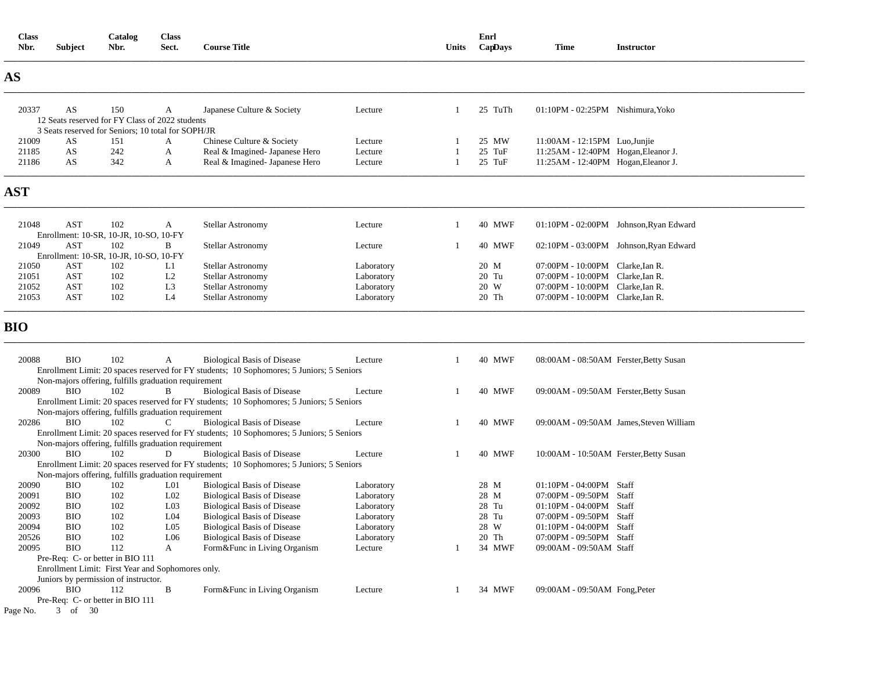| Nbr.       | Subject                                              | Nbr. | Sect.           | <b>Course Title</b>                                                                                                             |            | Units          | CapDays       | Time                                   | <b>Instructor</b>                       |
|------------|------------------------------------------------------|------|-----------------|---------------------------------------------------------------------------------------------------------------------------------|------------|----------------|---------------|----------------------------------------|-----------------------------------------|
| AS         |                                                      |      |                 |                                                                                                                                 |            |                |               |                                        |                                         |
| 20337      | AS                                                   | 150  | A               | Japanese Culture & Society                                                                                                      | Lecture    | $\overline{1}$ | 25 TuTh       | 01:10PM - 02:25PM Nishimura, Yoko      |                                         |
|            | 12 Seats reserved for FY Class of 2022 students      |      |                 |                                                                                                                                 |            |                |               |                                        |                                         |
|            | 3 Seats reserved for Seniors; 10 total for SOPH/JR   |      |                 |                                                                                                                                 |            |                |               |                                        |                                         |
| 21009      | AS                                                   | 151  | A               | Chinese Culture & Society                                                                                                       | Lecture    |                | 25 MW         | 11:00AM - 12:15PM Luo, Junjie          |                                         |
| 21185      | AS                                                   | 242  | A               | Real & Imagined-Japanese Hero                                                                                                   | Lecture    | $\mathbf{1}$   | 25 TuF        | 11:25AM - 12:40PM Hogan, Eleanor J.    |                                         |
| 21186      | AS                                                   | 342  | A               | Real & Imagined- Japanese Hero                                                                                                  | Lecture    | $\overline{1}$ | 25 TuF        | 11:25AM - 12:40PM Hogan, Eleanor J.    |                                         |
| <b>AST</b> |                                                      |      |                 |                                                                                                                                 |            |                |               |                                        |                                         |
| 21048      | <b>AST</b>                                           | 102  | A               | Stellar Astronomy                                                                                                               | Lecture    | -1             | <b>40 MWF</b> |                                        | 01:10PM - 02:00PM Johnson, Ryan Edward  |
|            | Enrollment: 10-SR, 10-JR, 10-SO, 10-FY               |      |                 |                                                                                                                                 |            |                |               |                                        |                                         |
| 21049      | <b>AST</b>                                           | 102  | B               | <b>Stellar Astronomy</b>                                                                                                        | Lecture    | $\overline{1}$ | <b>40 MWF</b> |                                        | 02:10PM - 03:00PM Johnson, Ryan Edward  |
|            | Enrollment: 10-SR, 10-JR, 10-SO, 10-FY               |      |                 |                                                                                                                                 |            |                |               |                                        |                                         |
| 21050      | AST                                                  | 102  | L1              | <b>Stellar Astronomy</b>                                                                                                        | Laboratory |                | 20 M          | 07:00PM - 10:00PM Clarke, Ian R.       |                                         |
| 21051      | <b>AST</b>                                           | 102  | L2              | <b>Stellar Astronomy</b>                                                                                                        | Laboratory |                | 20 Tu         | 07:00PM - 10:00PM Clarke, Ian R.       |                                         |
| 21052      | AST                                                  | 102  | L <sub>3</sub>  | <b>Stellar Astronomy</b>                                                                                                        | Laboratory |                | 20 W          | 07:00PM - 10:00PM Clarke, Ian R.       |                                         |
| 21053      | AST                                                  | 102  | L <sub>4</sub>  | <b>Stellar Astronomy</b>                                                                                                        | Laboratory |                | 20 Th         | 07:00PM - 10:00PM Clarke, Ian R.       |                                         |
| BIO        |                                                      |      |                 |                                                                                                                                 |            |                |               |                                        |                                         |
| 20088      | <b>BIO</b>                                           | 102  | A               | <b>Biological Basis of Disease</b><br>Enrollment Limit: 20 spaces reserved for FY students; 10 Sophomores; 5 Juniors; 5 Seniors | Lecture    | -1             | 40 MWF        | 08:00AM - 08:50AM Ferster, Betty Susan |                                         |
|            | Non-majors offering, fulfills graduation requirement |      |                 |                                                                                                                                 |            |                |               |                                        |                                         |
| 20089      | <b>BIO</b>                                           | 102  | B               | <b>Biological Basis of Disease</b>                                                                                              | Lecture    | $\overline{1}$ | <b>40 MWF</b> | 09:00AM - 09:50AM Ferster, Betty Susan |                                         |
|            |                                                      |      |                 | Enrollment Limit: 20 spaces reserved for FY students; 10 Sophomores; 5 Juniors; 5 Seniors                                       |            |                |               |                                        |                                         |
|            | Non-majors offering, fulfills graduation requirement |      |                 |                                                                                                                                 |            |                |               |                                        |                                         |
| 20286      | <b>BIO</b>                                           | 102  | $\mathsf{C}$    | <b>Biological Basis of Disease</b>                                                                                              | Lecture    | -1             | 40 MWF        |                                        | 09:00AM - 09:50AM James, Steven William |
|            |                                                      |      |                 | Enrollment Limit: 20 spaces reserved for FY students; 10 Sophomores; 5 Juniors; 5 Seniors                                       |            |                |               |                                        |                                         |
|            | Non-majors offering, fulfills graduation requirement |      |                 |                                                                                                                                 |            |                |               |                                        |                                         |
| 20300      | <b>BIO</b>                                           | 102  | D               | <b>Biological Basis of Disease</b>                                                                                              | Lecture    | $\overline{1}$ | <b>40 MWF</b> | 10:00AM - 10:50AM Ferster, Betty Susan |                                         |
|            | Non-majors offering, fulfills graduation requirement |      |                 | Enrollment Limit: 20 spaces reserved for FY students; 10 Sophomores; 5 Juniors; 5 Seniors                                       |            |                |               |                                        |                                         |
| 20090      | <b>BIO</b>                                           | 102  | L <sub>01</sub> | <b>Biological Basis of Disease</b>                                                                                              | Laboratory |                | 28 M          | $01:10PM - 04:00PM$ Staff              |                                         |
| 20091      | <b>BIO</b>                                           | 102  | L <sub>02</sub> | <b>Biological Basis of Disease</b>                                                                                              | Laboratory |                | 28 M          | 07:00PM - 09:50PM Staff                |                                         |
| 20092      | <b>BIO</b>                                           | 102  | L <sub>03</sub> | <b>Biological Basis of Disease</b>                                                                                              | Laboratory |                | 28 Tu         | $01:10$ PM - $04:00$ PM Staff          |                                         |
| 20093      | <b>BIO</b>                                           | 102  | L <sub>04</sub> | <b>Biological Basis of Disease</b>                                                                                              | Laboratory |                | 28 Tu         | 07:00PM - 09:50PM Staff                |                                         |
| 20094      | <b>BIO</b>                                           | 102  | L <sub>05</sub> | <b>Biological Basis of Disease</b>                                                                                              | Laboratory |                | $28\,$ W      | $01:10$ PM - $04:00$ PM Staff          |                                         |
| 20526      | <b>BIO</b>                                           | 102  | L06             | <b>Biological Basis of Disease</b>                                                                                              | Laboratory |                | 20 Th         | 07:00PM - 09:50PM Staff                |                                         |
| 20095      | <b>BIO</b>                                           | 112  | A               | Form&Func in Living Organism                                                                                                    | Lecture    | $\overline{1}$ | 34 MWF        | 09:00AM - 09:50AM Staff                |                                         |
|            | Pre-Req: C- or better in BIO 111                     |      |                 |                                                                                                                                 |            |                |               |                                        |                                         |
|            | Enrollment Limit: First Year and Sophomores only.    |      |                 |                                                                                                                                 |            |                |               |                                        |                                         |
|            | Juniors by permission of instructor.                 |      |                 |                                                                                                                                 |            |                |               |                                        |                                         |
| 20096      | <b>BIO</b>                                           | 112  | B               | Form&Func in Living Organism                                                                                                    | Lecture    | -1             | 34 MWF        | $09:00AM - 09:50AM$ Fong, Peter        |                                         |
|            | Pre-Req: C- or better in BIO 111                     |      |                 |                                                                                                                                 |            |                |               |                                        |                                         |

**Class Catalog Class Enrl** 

Page No. 3 of 30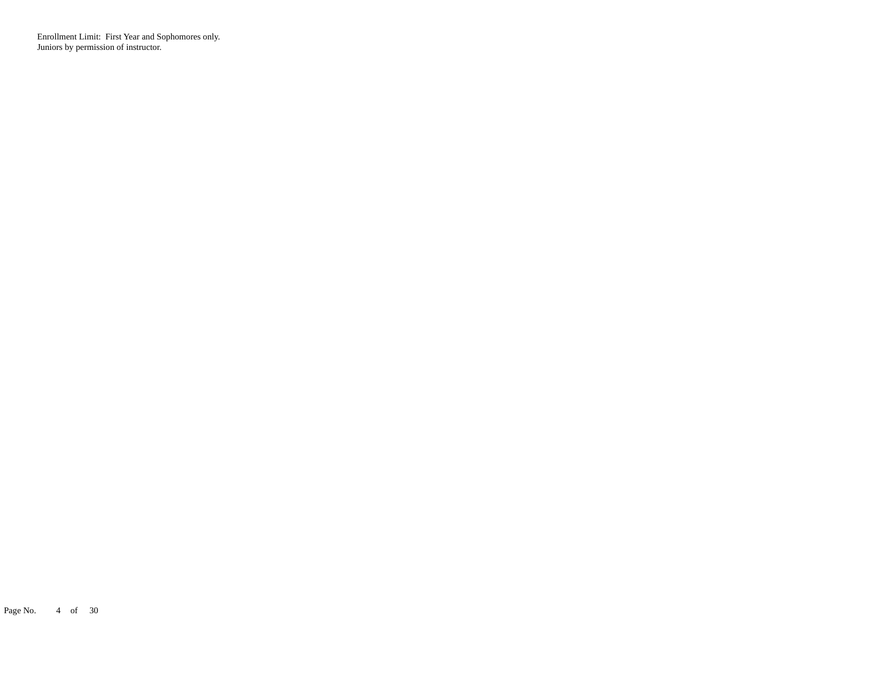Enrollment Limit: First Year and Sophomores only. Juniors by permission of instructor.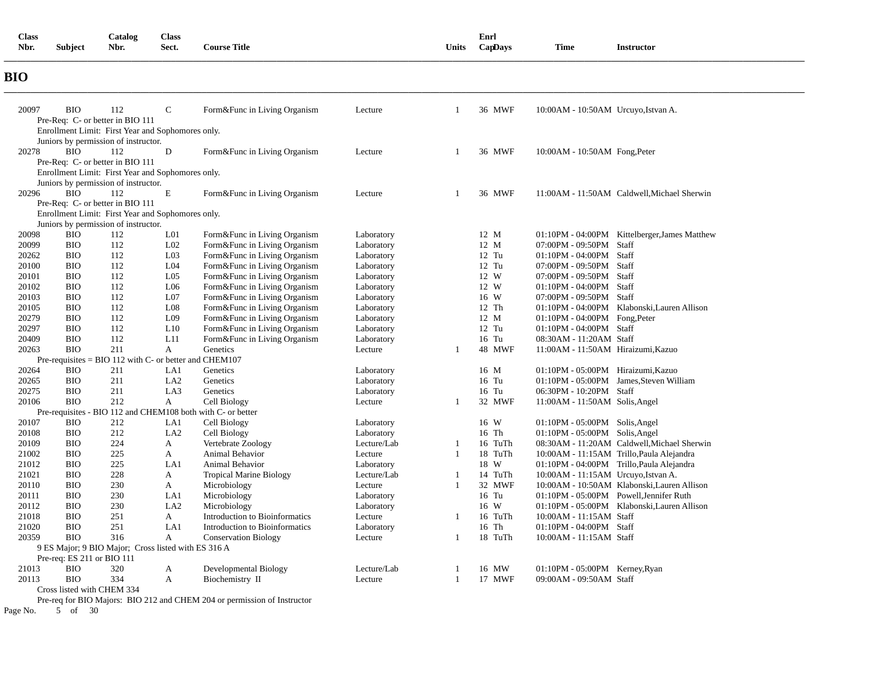| Nbr.           | Subject                              | Nbr.       | Sect.                                                  | <b>Course Title</b>                                          |                          | Units        | CapDays          | Time                                               | <b>Instructor</b>                             |
|----------------|--------------------------------------|------------|--------------------------------------------------------|--------------------------------------------------------------|--------------------------|--------------|------------------|----------------------------------------------------|-----------------------------------------------|
| <b>BIO</b>     |                                      |            |                                                        |                                                              |                          |              |                  |                                                    |                                               |
| 20097          | <b>BIO</b>                           | 112        | $\mathsf{C}$                                           | Form&Func in Living Organism                                 | Lecture                  | $\mathbf{1}$ | 36 MWF           | 10:00 AM - 10:50 AM Urcuyo, Istvan A.              |                                               |
|                | Pre-Req: C- or better in BIO 111     |            |                                                        |                                                              |                          |              |                  |                                                    |                                               |
|                | Juniors by permission of instructor. |            | Enrollment Limit: First Year and Sophomores only.      |                                                              |                          |              |                  |                                                    |                                               |
| 20278          | <b>BIO</b>                           | 112        | D                                                      | Form&Func in Living Organism                                 | Lecture                  | $\mathbf{1}$ | 36 MWF           | 10:00AM - 10:50AM Fong, Peter                      |                                               |
|                | Pre-Req: C- or better in BIO 111     |            |                                                        |                                                              |                          |              |                  |                                                    |                                               |
|                |                                      |            | Enrollment Limit: First Year and Sophomores only.      |                                                              |                          |              |                  |                                                    |                                               |
|                | Juniors by permission of instructor. |            |                                                        |                                                              |                          |              |                  |                                                    |                                               |
| 20296          | <b>BIO</b>                           | 112        | Е                                                      | Form&Func in Living Organism                                 | Lecture                  | 1            | 36 MWF           |                                                    | 11:00AM - 11:50AM Caldwell, Michael Sherwin   |
|                | Pre-Req: C- or better in BIO 111     |            |                                                        |                                                              |                          |              |                  |                                                    |                                               |
|                |                                      |            | Enrollment Limit: First Year and Sophomores only.      |                                                              |                          |              |                  |                                                    |                                               |
|                | Juniors by permission of instructor. |            |                                                        |                                                              |                          |              |                  |                                                    |                                               |
| 20098          | <b>BIO</b>                           | 112        | L <sub>01</sub>                                        | Form&Func in Living Organism                                 | Laboratory               |              | 12 M             |                                                    | 01:10PM - 04:00PM Kittelberger, James Matthew |
| 20099          | <b>BIO</b>                           | 112        | L <sub>02</sub>                                        | Form&Func in Living Organism                                 | Laboratory               |              | 12 M             | 07:00PM - 09:50PM Staff                            |                                               |
| 20262<br>20100 | <b>BIO</b><br><b>BIO</b>             | 112<br>112 | L <sub>03</sub><br>L04                                 | Form&Func in Living Organism                                 | Laboratory               |              | 12 Tu<br>$12$ Tu | 01:10PM - 04:00PM Staff<br>07:00PM - 09:50PM Staff |                                               |
| 20101          | <b>BIO</b>                           | 112        | L <sub>05</sub>                                        | Form&Func in Living Organism<br>Form&Func in Living Organism | Laboratory<br>Laboratory |              | 12 W             | 07:00PM - 09:50PM Staff                            |                                               |
| 20102          | <b>BIO</b>                           | 112        | L <sub>06</sub>                                        | Form&Func in Living Organism                                 | Laboratory               |              | 12 W             | 01:10PM - 04:00PM Staff                            |                                               |
| 20103          | <b>BIO</b>                           | 112        | L07                                                    | Form&Func in Living Organism                                 | Laboratory               |              | 16 W             | 07:00PM - 09:50PM Staff                            |                                               |
| 20105          | <b>BIO</b>                           | 112        | L08                                                    | Form&Func in Living Organism                                 | Laboratory               |              | 12 Th            |                                                    | 01:10PM - 04:00PM Klabonski, Lauren Allison   |
| 20279          | <b>BIO</b>                           | 112        | L <sub>09</sub>                                        | Form&Func in Living Organism                                 | Laboratory               |              | 12 M             | $01:10$ PM - 04:00PM Fong, Peter                   |                                               |
| 20297          | <b>BIO</b>                           | 112        | L10                                                    | Form&Func in Living Organism                                 | Laboratory               |              | 12 Tu            | $01:10$ PM - $04:00$ PM Staff                      |                                               |
| 20409          | <b>BIO</b>                           | 112        | L11                                                    | Form&Func in Living Organism                                 | Laboratory               |              | 16 Tu            | 08:30AM - 11:20AM Staff                            |                                               |
| 20263          | <b>BIO</b>                           | 211        | $\mathbf{A}$                                           | Genetics                                                     | Lecture                  | 1            | 48 MWF           | 11:00AM - 11:50AM Hiraizumi, Kazuo                 |                                               |
|                |                                      |            | Pre-requisites = BIO 112 with C- or better and CHEM107 |                                                              |                          |              |                  |                                                    |                                               |
| 20264          | <b>BIO</b>                           | 211        | LA1                                                    | Genetics                                                     | Laboratory               |              | 16 M             | 01:10PM - 05:00PM Hiraizumi, Kazuo                 |                                               |
| 20265          | <b>BIO</b>                           | 211        | LA <sub>2</sub>                                        | Genetics                                                     | Laboratory               |              | 16 Tu            |                                                    | 01:10PM - 05:00PM James, Steven William       |
| 20275          | <b>BIO</b>                           | 211        | LA3                                                    | Genetics                                                     | Laboratory               |              | 16 Tu            | 06:30PM - 10:20PM Staff                            |                                               |
| 20106          | <b>BIO</b>                           | 212        | $\mathbf{A}$                                           | Cell Biology                                                 | Lecture                  | 1            | 32 MWF           | 11:00AM - 11:50AM Solis, Angel                     |                                               |
|                |                                      |            |                                                        | Pre-requisites - BIO 112 and CHEM108 both with C- or better  |                          |              |                  |                                                    |                                               |
| 20107          | <b>BIO</b>                           | 212        | LA1                                                    | Cell Biology                                                 | Laboratory               |              | 16 W             | 01:10PM - 05:00PM Solis, Angel                     |                                               |
| 20108          | <b>BIO</b>                           | 212        | LA <sub>2</sub>                                        | Cell Biology                                                 | Laboratory               |              | 16 Th            | 01:10PM - 05:00PM Solis, Angel                     |                                               |
| 20109          | <b>BIO</b>                           | 224        | A                                                      | Vertebrate Zoology                                           | Lecture/Lab              | 1            | 16 TuTh          |                                                    | 08:30AM - 11:20AM Caldwell, Michael Sherwin   |
| 21002          | <b>BIO</b>                           | 225        | $\mathbf{A}$                                           | <b>Animal Behavior</b>                                       | Lecture                  | $\mathbf{1}$ | 18 TuTh          |                                                    | 10:00AM - 11:15AM Trillo, Paula Alejandra     |
| 21012          | <b>BIO</b>                           | 225        | LA1                                                    | Animal Behavior                                              | Laboratory               |              | 18 W             |                                                    | 01:10PM - 04:00PM Trillo, Paula Alejandra     |
| 21021          | <b>BIO</b>                           | 228        | A                                                      | <b>Tropical Marine Biology</b>                               | Lecture/Lab              | 1            | 14 TuTh          | 10:00AM - 11:15AM Urcuyo, Istvan A.                |                                               |
| 20110          | <b>BIO</b>                           | 230        | A                                                      | Microbiology                                                 | Lecture                  | $\mathbf{1}$ | 32 MWF           |                                                    | 10:00AM - 10:50AM Klabonski, Lauren Allison   |
| 20111          | <b>BIO</b>                           | 230        | LA1                                                    | Microbiology                                                 | Laboratory               |              | 16 Tu            |                                                    | 01:10PM - 05:00PM Powell, Jennifer Ruth       |
| 20112          | <b>BIO</b>                           | 230        | LA <sub>2</sub>                                        | Microbiology                                                 | Laboratory               |              | 16 W             |                                                    | 01:10PM - 05:00PM Klabonski, Lauren Allison   |
| 21018<br>21020 | <b>BIO</b><br><b>BIO</b>             | 251<br>251 | $\mathbf{A}$<br>LA1                                    | Introduction to Bioinformatics                               | Lecture                  | $\mathbf{1}$ | 16 TuTh<br>16 Th | 10:00AM - 11:15AM Staff                            |                                               |
| 20359          | <b>BIO</b>                           | 316        | A                                                      | Introduction to Bioinformatics                               | Laboratory<br>Lecture    | 1            | 18 TuTh          | 01:10PM - 04:00PM Staff<br>10:00AM - 11:15AM Staff |                                               |
|                |                                      |            | 9 ES Major; 9 BIO Major; Cross listed with ES 316 A    | <b>Conservation Biology</b>                                  |                          |              |                  |                                                    |                                               |
|                | Pre-req: ES 211 or BIO 111           |            |                                                        |                                                              |                          |              |                  |                                                    |                                               |
| 21013          | <b>BIO</b>                           | 320        | A                                                      | Developmental Biology                                        | Lecture/Lab              | 1            | 16 MW            | 01:10PM - 05:00PM Kerney, Ryan                     |                                               |
| 20113          | <b>BIO</b>                           | 334        | $\mathbf{A}$                                           | Biochemistry II                                              | Lecture                  | $\mathbf{1}$ | 17 MWF           | 09:00AM - 09:50AM Staff                            |                                               |
|                | Cross listed with CHEM 334           |            |                                                        |                                                              |                          |              |                  |                                                    |                                               |

**Class Catalog Class Enrl** 

Pre-req for BIO Majors: BIO 212 and CHEM 204 or permission of Instructor

Page No.  $5$  of 30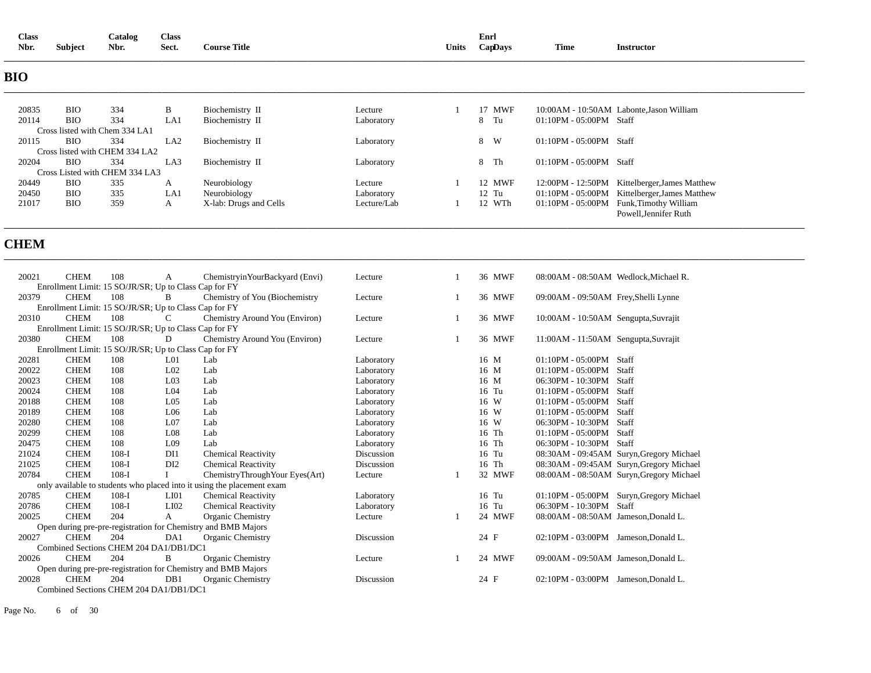| <b>Class</b><br>Nbr. | <b>Subject</b> | Catalog<br>Nbr.                | <b>Class</b><br>Sect. | <b>Course Title</b>    |             | Units | Enrl<br>CapDays | Time                      | <b>Instructor</b>                                                |
|----------------------|----------------|--------------------------------|-----------------------|------------------------|-------------|-------|-----------------|---------------------------|------------------------------------------------------------------|
| <b>BIO</b>           |                |                                |                       |                        |             |       |                 |                           |                                                                  |
| 20835                | <b>BIO</b>     | 334                            | B                     | Biochemistry II        | Lecture     |       | 17 MWF          |                           | 10:00AM - 10:50AM Labonte, Jason William                         |
| 20114                | <b>BIO</b>     | 334                            | LA1                   | Biochemistry II        | Laboratory  |       | Tu<br>8         | 01:10PM - 05:00PM Staff   |                                                                  |
|                      |                | Cross listed with Chem 334 LA1 |                       |                        |             |       |                 |                           |                                                                  |
| 20115                | <b>BIO</b>     | 334                            | LA <sub>2</sub>       | Biochemistry II        | Laboratory  |       | W<br>8          | $01:10PM - 05:00PM$ Staff |                                                                  |
|                      |                | Cross listed with CHEM 334 LA2 |                       |                        |             |       |                 |                           |                                                                  |
| 20204                | <b>BIO</b>     | 334                            | LA3                   | Biochemistry II        | Laboratory  |       | 8 Th            | $01:10PM - 05:00PM$ Staff |                                                                  |
|                      |                | Cross Listed with CHEM 334 LA3 |                       |                        |             |       |                 |                           |                                                                  |
| 20449                | <b>BIO</b>     | 335                            | A                     | Neurobiology           | Lecture     |       | 12 MWF          | 12:00PM - 12:50PM         | Kittelberger, James Matthew                                      |
| 20450                | BIO            | 335                            | LA1                   | Neurobiology           | Laboratory  |       | $12$ Tu         | $01:10PM - 05:00PM$       | Kittelberger, James Matthew                                      |
| 21017                | <b>BIO</b>     | 359                            | A                     | X-lab: Drugs and Cells | Lecture/Lab |       | 12 WTh          |                           | 01:10PM - 05:00PM Funk, Timothy William<br>Powell, Jennifer Ruth |

## **CHEM**

| 20021 | <b>CHEM</b> | 108     | A                                                     | Chemistryin YourBackyard (Envi)                                        | Lecture    | 36 MWF  | 08:00AM - 08:50AM Wedlock, Michael R.    |
|-------|-------------|---------|-------------------------------------------------------|------------------------------------------------------------------------|------------|---------|------------------------------------------|
|       |             |         | Enrollment Limit: 15 SO/JR/SR; Up to Class Cap for FY |                                                                        |            |         |                                          |
| 20379 | <b>CHEM</b> | 108     | B                                                     | Chemistry of You (Biochemistry                                         | Lecture    | 36 MWF  | 09:00AM - 09:50AM Frey, Shelli Lynne     |
|       |             |         | Enrollment Limit: 15 SO/JR/SR; Up to Class Cap for FY |                                                                        |            |         |                                          |
| 20310 | <b>CHEM</b> | 108     | C                                                     | Chemistry Around You (Environ)                                         | Lecture    | 36 MWF  | 10:00AM - 10:50AM Sengupta, Suvrajit     |
|       |             |         | Enrollment Limit: 15 SO/JR/SR; Up to Class Cap for FY |                                                                        |            |         |                                          |
| 20380 | <b>CHEM</b> | 108     | D                                                     | Chemistry Around You (Environ)                                         | Lecture    | 36 MWF  | 11:00AM - 11:50AM Sengupta, Suvrajit     |
|       |             |         | Enrollment Limit: 15 SO/JR/SR; Up to Class Cap for FY |                                                                        |            |         |                                          |
| 20281 | <b>CHEM</b> | 108     | $L_{01}$                                              | Lab                                                                    | Laboratory | 16 M    | $01:10PM - 05:00PM$ Staff                |
| 20022 | <b>CHEM</b> | 108     | L <sub>02</sub>                                       | Lab                                                                    | Laboratory | 16 M    | $01:10PM - 05:00PM$ Staff                |
| 20023 | <b>CHEM</b> | 108     | L <sub>03</sub>                                       | Lab                                                                    | Laboratory | 16 M    | 06:30PM - 10:30PM Staff                  |
| 20024 | <b>CHEM</b> | 108     | L <sub>04</sub>                                       | Lab                                                                    | Laboratory | 16 Tu   | 01:10PM - 05:00PM Staff                  |
| 20188 | <b>CHEM</b> | 108     | L <sub>05</sub>                                       | Lab                                                                    | Laboratory | 16 W    | $01:10PM - 05:00PM$ Staff                |
| 20189 | <b>CHEM</b> | 108     | L <sub>06</sub>                                       | Lab                                                                    | Laboratory | 16 W    | $01:10PM - 05:00PM$ Staff                |
| 20280 | <b>CHEM</b> | 108     | L <sub>07</sub>                                       | Lab                                                                    | Laboratory | 16 W    | 06:30PM - 10:30PM Staff                  |
| 20299 | <b>CHEM</b> | 108     | L <sub>08</sub>                                       | Lab                                                                    | Laboratory | 16 Th   | 01:10PM - 05:00PM Staff                  |
| 20475 | <b>CHEM</b> | 108     | L <sub>09</sub>                                       | Lab                                                                    | Laboratory | 16 Th   | 06:30PM - 10:30PM Staff                  |
| 21024 | <b>CHEM</b> | $108-I$ | DI1                                                   | <b>Chemical Reactivity</b>                                             | Discussion | 16 Tu   | 08:30AM - 09:45AM Suryn, Gregory Michael |
| 21025 | <b>CHEM</b> | $108-I$ | DI <sub>2</sub>                                       | <b>Chemical Reactivity</b>                                             | Discussion | 16 Th   | 08:30AM - 09:45AM Suryn, Gregory Michael |
| 20784 | <b>CHEM</b> | $108-I$ |                                                       | ChemistryThroughYour Eyes(Art)                                         | Lecture    | 32 MWF  | 08:00AM - 08:50AM Suryn, Gregory Michael |
|       |             |         |                                                       | only available to students who placed into it using the placement exam |            |         |                                          |
| 20785 | <b>CHEM</b> | $108-I$ | LI <sub>01</sub>                                      | <b>Chemical Reactivity</b>                                             | Laboratory | 16 Tu   | 01:10PM - 05:00PM Suryn, Gregory Michael |
| 20786 | <b>CHEM</b> | $108-I$ | LI <sub>02</sub>                                      | <b>Chemical Reactivity</b>                                             | Laboratory | $16$ Tu | 06:30PM - 10:30PM Staff                  |
| 20025 | <b>CHEM</b> | 204     | $\mathbf{A}$                                          | Organic Chemistry                                                      | Lecture    | 24 MWF  | 08:00AM - 08:50AM Jameson, Donald L.     |
|       |             |         |                                                       | Open during pre-pre-registration for Chemistry and BMB Majors          |            |         |                                          |
| 20027 | <b>CHEM</b> | 204     | DA1                                                   | Organic Chemistry                                                      | Discussion | 24 F    | 02:10PM - 03:00PM Jameson.Donald L.      |
|       |             |         | Combined Sections CHEM 204 DA1/DB1/DC1                |                                                                        |            |         |                                          |
| 20026 | <b>CHEM</b> | 204     | B                                                     | Organic Chemistry                                                      | Lecture    | 24 MWF  | 09:00AM - 09:50AM Jameson, Donald L.     |
|       |             |         |                                                       | Open during pre-pre-registration for Chemistry and BMB Majors          |            |         |                                          |
| 20028 | <b>CHEM</b> | 204     | DB1                                                   | Organic Chemistry                                                      | Discussion | 24 F    | 02:10PM - 03:00PM Jameson, Donald L.     |
|       |             |         | Combined Sections CHEM 204 DA1/DB1/DC1                |                                                                        |            |         |                                          |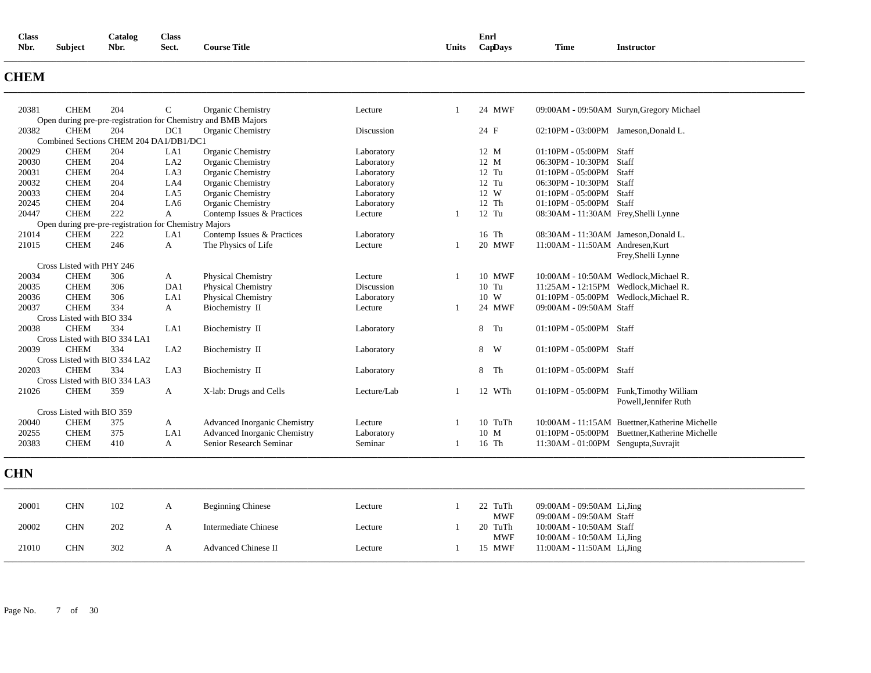| <b>Class</b><br>Catalog<br>Class<br><b>Course Title</b><br>Nbr.<br>Nbr.<br><b>Subject</b><br>Sect.<br>Units | Enrl<br><b>Time</b><br>CapDays<br>Instructor |
|-------------------------------------------------------------------------------------------------------------|----------------------------------------------|
|-------------------------------------------------------------------------------------------------------------|----------------------------------------------|

### **CHEM**

| 20381      | <b>CHEM</b>               | 204                                                   | $\mathsf{C}$    | Organic Chemistry                                             | Lecture     |    |      | 24 MWF     |                                       | 09:00AM - 09:50AM Suryn, Gregory Michael                         |
|------------|---------------------------|-------------------------------------------------------|-----------------|---------------------------------------------------------------|-------------|----|------|------------|---------------------------------------|------------------------------------------------------------------|
|            |                           |                                                       |                 | Open during pre-pre-registration for Chemistry and BMB Majors |             |    |      |            |                                       |                                                                  |
| 20382      | <b>CHEM</b>               | 204                                                   | DC1             | Organic Chemistry                                             | Discussion  |    | 24 F |            | 02:10PM - 03:00PM Jameson, Donald L.  |                                                                  |
|            |                           | Combined Sections CHEM 204 DA1/DB1/DC1                |                 |                                                               |             |    |      |            |                                       |                                                                  |
| 20029      | <b>CHEM</b>               | 204                                                   | LA1             | Organic Chemistry                                             | Laboratory  |    |      | 12 M       | 01:10PM - 05:00PM Staff               |                                                                  |
| 20030      | <b>CHEM</b>               | 204                                                   | LA <sub>2</sub> | Organic Chemistry                                             | Laboratory  |    |      | 12 M       | 06:30PM - 10:30PM Staff               |                                                                  |
| 20031      | <b>CHEM</b>               | 204                                                   | LA3             | Organic Chemistry                                             | Laboratory  |    |      | 12 Tu      | 01:10PM - 05:00PM Staff               |                                                                  |
| 20032      | <b>CHEM</b>               | 204                                                   | LA4             | Organic Chemistry                                             | Laboratory  |    |      | 12 Tu      | 06:30PM - 10:30PM Staff               |                                                                  |
| 20033      | <b>CHEM</b>               | 204                                                   | LA5             | Organic Chemistry                                             | Laboratory  |    |      | 12 W       | 01:10PM - 05:00PM Staff               |                                                                  |
| 20245      | <b>CHEM</b>               | 204                                                   | LA6             | Organic Chemistry                                             | Laboratory  |    |      | 12 Th      | 01:10PM - 05:00PM Staff               |                                                                  |
| 20447      | <b>CHEM</b>               | 222                                                   | $\mathbf{A}$    | Contemp Issues & Practices                                    | Lecture     | 1  |      | 12 Tu      | 08:30AM - 11:30AM Frey, Shelli Lynne  |                                                                  |
|            |                           | Open during pre-pre-registration for Chemistry Majors |                 |                                                               |             |    |      |            |                                       |                                                                  |
| 21014      | <b>CHEM</b>               | 222                                                   | LA1             | Contemp Issues & Practices                                    | Laboratory  |    |      | 16 Th      | 08:30AM - 11:30AM Jameson, Donald L.  |                                                                  |
| 21015      | <b>CHEM</b>               | 246                                                   | $\mathbf{A}$    | The Physics of Life                                           | Lecture     | 1  |      | 20 MWF     | 11:00AM - 11:50AM Andresen, Kurt      |                                                                  |
|            |                           |                                                       |                 |                                                               |             |    |      |            |                                       | Frey, Shelli Lynne                                               |
|            | Cross Listed with PHY 246 |                                                       |                 |                                                               |             |    |      |            |                                       |                                                                  |
| 20034      | <b>CHEM</b>               | 306                                                   | A               | <b>Physical Chemistry</b>                                     | Lecture     |    |      | 10 MWF     | 10:00AM - 10:50AM Wedlock, Michael R. |                                                                  |
| 20035      | <b>CHEM</b>               | 306                                                   | DA1             | Physical Chemistry                                            | Discussion  |    |      | 10 Tu      | 11:25AM - 12:15PM Wedlock, Michael R. |                                                                  |
| 20036      | <b>CHEM</b>               | 306                                                   | LA1             | Physical Chemistry                                            | Laboratory  |    | 10 W |            | 01:10PM - 05:00PM Wedlock, Michael R. |                                                                  |
| 20037      | <b>CHEM</b>               | 334                                                   | $\mathbf{A}$    | Biochemistry II                                               | Lecture     | 1  |      | 24 MWF     | 09:00AM - 09:50AM Staff               |                                                                  |
|            | Cross Listed with BIO 334 |                                                       |                 |                                                               |             |    |      |            |                                       |                                                                  |
| 20038      | <b>CHEM</b>               | 334                                                   | LA1             | Biochemistry II                                               | Laboratory  |    |      | 8 Tu       | 01:10PM - 05:00PM Staff               |                                                                  |
|            |                           | Cross Listed with BIO 334 LA1                         |                 |                                                               |             |    |      |            |                                       |                                                                  |
| 20039      | <b>CHEM</b>               | 334                                                   | LA <sub>2</sub> | Biochemistry II                                               | Laboratory  |    | 8 W  |            | 01:10PM - 05:00PM Staff               |                                                                  |
|            |                           | Cross Listed with BIO 334 LA2                         |                 |                                                               |             |    |      |            |                                       |                                                                  |
| 20203      | <b>CHEM</b>               | 334                                                   | LA3             | Biochemistry II                                               | Laboratory  |    |      | $8$ Th     | 01:10PM - 05:00PM Staff               |                                                                  |
|            |                           | Cross Listed with BIO 334 LA3                         |                 |                                                               |             |    |      |            |                                       |                                                                  |
| 21026      | <b>CHEM</b>               | 359                                                   | A               |                                                               | Lecture/Lab | -1 |      | 12 WTh     |                                       |                                                                  |
|            |                           |                                                       |                 | X-lab: Drugs and Cells                                        |             |    |      |            |                                       | 01:10PM - 05:00PM Funk, Timothy William<br>Powell, Jennifer Ruth |
|            |                           |                                                       |                 |                                                               |             |    |      |            |                                       |                                                                  |
|            | Cross Listed with BIO 359 |                                                       |                 |                                                               |             |    |      |            |                                       |                                                                  |
| 20040      | <b>CHEM</b>               | 375                                                   | A               | <b>Advanced Inorganic Chemistry</b>                           | Lecture     | 1  |      | 10 TuTh    |                                       | 10:00AM - 11:15AM Buettner, Katherine Michelle                   |
| 20255      | <b>CHEM</b>               | 375                                                   | LA1             | <b>Advanced Inorganic Chemistry</b>                           | Laboratory  |    |      | 10 M       |                                       | 01:10PM - 05:00PM Buettner, Katherine Michelle                   |
| 20383      | <b>CHEM</b>               | 410                                                   | $\mathbf{A}$    | Senior Research Seminar                                       | Seminar     | 1  |      | 16 Th      | 11:30AM - 01:00PM Sengupta, Suvrajit  |                                                                  |
|            |                           |                                                       |                 |                                                               |             |    |      |            |                                       |                                                                  |
| <b>CHN</b> |                           |                                                       |                 |                                                               |             |    |      |            |                                       |                                                                  |
|            |                           |                                                       |                 |                                                               |             |    |      |            |                                       |                                                                  |
| 20001      | CHN                       | 102                                                   | A               | <b>Beginning Chinese</b>                                      | Lecture     | 1  |      | 22 TuTh    | 09:00AM - 09:50AM Li, Jing            |                                                                  |
|            |                           |                                                       |                 |                                                               |             |    |      | <b>MWF</b> | 09:00AM - 09:50AM Staff               |                                                                  |
| 20002      | <b>CHN</b>                | 202                                                   | A               | <b>Intermediate Chinese</b>                                   | Lecture     | 1  |      | 20 TuTh    | 10:00AM - 10:50AM Staff               |                                                                  |
|            |                           |                                                       |                 |                                                               |             |    |      | <b>MWF</b> | 10:00AM - 10:50AM Li, Jing            |                                                                  |
| 21010      | <b>CHN</b>                | 302                                                   | A               | <b>Advanced Chinese II</b>                                    | Lecture     | 1  |      | 15 MWF     | 11:00AM - 11:50AM Li, Jing            |                                                                  |
|            |                           |                                                       |                 |                                                               |             |    |      |            |                                       |                                                                  |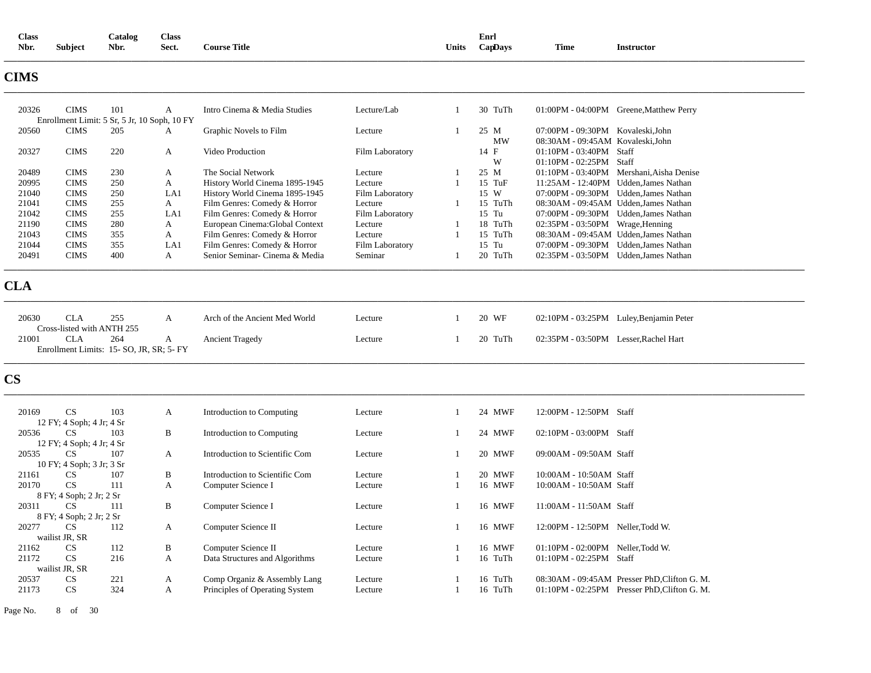| Class |                | Catalog | <b>Class</b> |                     |              | Enrl       |             |            |
|-------|----------------|---------|--------------|---------------------|--------------|------------|-------------|------------|
| Nbr.  | <b>Subject</b> | Nbr.    | Sect.        | <b>Course Title</b> | <b>Units</b> | $Cap$ Davs | <b>Time</b> | Instructor |
|       |                |         |              |                     |              |            |             |            |

## **CIMS**

| 20326 | <b>CIMS</b> | 101 | А                                            | Intro Cinema & Media Studies    | Lecture/Lab     | 30 TuTh | 01:00PM - 04:00PM Greene, Matthew Perry  |
|-------|-------------|-----|----------------------------------------------|---------------------------------|-----------------|---------|------------------------------------------|
|       |             |     | Enrollment Limit: 5 Sr, 5 Jr, 10 Soph, 10 FY |                                 |                 |         |                                          |
| 20560 | <b>CIMS</b> | 205 | A                                            | Graphic Novels to Film          | Lecture         | 25 M    | 07:00PM - 09:30PM Kovaleski.John         |
|       |             |     |                                              |                                 |                 | MW      | 08:30AM - 09:45AM Kovaleski, John        |
| 20327 | <b>CIMS</b> | 220 | A                                            | Video Production                | Film Laboratory | 14 F    | $01:10$ PM - $03:40$ PM Staff            |
|       |             |     |                                              |                                 |                 | W       | $01:10$ PM - $02:25$ PM Staff            |
| 20489 | <b>CIMS</b> | 230 | А                                            | The Social Network              | Lecture         | 25 M    | 01:10PM - 03:40PM Mershani, Aisha Denise |
| 20995 | <b>CIMS</b> | 250 | A                                            | History World Cinema 1895-1945  | Lecture         | 15 TuF  | 11:25AM - 12:40PM Udden.James Nathan     |
| 21040 | <b>CIMS</b> | 250 | LA1                                          | History World Cinema 1895-1945  | Film Laboratory | 15 W    | 07:00PM - 09:30PM Udden.James Nathan     |
| 21041 | <b>CIMS</b> | 255 | A                                            | Film Genres: Comedy & Horror    | Lecture         | 15 TuTh | 08:30AM - 09:45AM Udden, James Nathan    |
| 21042 | <b>CIMS</b> | 255 | LA1                                          | Film Genres: Comedy & Horror    | Film Laboratory | $15$ Tu | 07:00PM - 09:30PM Udden.James Nathan     |
| 21190 | <b>CIMS</b> | 280 | A                                            | European Cinema: Global Context | Lecture         | 18 TuTh | 02:35PM - 03:50PM Wrage, Henning         |
| 21043 | <b>CIMS</b> | 355 | A                                            | Film Genres: Comedy & Horror    | Lecture         | 15 TuTh | 08:30AM - 09:45AM Udden, James Nathan    |
| 21044 | <b>CIMS</b> | 355 | LA1                                          | Film Genres: Comedy & Horror    | Film Laboratory | $15$ Tu | 07:00PM - 09:30PM Udden.James Nathan     |
| 20491 | <b>CIMS</b> | 400 | A                                            | Senior Seminar- Cinema & Media  | Seminar         | 20 TuTh | 02:35PM - 03:50PM Udden, James Nathan    |
|       |             |     |                                              |                                 |                 |         |                                          |

**\_\_\_\_\_\_\_\_\_\_\_\_\_\_\_\_\_\_\_\_\_\_\_\_\_\_\_\_\_\_\_\_\_\_\_\_\_\_\_\_\_\_\_\_\_\_\_\_\_\_\_\_\_\_\_\_\_\_\_\_\_\_\_\_\_\_\_\_\_\_\_\_\_\_\_\_\_\_\_\_\_\_\_\_\_\_\_\_\_\_\_\_\_\_\_\_\_\_\_\_\_\_\_\_\_\_\_\_\_\_\_\_\_\_\_\_\_\_\_\_\_\_\_\_\_\_\_\_\_\_\_\_\_\_\_\_\_\_\_\_\_\_\_\_\_\_\_\_\_\_\_\_\_\_\_\_\_\_\_\_\_\_\_\_\_\_\_\_\_\_\_\_\_\_\_\_\_\_\_\_\_\_** 

**\_\_\_\_\_\_\_\_\_\_\_\_\_\_\_\_\_\_\_\_\_\_\_\_\_\_\_\_\_\_\_\_\_\_\_\_\_\_\_\_\_\_\_\_\_\_\_\_\_\_\_\_\_\_\_\_\_\_\_\_\_\_\_\_\_\_\_\_\_\_\_\_\_\_\_\_\_\_\_\_\_\_\_\_\_\_\_\_\_\_\_\_\_\_\_\_\_\_\_\_\_\_\_\_\_\_\_\_\_\_\_\_\_\_\_\_\_\_\_\_\_\_\_\_\_\_\_\_\_\_\_\_\_\_\_\_\_\_\_\_\_\_\_\_\_\_\_\_\_\_\_\_\_\_\_\_\_\_\_\_\_\_\_\_\_\_\_\_\_\_\_\_\_\_\_\_\_\_\_\_\_\_** 

**\_\_\_\_\_\_\_\_\_\_\_\_\_\_\_\_\_\_\_\_\_\_\_\_\_\_\_\_\_\_\_\_\_\_\_\_\_\_\_\_\_\_\_\_\_\_\_\_\_\_\_\_\_\_\_\_\_\_\_\_\_\_\_\_\_\_\_\_\_\_\_\_\_\_\_\_\_\_\_\_\_\_\_\_\_\_\_\_\_\_\_\_\_\_\_\_\_\_\_\_\_\_\_\_\_\_\_\_\_\_\_\_\_\_\_\_\_\_\_\_\_\_\_\_\_\_\_\_\_\_\_\_\_\_\_\_\_\_\_\_\_\_\_\_\_\_\_\_\_\_\_\_\_\_\_\_\_\_\_\_\_\_\_\_\_\_\_\_\_\_\_\_\_\_\_\_\_\_\_\_\_\_** 

# **CLA**

| 20630 |                            | 255 |                                          | Arch of the Ancient Med World | Lecture | 20 WF   | 02:10PM - 03:25PM Luley, Benjamin Peter |  |
|-------|----------------------------|-----|------------------------------------------|-------------------------------|---------|---------|-----------------------------------------|--|
|       | Cross-listed with ANTH 255 |     |                                          |                               |         |         |                                         |  |
| 21001 |                            | 264 |                                          | <b>Ancient Tragedy</b>        | Lecture | 20 TuTh | 02:35PM - 03:50PM Lesser, Rachel Hart   |  |
|       |                            |     | Enrollment Limits: 15- SO, JR, SR; 5- FY |                               |         |         |                                         |  |

# **CS**

| 20169 | <b>CS</b>                 | 103 | A | Introduction to Computing      | Lecture |  | 24 MWF  | 12:00PM - 12:50PM Staff                      |
|-------|---------------------------|-----|---|--------------------------------|---------|--|---------|----------------------------------------------|
|       | 12 FY; 4 Soph; 4 Jr; 4 Sr |     |   |                                |         |  |         |                                              |
| 20536 | <b>CS</b>                 | 103 | B | Introduction to Computing      | Lecture |  | 24 MWF  | 02:10PM - 03:00PM<br>Staff                   |
|       | 12 FY; 4 Soph; 4 Jr; 4 Sr |     |   |                                |         |  |         |                                              |
| 20535 | <b>CS</b>                 | 107 | A | Introduction to Scientific Com | Lecture |  | 20 MWF  | 09:00AM - 09:50AM Staff                      |
|       | 10 FY; 4 Soph; 3 Jr; 3 Sr |     |   |                                |         |  |         |                                              |
| 21161 | CS.                       | 107 | B | Introduction to Scientific Com | Lecture |  | 20 MWF  | 10:00AM - 10:50AM Staff                      |
| 20170 | <b>CS</b>                 | 111 | A | Computer Science I             | Lecture |  | 16 MWF  | 10:00AM - 10:50AM Staff                      |
|       | 8 FY; 4 Soph; 2 Jr; 2 Sr  |     |   |                                |         |  |         |                                              |
| 20311 | <b>CS</b>                 | 11  | B | Computer Science I             | Lecture |  | 16 MWF  | 11:00AM - 11:50AM Staff                      |
|       | 8 FY; 4 Soph; 2 Jr; 2 Sr  |     |   |                                |         |  |         |                                              |
| 20277 | CS <sup>-</sup>           | 112 | A | Computer Science II            | Lecture |  | 16 MWF  | 12:00PM - 12:50PM Neller, Todd W.            |
|       | wailist JR, SR            |     |   |                                |         |  |         |                                              |
| 21162 | CS                        | 112 | B | Computer Science II            | Lecture |  | 16 MWF  | $01:10PM - 02:00PM$<br>Neller.Todd W.        |
| 21172 | CS                        | 216 | A | Data Structures and Algorithms | Lecture |  | 16 TuTh | $01:10PM - 02:25PM$<br>Staff                 |
|       | wailist JR, SR            |     |   |                                |         |  |         |                                              |
| 20537 | CS                        | 221 | A | Comp Organiz & Assembly Lang   | Lecture |  | 16 TuTh | 08:30AM - 09:45AM Presser PhD.Clifton G. M.  |
| 21173 | CS                        | 324 | А | Principles of Operating System | Lecture |  | 16 TuTh | 01:10PM - 02:25PM Presser PhD, Clifton G. M. |
|       |                           |     |   |                                |         |  |         |                                              |

Page No. 8 of 30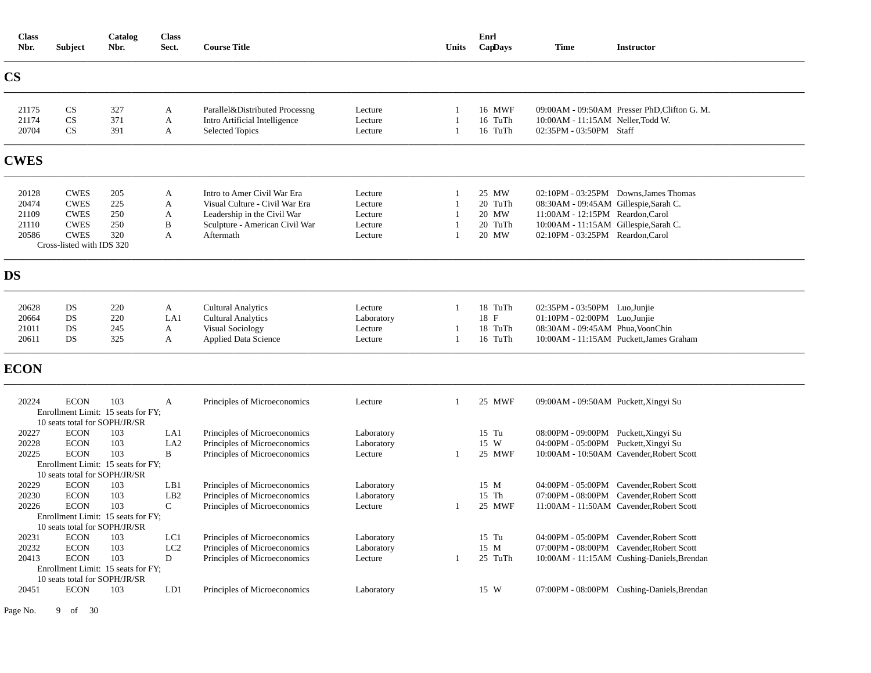| <b>Class</b><br>Nbr.                      | <b>Subject</b>                                                                                       | Catalog<br>Nbr.                                         | <b>Class</b><br>Sect.                  | <b>Course Title</b>                                                                                                                         |                                                     | Units                                              | Enrl<br>CapDays                               | <b>Time</b>                                                                                                                                            | <b>Instructor</b>                                                                                                                  |
|-------------------------------------------|------------------------------------------------------------------------------------------------------|---------------------------------------------------------|----------------------------------------|---------------------------------------------------------------------------------------------------------------------------------------------|-----------------------------------------------------|----------------------------------------------------|-----------------------------------------------|--------------------------------------------------------------------------------------------------------------------------------------------------------|------------------------------------------------------------------------------------------------------------------------------------|
| <b>CS</b>                                 |                                                                                                      |                                                         |                                        |                                                                                                                                             |                                                     |                                                    |                                               |                                                                                                                                                        |                                                                                                                                    |
| 21175<br>21174<br>20704                   | CS<br>CS<br>CS                                                                                       | 327<br>371<br>391                                       | A<br>A<br>A                            | Parallel&Distributed Processng<br>Intro Artificial Intelligence<br><b>Selected Topics</b>                                                   | Lecture<br>Lecture<br>Lecture                       | $\overline{1}$<br>$\overline{1}$<br>$\overline{1}$ | 16 MWF<br>16 TuTh<br>16 TuTh                  | 10:00AM - 11:15AM Neller, Todd W.<br>02:35PM - 03:50PM Staff                                                                                           | 09:00AM - 09:50AM Presser PhD, Clifton G. M.                                                                                       |
| <b>CWES</b>                               |                                                                                                      |                                                         |                                        |                                                                                                                                             |                                                     |                                                    |                                               |                                                                                                                                                        |                                                                                                                                    |
| 20128<br>20474<br>21109<br>21110<br>20586 | <b>CWES</b><br><b>CWES</b><br><b>CWES</b><br><b>CWES</b><br><b>CWES</b><br>Cross-listed with IDS 320 | 205<br>225<br>250<br>250<br>320                         | A<br>A<br>A<br>$\, {\bf B}$<br>A       | Intro to Amer Civil War Era<br>Visual Culture - Civil War Era<br>Leadership in the Civil War<br>Sculpture - American Civil War<br>Aftermath | Lecture<br>Lecture<br>Lecture<br>Lecture<br>Lecture |                                                    | 25 MW<br>20 TuTh<br>20 MW<br>20 TuTh<br>20 MW | 08:30AM - 09:45AM Gillespie, Sarah C.<br>11:00AM - 12:15PM Reardon, Carol<br>10:00AM - 11:15AM Gillespie, Sarah C.<br>02:10PM - 03:25PM Reardon, Carol | 02:10PM - 03:25PM Downs, James Thomas                                                                                              |
| <b>DS</b>                                 |                                                                                                      |                                                         |                                        |                                                                                                                                             |                                                     |                                                    |                                               |                                                                                                                                                        |                                                                                                                                    |
| 20628<br>20664<br>21011<br>20611          | DS<br>DS<br>DS<br>DS                                                                                 | 220<br>220<br>245<br>325                                | A<br>LA1<br>A<br>A                     | <b>Cultural Analytics</b><br><b>Cultural Analytics</b><br><b>Visual Sociology</b><br><b>Applied Data Science</b>                            | Lecture<br>Laboratory<br>Lecture<br>Lecture         | -1<br>$\overline{1}$                               | 18 TuTh<br>18 F<br>18 TuTh<br>16 TuTh         | 02:35PM - 03:50PM Luo, Junjie<br>01:10PM - 02:00PM Luo, Junjie<br>08:30AM - 09:45AM Phua, VoonChin                                                     | 10:00AM - 11:15AM Puckett, James Graham                                                                                            |
| <b>ECON</b>                               |                                                                                                      |                                                         |                                        |                                                                                                                                             |                                                     |                                                    |                                               |                                                                                                                                                        |                                                                                                                                    |
| 20224                                     | <b>ECON</b><br>10 seats total for SOPH/JR/SR                                                         | 103<br>Enrollment Limit: 15 seats for FY;               | A                                      | Principles of Microeconomics                                                                                                                | Lecture                                             |                                                    | 25 MWF                                        | 09:00AM - 09:50AM Puckett, Xingyi Su                                                                                                                   |                                                                                                                                    |
| 20227<br>20228<br>20225                   | <b>ECON</b><br><b>ECON</b><br><b>ECON</b>                                                            | 103<br>103<br>103<br>Enrollment Limit: 15 seats for FY; | LA1<br>LA <sub>2</sub><br>B            | Principles of Microeconomics<br>Principles of Microeconomics<br>Principles of Microeconomics                                                | Laboratory<br>Laboratory<br>Lecture                 | -1                                                 | 15 Tu<br>15 W<br>25 MWF                       | 08:00PM - 09:00PM Puckett, Xingyi Su<br>04:00PM - 05:00PM Puckett, Xingyi Su                                                                           | 10:00AM - 10:50AM Cavender, Robert Scott                                                                                           |
| 20229<br>20230<br>20226                   | 10 seats total for SOPH/JR/SR<br><b>ECON</b><br><b>ECON</b><br><b>ECON</b>                           | 103<br>103<br>103<br>Enrollment Limit: 15 seats for FY; | LB1<br>LB <sub>2</sub><br>$\mathsf{C}$ | Principles of Microeconomics<br>Principles of Microeconomics<br>Principles of Microeconomics                                                | Laboratory<br>Laboratory<br>Lecture                 |                                                    | 15 M<br>15 Th<br>25 MWF                       |                                                                                                                                                        | 04:00PM - 05:00PM Cavender, Robert Scott<br>07:00PM - 08:00PM Cavender.Robert Scott<br>11:00AM - 11:50AM Cavender, Robert Scott    |
| 20231<br>20232<br>20413                   | 10 seats total for SOPH/JR/SR<br><b>ECON</b><br><b>ECON</b><br><b>ECON</b>                           | 103<br>103<br>103<br>Enrollment Limit: 15 seats for FY; | LC1<br>LC2<br>${\rm D}$                | Principles of Microeconomics<br>Principles of Microeconomics<br>Principles of Microeconomics                                                | Laboratory<br>Laboratory<br>Lecture                 |                                                    | 15 Tu<br>15 M<br>25 TuTh                      |                                                                                                                                                        | 04:00PM - 05:00PM Cavender, Robert Scott<br>07:00PM - 08:00PM Cavender, Robert Scott<br>10:00AM - 11:15AM Cushing-Daniels, Brendan |
| 20451                                     | 10 seats total for SOPH/JR/SR<br><b>ECON</b>                                                         | 103                                                     | LD1                                    | Principles of Microeconomics                                                                                                                | Laboratory                                          |                                                    | 15 W                                          |                                                                                                                                                        | 07:00PM - 08:00PM Cushing-Daniels, Brendan                                                                                         |

Page No. 9 of 30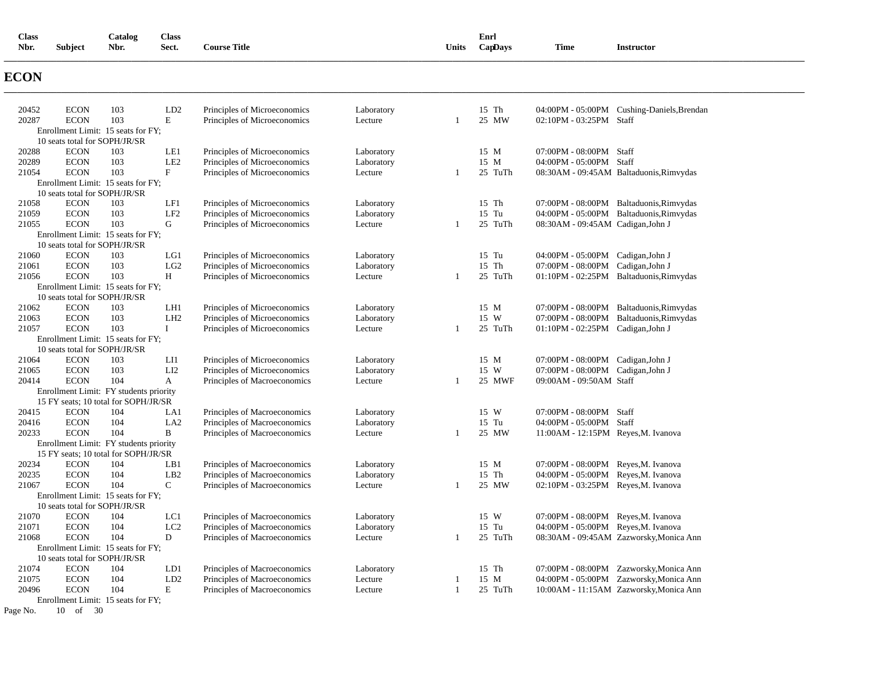| <b>Class</b><br>Nbr. | <b>Subject</b>                                                                     | Catalog<br>Nbr. | <b>Class</b><br>Sect. | <b>Course Title</b>          |            | Units          | Enrl<br>CapDays | <b>Time</b>                         | <b>Instructor</b>                          |
|----------------------|------------------------------------------------------------------------------------|-----------------|-----------------------|------------------------------|------------|----------------|-----------------|-------------------------------------|--------------------------------------------|
| <b>ECON</b>          |                                                                                    |                 |                       |                              |            |                |                 |                                     |                                            |
| 20452                | <b>ECON</b>                                                                        | 103             | LD2                   | Principles of Microeconomics | Laboratory |                | 15 Th           |                                     | 04:00PM - 05:00PM Cushing-Daniels, Brendan |
| 20287                | <b>ECON</b><br>Enrollment Limit: 15 seats for FY;<br>10 seats total for SOPH/JR/SR | 103             | E                     | Principles of Microeconomics | Lecture    | $\mathbf{1}$   | 25 MW           | 02:10PM - 03:25PM Staff             |                                            |
| 20288                | <b>ECON</b>                                                                        | 103             | LE1                   | Principles of Microeconomics | Laboratory |                | 15 M            | 07:00PM - 08:00PM Staff             |                                            |
| 20289                | <b>ECON</b>                                                                        | 103             | LE <sub>2</sub>       | Principles of Microeconomics | Laboratory |                | 15 M            | 04:00PM - 05:00PM Staff             |                                            |
| 21054                | <b>ECON</b>                                                                        | 103             | $\mathbf{F}$          | Principles of Microeconomics | Lecture    | $\overline{1}$ | 25 TuTh         |                                     | 08:30AM - 09:45AM Baltaduonis, Rimvydas    |
|                      | Enrollment Limit: 15 seats for FY;<br>10 seats total for SOPH/JR/SR                |                 |                       |                              |            |                |                 |                                     |                                            |
| 21058                | <b>ECON</b>                                                                        | 103             | LF1                   | Principles of Microeconomics | Laboratory |                | 15 Th           |                                     | 07:00PM - 08:00PM Baltaduonis, Rimvydas    |
| 21059                | <b>ECON</b>                                                                        | 103             | LF2                   | Principles of Microeconomics | Laboratory |                | 15 Tu           |                                     | 04:00PM - 05:00PM Baltaduonis, Rimvydas    |
| 21055                | <b>ECON</b>                                                                        | 103             | G                     | Principles of Microeconomics | Lecture    | -1             | 25 TuTh         | 08:30AM - 09:45AM Cadigan, John J   |                                            |
|                      | Enrollment Limit: 15 seats for FY;                                                 |                 |                       |                              |            |                |                 |                                     |                                            |
| 21060                | 10 seats total for SOPH/JR/SR<br><b>ECON</b>                                       | 103             | LG1                   | Principles of Microeconomics | Laboratory |                | 15 Tu           | 04:00PM - 05:00PM Cadigan, John J   |                                            |
| 21061                | <b>ECON</b>                                                                        | 103             | LG2                   | Principles of Microeconomics | Laboratory |                | 15 Th           | 07:00PM - 08:00PM Cadigan, John J   |                                            |
| 21056                | <b>ECON</b>                                                                        | 103             | H                     | Principles of Microeconomics | Lecture    | -1             | 25 TuTh         |                                     | 01:10PM - 02:25PM Baltaduonis, Rimvydas    |
|                      | Enrollment Limit: 15 seats for FY;                                                 |                 |                       |                              |            |                |                 |                                     |                                            |
| 21062                | 10 seats total for SOPH/JR/SR<br><b>ECON</b>                                       | 103             | LH1                   | Principles of Microeconomics | Laboratory |                | 15 M            |                                     | 07:00PM - 08:00PM Baltaduonis, Rimvydas    |
| 21063                | <b>ECON</b>                                                                        | 103             | LH2                   | Principles of Microeconomics | Laboratory |                | 15 W            |                                     | 07:00PM - 08:00PM Baltaduonis, Rimvydas    |
| 21057                | <b>ECON</b>                                                                        | 103             | $\bf{I}$              | Principles of Microeconomics | Lecture    | -1             | 25 TuTh         | 01:10PM - 02:25PM Cadigan, John J   |                                            |
|                      | Enrollment Limit: 15 seats for FY;                                                 |                 |                       |                              |            |                |                 |                                     |                                            |
|                      | 10 seats total for SOPH/JR/SR                                                      |                 |                       |                              |            |                |                 |                                     |                                            |
| 21064                | <b>ECON</b>                                                                        | 103             | LI                    | Principles of Microeconomics | Laboratory |                | 15 M            | 07:00PM - 08:00PM Cadigan, John J   |                                            |
| 21065                | <b>ECON</b>                                                                        | 103             | LI2                   | Principles of Microeconomics | Laboratory |                | 15 W            | 07:00PM - 08:00PM Cadigan, John J   |                                            |
| 20414                | <b>ECON</b>                                                                        | 104             | A                     | Principles of Macroeconomics | Lecture    | -1             | 25 MWF          | 09:00AM - 09:50AM Staff             |                                            |
|                      | Enrollment Limit: FY students priority                                             |                 |                       |                              |            |                |                 |                                     |                                            |
|                      | 15 FY seats; 10 total for SOPH/JR/SR                                               |                 |                       |                              |            |                |                 |                                     |                                            |
| 20415                | <b>ECON</b>                                                                        | 104             | LA1                   | Principles of Macroeconomics | Laboratory |                | 15 W            | 07:00PM - 08:00PM Staff             |                                            |
| 20416                | <b>ECON</b><br><b>ECON</b>                                                         | 104<br>104      | LA <sub>2</sub><br>B  | Principles of Macroeconomics | Laboratory |                | 15 Tu           | 04:00PM - 05:00PM Staff             |                                            |
| 20233                | Enrollment Limit: FY students priority                                             |                 |                       | Principles of Macroeconomics | Lecture    | $\mathbf{1}$   | 25 MW           | 11:00AM - 12:15PM Reyes, M. Ivanova |                                            |
|                      | 15 FY seats; 10 total for SOPH/JR/SR                                               |                 |                       |                              |            |                |                 |                                     |                                            |
| 20234                | <b>ECON</b>                                                                        | 104             | LB1                   | Principles of Macroeconomics | Laboratory |                | 15 M            | 07:00PM - 08:00PM Reyes, M. Ivanova |                                            |
| 20235                | <b>ECON</b>                                                                        | 104             | LB <sub>2</sub>       | Principles of Macroeconomics | Laboratory |                | 15 Th           | 04:00PM - 05:00PM Reyes, M. Ivanova |                                            |
| 21067                | <b>ECON</b>                                                                        | 104             | C                     | Principles of Macroeconomics | Lecture    | $\mathbf{1}$   | 25 MW           | 02:10PM - 03:25PM Reyes, M. Ivanova |                                            |
|                      | Enrollment Limit: 15 seats for FY;                                                 |                 |                       |                              |            |                |                 |                                     |                                            |
|                      | 10 seats total for SOPH/JR/SR                                                      |                 |                       |                              |            |                |                 |                                     |                                            |
| 21070                | <b>ECON</b>                                                                        | 104             | LC1                   | Principles of Macroeconomics | Laboratory |                | 15 W            | 07:00PM - 08:00PM Reyes, M. Ivanova |                                            |
| 21071                | <b>ECON</b>                                                                        | 104             | LC <sub>2</sub>       | Principles of Macroeconomics | Laboratory |                | 15 Tu           | 04:00PM - 05:00PM Reyes, M. Ivanova |                                            |
| 21068                | <b>ECON</b>                                                                        | 104             | D                     | Principles of Macroeconomics | Lecture    | $\mathbf{1}$   | 25 TuTh         |                                     | 08:30AM - 09:45AM Zazworsky, Monica Ann    |
|                      | Enrollment Limit: 15 seats for FY;<br>10 seats total for SOPH/JR/SR                |                 |                       |                              |            |                |                 |                                     |                                            |
| 21074                | <b>ECON</b>                                                                        | 104             | LD1                   | Principles of Macroeconomics | Laboratory |                | 15 Th           |                                     | 07:00PM - 08:00PM Zazworsky, Monica Ann    |
| 21075                | <b>ECON</b>                                                                        | 104             | LD2                   | Principles of Macroeconomics | Lecture    | $\mathbf{1}$   | 15 M            |                                     | 04:00PM - 05:00PM Zazworsky, Monica Ann    |
| 20496                | <b>ECON</b>                                                                        | 104             | $\mathbf E$           | Principles of Macroeconomics | Lecture    | $\mathbf{1}$   | 25 TuTh         |                                     | 10:00AM - 11:15AM Zazworsky, Monica Ann    |
|                      | Enrollment Limit: 15 seats for FY;                                                 |                 |                       |                              |            |                |                 |                                     |                                            |

Page No. 10 of 30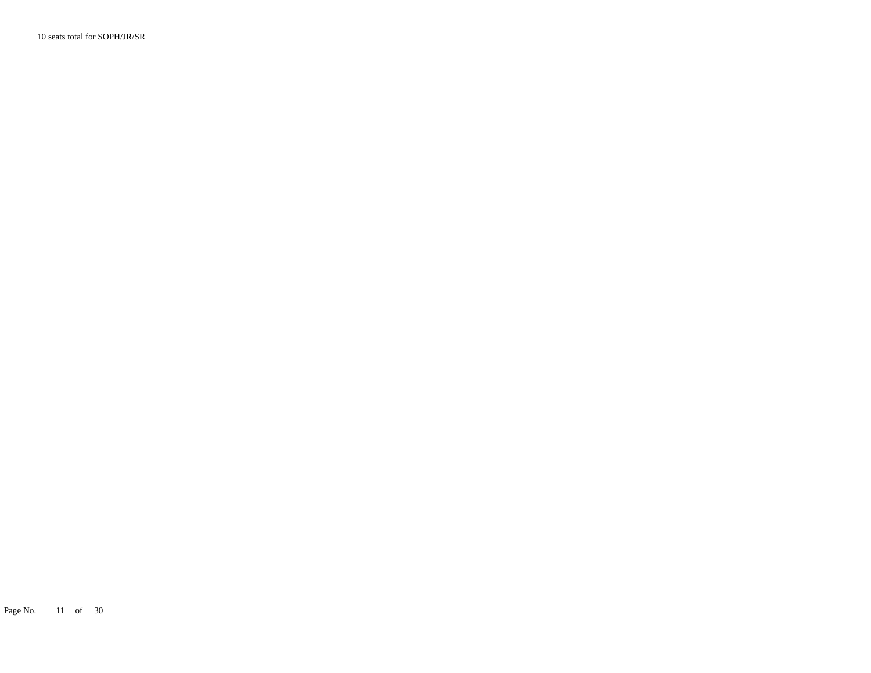10 seats total for SOPH/JR/SR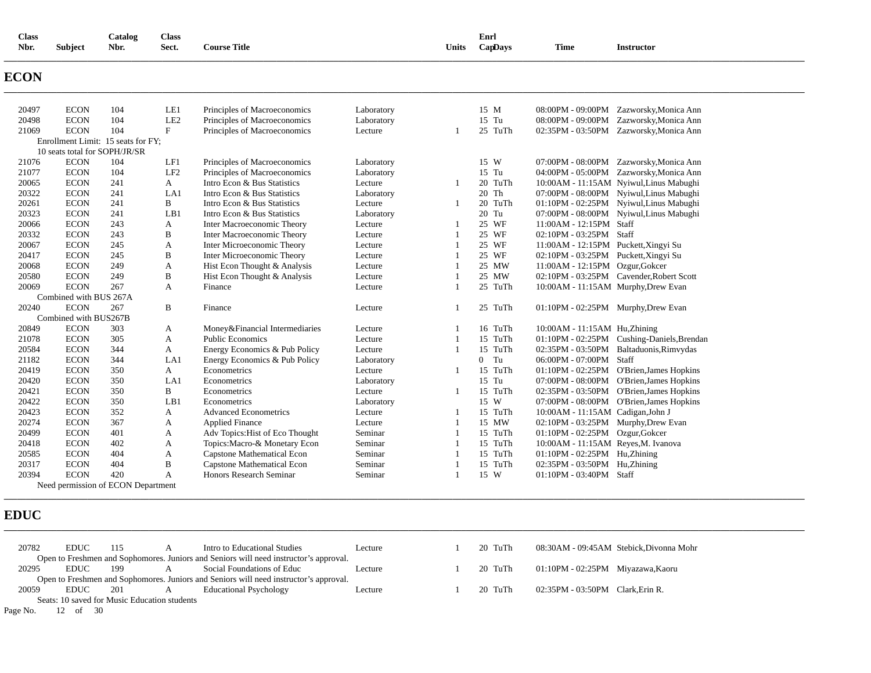| <b>Class</b><br>Nbr. | <b>Subject</b> | Catalog<br>Nbr. | Class<br>Sect. | <b>Course Title</b>          |            | Units | Enrl<br>CapDays | <b>Time</b> | <b>Instructor</b>                       |
|----------------------|----------------|-----------------|----------------|------------------------------|------------|-------|-----------------|-------------|-----------------------------------------|
| <b>ECON</b>          |                |                 |                |                              |            |       |                 |             |                                         |
| 20497                | <b>ECON</b>    | 104             | LE1            | Principles of Macroeconomics | Laboratory |       | 15 M            |             | 08:00PM - 09:00PM Zazworsky, Monica Ann |

| 20498 | <b>ECON</b>            | 104                                | LE <sub>2</sub> | Principles of Macroeconomics      | Laboratory | 15 Tu          |                                      | 08:00PM - 09:00PM Zazworsky, Monica Ann |
|-------|------------------------|------------------------------------|-----------------|-----------------------------------|------------|----------------|--------------------------------------|-----------------------------------------|
| 21069 | <b>ECON</b>            | 104                                | F               | Principles of Macroeconomics      | Lecture    | 25 TuTh        |                                      | 02:35PM - 03:50PM Zazworsky, Monica Ann |
|       |                        | Enrollment Limit: 15 seats for FY; |                 |                                   |            |                |                                      |                                         |
|       |                        | 10 seats total for SOPH/JR/SR      |                 |                                   |            |                |                                      |                                         |
| 21076 | <b>ECON</b>            | 104                                | LF1             | Principles of Macroeconomics      | Laboratory | 15 W           | 07:00PM - 08:00PM                    | Zazworsky, Monica Ann                   |
| 21077 | <b>ECON</b>            | 104                                | LF <sub>2</sub> | Principles of Macroeconomics      | Laboratory | 15 Tu          | 04:00PM - 05:00PM                    | Zazworsky, Monica Ann                   |
| 20065 | <b>ECON</b>            | 241                                | A               | Intro Econ & Bus Statistics       | Lecture    | 20 TuTh        |                                      | 10:00AM - 11:15AM Nyiwul, Linus Mabughi |
| 20322 | <b>ECON</b>            | 241                                | LA1             | Intro Econ & Bus Statistics       | Laboratory | 20 Th          |                                      | 07:00PM - 08:00PM Nyiwul, Linus Mabughi |
| 20261 | <b>ECON</b>            | 241                                | B               | Intro Econ & Bus Statistics       | Lecture    | 20 TuTh        |                                      | 01:10PM - 02:25PM Nyiwul, Linus Mabughi |
| 20323 | <b>ECON</b>            | 241                                | LB1             | Intro Econ & Bus Statistics       | Laboratory | 20 Tu          | 07:00PM - 08:00PM                    | Nyiwul, Linus Mabughi                   |
| 20066 | <b>ECON</b>            | 243                                | А               | Inter Macroeconomic Theory        | Lecture    | 25 WF          | 11:00AM - 12:15PM                    | Staff                                   |
| 20332 | <b>ECON</b>            | 243                                | B               | Inter Macroeconomic Theory        | Lecture    | 25 WF          | 02:10PM - 03:25PM                    | Staff                                   |
| 20067 | <b>ECON</b>            | 245                                | А               | Inter Microeconomic Theory        | Lecture    | 25 WF          | 11:00AM - 12:15PM Puckett, Xingyi Su |                                         |
| 20417 | <b>ECON</b>            | 245                                | B               | Inter Microeconomic Theory        | Lecture    | 25 WF          | 02:10PM - 03:25PM                    | Puckett, Xingyi Su                      |
| 20068 | <b>ECON</b>            | 249                                | А               | Hist Econ Thought & Analysis      | Lecture    | 25 MW          | 11:00AM - 12:15PM                    | Ozgur, Gokcer                           |
| 20580 | <b>ECON</b>            | 249                                | B               | Hist Econ Thought & Analysis      | Lecture    | 25 MW          | $02:10PM - 03:25PM$                  | Cavender, Robert Scott                  |
| 20069 | <b>ECON</b>            | 267                                | А               | Finance                           | Lecture    | 25 TuTh        | 10:00AM - 11:15AM Murphy, Drew Evan  |                                         |
|       | Combined with BUS 267A |                                    |                 |                                   |            |                |                                      |                                         |
| 20240 | <b>ECON</b>            | 267                                | B               | Finance                           | Lecture    | 25 TuTh        | 01:10PM - 02:25PM Murphy, Drew Evan  |                                         |
|       | Combined with BUS267B  |                                    |                 |                                   |            |                |                                      |                                         |
| 20849 | <b>ECON</b>            | 303                                | A               | Money&Financial Intermediaries    | Lecture    | 16 TuTh        | 10:00AM - 11:15AM Hu, Zhining        |                                         |
| 21078 | <b>ECON</b>            | 305                                | A               | <b>Public Economics</b>           | Lecture    | 15 TuTh        | $01:10PM - 02:25PM$                  | Cushing-Daniels, Brendan                |
| 20584 | <b>ECON</b>            | 344                                | A               | Energy Economics & Pub Policy     | Lecture    | 15 TuTh        | 02:35PM - 03:50PM                    | Baltaduonis, Rimvydas                   |
| 21182 | <b>ECON</b>            | 344                                | LA1             | Energy Economics & Pub Policy     | Laboratory | Tu<br>$\Omega$ | 06:00PM - 07:00PM                    | Staff                                   |
| 20419 | <b>ECON</b>            | 350                                | A               | Econometrics                      | Lecture    | 15 TuTh        | 01:10PM - 02:25PM                    | O'Brien, James Hopkins                  |
| 20420 | <b>ECON</b>            | 350                                | LA1             | Econometrics                      | Laboratory | 15 Tu          | 07:00PM - 08:00PM                    | O'Brien, James Hopkins                  |
| 20421 | <b>ECON</b>            | 350                                | B               | Econometrics                      | Lecture    | 15 TuTh        | 02:35PM - 03:50PM                    | O'Brien, James Hopkins                  |
| 20422 | <b>ECON</b>            | 350                                | LB1             | Econometrics                      | Laboratory | 15 W           | 07:00PM - 08:00PM                    | O'Brien, James Hopkins                  |
| 20423 | <b>ECON</b>            | 352                                | А               | <b>Advanced Econometrics</b>      | Lecture    | 15 TuTh        | 10:00AM - 11:15AM Cadigan, John J    |                                         |
| 20274 | <b>ECON</b>            | 367                                | A               | <b>Applied Finance</b>            | Lecture    | 15 MW          | 02:10PM - 03:25PM                    | Murphy, Drew Evan                       |
| 20499 | <b>ECON</b>            | 401                                | A               | Adv Topics: Hist of Eco Thought   | Seminar    | 15 TuTh        | $01:10PM - 02:25PM$                  | Ozgur, Gokcer                           |
| 20418 | <b>ECON</b>            | 402                                | А               | Topics: Macro-& Monetary Econ     | Seminar    | 15 TuTh        | 10:00AM - 11:15AM Reyes, M. Ivanova  |                                         |
| 20585 | <b>ECON</b>            | 404                                | А               | Capstone Mathematical Econ        | Seminar    | 15 TuTh        | $01:10PM - 02:25PM$                  | Hu,Zhining                              |
| 20317 | <b>ECON</b>            | 404                                | B               | <b>Capstone Mathematical Econ</b> | Seminar    | 15 TuTh        | 02:35PM - 03:50PM                    | Hu, Zhining                             |
| 20394 | <b>ECON</b>            | 420                                | A               | <b>Honors Research Seminar</b>    | Seminar    | 15 W           | $01:10PM - 03:40PM$                  | Staff                                   |
|       |                        | Need permission of ECON Department |                 |                                   |            |                |                                      |                                         |

### **EDUC**

| 20782 | <b>EDUC</b> | 115                                          |   | Intro to Educational Studies                                                          | Lecture | 20 TuTh |                                    | 08:30AM - 09:45AM Stebick, Divonna Mohr |
|-------|-------------|----------------------------------------------|---|---------------------------------------------------------------------------------------|---------|---------|------------------------------------|-----------------------------------------|
|       |             |                                              |   | Open to Freshmen and Sophomores. Juniors and Seniors will need instructor's approval. |         |         |                                    |                                         |
| 20295 | <b>EDUC</b> | 199                                          | A | Social Foundations of Educ                                                            | Lecture | 20 TuTh | 01:10PM - 02:25PM Miyazawa, Kaoru  |                                         |
|       |             |                                              |   | Open to Freshmen and Sophomores. Juniors and Seniors will need instructor's approval. |         |         |                                    |                                         |
| 20059 | <b>EDUC</b> | 201                                          | A | <b>Educational Psychology</b>                                                         | Lecture | 20 TuTh | $02:35PM - 03:50PM$ Clark. Erin R. |                                         |
|       |             | Seats: 10 saved for Music Education students |   |                                                                                       |         |         |                                    |                                         |

**\_\_\_\_\_\_\_\_\_\_\_\_\_\_\_\_\_\_\_\_\_\_\_\_\_\_\_\_\_\_\_\_\_\_\_\_\_\_\_\_\_\_\_\_\_\_\_\_\_\_\_\_\_\_\_\_\_\_\_\_\_\_\_\_\_\_\_\_\_\_\_\_\_\_\_\_\_\_\_\_\_\_\_\_\_\_\_\_\_\_\_\_\_\_\_\_\_\_\_\_\_\_\_\_\_\_\_\_\_\_\_\_\_\_\_\_\_\_\_\_\_\_\_\_\_\_\_\_\_\_\_\_\_\_\_\_\_\_\_\_\_\_\_\_\_\_\_\_\_\_\_\_\_\_\_\_\_\_\_\_\_\_\_\_\_\_\_\_\_\_\_\_\_\_\_\_\_\_\_\_\_\_** 

**\_\_\_\_\_\_\_\_\_\_\_\_\_\_\_\_\_\_\_\_\_\_\_\_\_\_\_\_\_\_\_\_\_\_\_\_\_\_\_\_\_\_\_\_\_\_\_\_\_\_\_\_\_\_\_\_\_\_\_\_\_\_\_\_\_\_\_\_\_\_\_\_\_\_\_\_\_\_\_\_\_\_\_\_\_\_\_\_\_\_\_\_\_\_\_\_\_\_\_\_\_\_\_\_\_\_\_\_\_\_\_\_\_\_\_\_\_\_\_\_\_\_\_\_\_\_\_\_\_\_\_\_\_\_\_\_\_\_\_\_\_\_\_\_\_\_\_\_\_\_\_\_\_\_\_\_\_\_\_\_\_\_\_\_\_\_\_\_\_\_\_\_\_\_\_\_\_\_\_\_\_\_** 

Page No. 12 of 30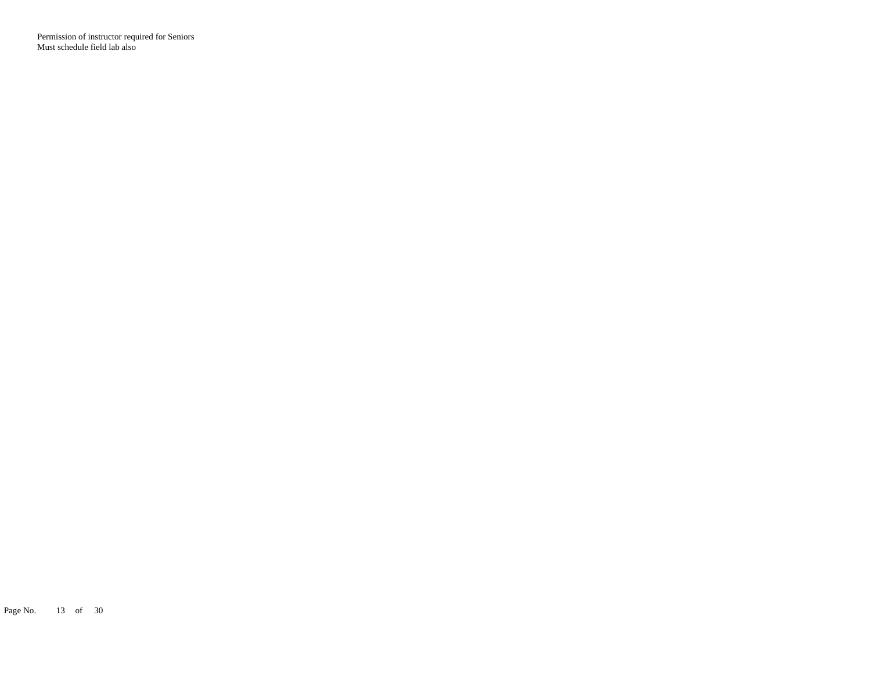Permission of instructor required for Seniors Must schedule field lab also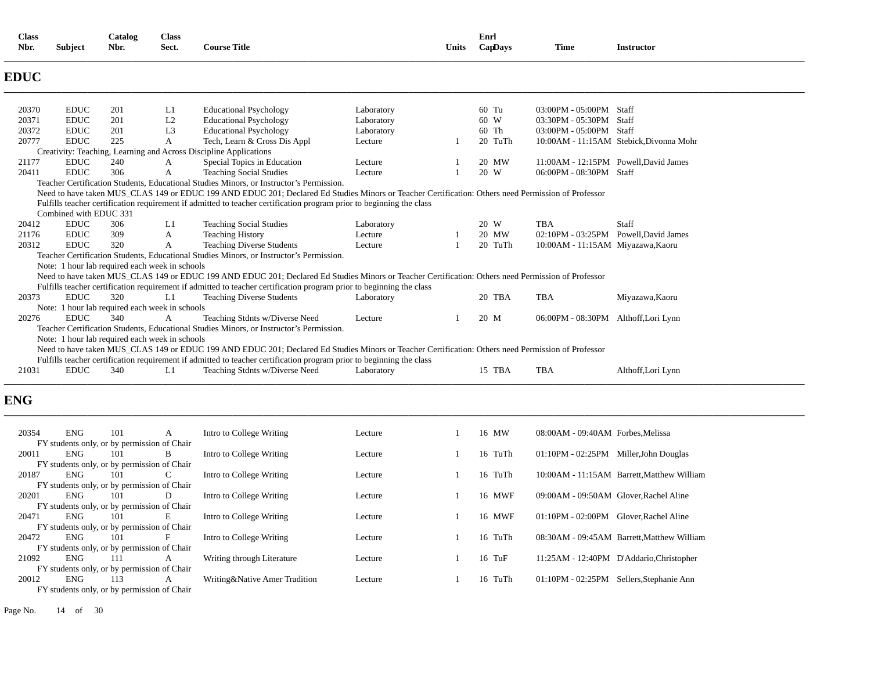| <b>Class</b><br>Nbr. | <b>Subject</b>         | Catalog<br>Nbr.                                | <b>Class</b><br>Sect. | <b>Course Title</b>                                                                                                                                |            | Units | Enrl<br>CapDays | <b>Time</b>                          | <b>Instructor</b>                       |
|----------------------|------------------------|------------------------------------------------|-----------------------|----------------------------------------------------------------------------------------------------------------------------------------------------|------------|-------|-----------------|--------------------------------------|-----------------------------------------|
| <b>EDUC</b>          |                        |                                                |                       |                                                                                                                                                    |            |       |                 |                                      |                                         |
| 20370                | <b>EDUC</b>            | 201                                            | L1                    | <b>Educational Psychology</b>                                                                                                                      | Laboratory |       | 60 Tu           | 03:00PM - 05:00PM Staff              |                                         |
| 20371                | <b>EDUC</b>            | 201                                            | L2                    | <b>Educational Psychology</b>                                                                                                                      | Laboratory |       | 60 W            | 03:30PM - 05:30PM Staff              |                                         |
| 20372                | <b>EDUC</b>            | 201                                            | L <sub>3</sub>        | <b>Educational Psychology</b>                                                                                                                      | Laboratory |       | 60 Th           | 03:00PM - 05:00PM Staff              |                                         |
| 20777                | <b>EDUC</b>            | 225                                            | A                     | Tech, Learn & Cross Dis Appl                                                                                                                       | Lecture    |       | 20 TuTh         |                                      | 10:00AM - 11:15AM Stebick, Divonna Mohr |
|                      |                        |                                                |                       | Creativity: Teaching, Learning and Across Discipline Applications                                                                                  |            |       |                 |                                      |                                         |
| 21177                | <b>EDUC</b>            | 240                                            | A                     | Special Topics in Education                                                                                                                        | Lecture    |       | 20 MW           | 11:00AM - 12:15PM Powell.David James |                                         |
| 20411                | <b>EDUC</b>            | 306                                            | A                     | <b>Teaching Social Studies</b>                                                                                                                     | Lecture    |       | 20 W            | 06:00PM - 08:30PM Staff              |                                         |
|                      |                        |                                                |                       | Teacher Certification Students, Educational Studies Minors, or Instructor's Permission.                                                            |            |       |                 |                                      |                                         |
|                      |                        |                                                |                       | Need to have taken MUS CLAS 149 or EDUC 199 AND EDUC 201; Declared Ed Studies Minors or Teacher Certification: Others need Permission of Professor |            |       |                 |                                      |                                         |
|                      |                        |                                                |                       | Fulfills teacher certification requirement if admitted to teacher certification program prior to beginning the class                               |            |       |                 |                                      |                                         |
|                      | Combined with EDUC 331 |                                                |                       |                                                                                                                                                    |            |       |                 |                                      |                                         |
| 20412                | <b>EDUC</b>            | 306                                            | L1                    | <b>Teaching Social Studies</b>                                                                                                                     | Laboratory |       | 20 W            | <b>TBA</b>                           | Staff                                   |
| 21176                | <b>EDUC</b>            | 309                                            | A                     | <b>Teaching History</b>                                                                                                                            | Lecture    |       | 20 MW           | 02:10PM - 03:25PM Powell.David James |                                         |
| 20312                | <b>EDUC</b>            | 320                                            | A                     | <b>Teaching Diverse Students</b>                                                                                                                   | Lecture    |       | 20 TuTh         | 10:00AM - 11:15AM Miyazawa, Kaoru    |                                         |
|                      |                        |                                                |                       | Teacher Certification Students, Educational Studies Minors, or Instructor's Permission.                                                            |            |       |                 |                                      |                                         |
|                      |                        | Note: 1 hour lab required each week in schools |                       |                                                                                                                                                    |            |       |                 |                                      |                                         |
|                      |                        |                                                |                       | Need to have taken MUS CLAS 149 or EDUC 199 AND EDUC 201; Declared Ed Studies Minors or Teacher Certification: Others need Permission of Professor |            |       |                 |                                      |                                         |
|                      |                        |                                                |                       | Fulfills teacher certification requirement if admitted to teacher certification program prior to beginning the class                               |            |       |                 |                                      |                                         |
| 20373                | <b>EDUC</b>            | 320                                            | L1                    | <b>Teaching Diverse Students</b>                                                                                                                   | Laboratory |       | 20 TBA          | <b>TBA</b>                           | Miyazawa, Kaoru                         |
|                      |                        | Note: 1 hour lab required each week in schools |                       |                                                                                                                                                    |            |       |                 |                                      |                                         |
| 20276                | <b>EDUC</b>            | 340                                            | $\mathsf{A}$          | Teaching Stdnts w/Diverse Need                                                                                                                     | Lecture    |       | 20 M            | 06:00PM - 08:30PM Althoff, Lori Lynn |                                         |
|                      |                        |                                                |                       | Teacher Certification Students, Educational Studies Minors, or Instructor's Permission.                                                            |            |       |                 |                                      |                                         |
|                      |                        | Note: 1 hour lab required each week in schools |                       |                                                                                                                                                    |            |       |                 |                                      |                                         |
|                      |                        |                                                |                       | Need to have taken MUS CLAS 149 or EDUC 199 AND EDUC 201; Declared Ed Studies Minors or Teacher Certification: Others need Permission of Professor |            |       |                 |                                      |                                         |
|                      |                        |                                                |                       | Fulfills teacher certification requirement if admitted to teacher certification program prior to beginning the class                               |            |       |                 |                                      |                                         |
| 21031                | <b>EDUC</b>            | 340                                            | L1                    | Teaching Stdnts w/Diverse Need                                                                                                                     | Laboratory |       | 15 TBA          | TBA                                  | Althoff, Lori Lynn                      |
|                      |                        |                                                |                       |                                                                                                                                                    |            |       |                 |                                      |                                         |
|                      |                        |                                                |                       |                                                                                                                                                    |            |       |                 |                                      |                                         |

### **ENG**

| 20354 | <b>ENG</b> | 101                                         | A | Intro to College Writing        | Lecture | 16 MW    | 08:00AM - 09:40AM Forbes, Melissa           |
|-------|------------|---------------------------------------------|---|---------------------------------|---------|----------|---------------------------------------------|
|       |            | FY students only, or by permission of Chair |   |                                 |         |          |                                             |
| 20011 | ENG.       | 101                                         | B | Intro to College Writing        | Lecture | 16 TuTh  | 01:10PM - 02:25PM Miller, John Douglas      |
|       |            | FY students only, or by permission of Chair |   |                                 |         |          |                                             |
| 20187 | <b>ENG</b> | 101                                         |   | Intro to College Writing        | Lecture | 16 TuTh  | 10:00AM - 11:15AM Barrett, Matthew William  |
|       |            | FY students only, or by permission of Chair |   |                                 |         |          |                                             |
| 20201 | <b>ENG</b> | 101                                         | D | Intro to College Writing        | Lecture | 16 MWF   | 09:00AM - 09:50AM Glover.Rachel Aline       |
|       |            | FY students only, or by permission of Chair |   |                                 |         |          |                                             |
| 20471 | <b>ENG</b> | 101                                         | Е | Intro to College Writing        | Lecture | 16 MWF   | $01:10PM - 02:00PM$<br>Glover, Rachel Aline |
|       |            | FY students only, or by permission of Chair |   |                                 |         |          |                                             |
| 20472 | <b>ENG</b> | 101                                         | F | Intro to College Writing        | Lecture | 16 TuTh  | 08:30AM - 09:45AM Barrett, Matthew William  |
|       |            | FY students only, or by permission of Chair |   |                                 |         |          |                                             |
| 21092 | <b>ENG</b> | 111                                         | A | Writing through Literature      | Lecture | $16$ TuF | 11:25AM - 12:40PM D'Addario, Christopher    |
|       |            | FY students only, or by permission of Chair |   |                                 |         |          |                                             |
| 20012 | <b>ENG</b> | 113                                         | A | Writing & Native Amer Tradition | Lecture | 16 TuTh  | 01:10PM - 02:25PM Sellers, Stephanie Ann    |
|       |            | FY students only, or by permission of Chair |   |                                 |         |          |                                             |

**\_\_\_\_\_\_\_\_\_\_\_\_\_\_\_\_\_\_\_\_\_\_\_\_\_\_\_\_\_\_\_\_\_\_\_\_\_\_\_\_\_\_\_\_\_\_\_\_\_\_\_\_\_\_\_\_\_\_\_\_\_\_\_\_\_\_\_\_\_\_\_\_\_\_\_\_\_\_\_\_\_\_\_\_\_\_\_\_\_\_\_\_\_\_\_\_\_\_\_\_\_\_\_\_\_\_\_\_\_\_\_\_\_\_\_\_\_\_\_\_\_\_\_\_\_\_\_\_\_\_\_\_\_\_\_\_\_\_\_\_\_\_\_\_\_\_\_\_\_\_\_\_\_\_\_\_\_\_\_\_\_\_\_\_\_\_\_\_\_\_\_\_\_\_\_\_\_\_\_\_\_\_**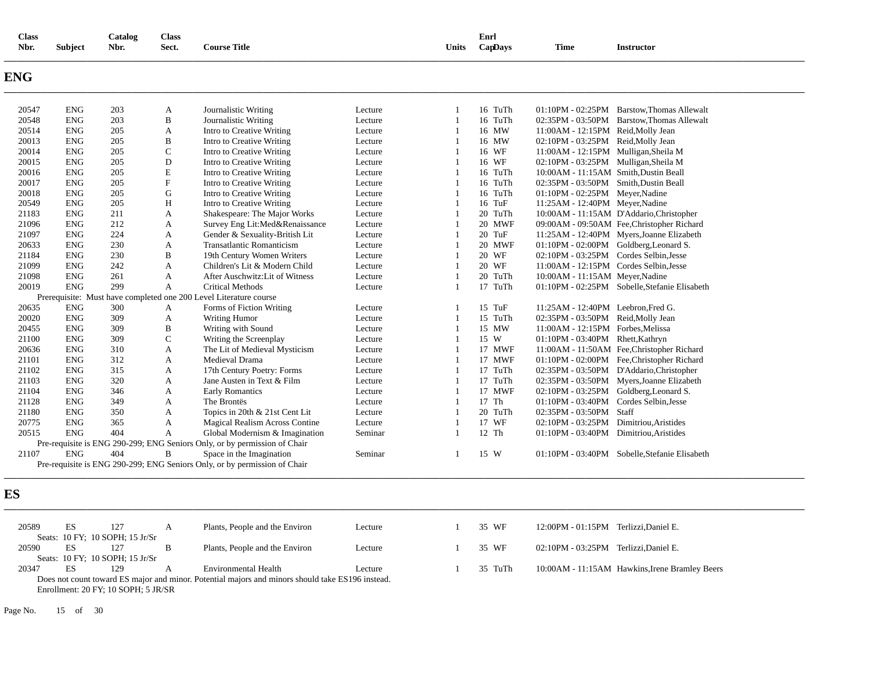| <b>Class</b><br>Nbr. | <b>Subject</b> | Catalog<br>Nbr. | <b>Class</b><br>Sect. | <b>Course Title</b>                                                       |         | Units          | Enrl<br>CapDays | Time                                   | <b>Instructor</b>                             |
|----------------------|----------------|-----------------|-----------------------|---------------------------------------------------------------------------|---------|----------------|-----------------|----------------------------------------|-----------------------------------------------|
| ENG                  |                |                 |                       |                                                                           |         |                |                 |                                        |                                               |
| 20547                | <b>ENG</b>     | 203             | A                     | Journalistic Writing                                                      | Lecture | 1              | 16 TuTh         |                                        | 01:10PM - 02:25PM Barstow, Thomas Allewalt    |
| 20548                | <b>ENG</b>     | 203             | $\, {\bf B}$          | Journalistic Writing                                                      | Lecture |                | 16 TuTh         |                                        | 02:35PM - 03:50PM Barstow, Thomas Allewalt    |
| 20514                | <b>ENG</b>     | 205             | A                     | Intro to Creative Writing                                                 | Lecture |                | 16 MW           | 11:00AM - 12:15PM Reid, Molly Jean     |                                               |
| 20013                | <b>ENG</b>     | 205             | B                     | Intro to Creative Writing                                                 | Lecture |                | 16 MW           | 02:10PM - 03:25PM Reid, Molly Jean     |                                               |
| 20014                | <b>ENG</b>     | 205             | $\mathsf{C}$          | Intro to Creative Writing                                                 | Lecture |                | 16 WF           | 11:00AM - 12:15PM Mulligan, Sheila M   |                                               |
| 20015                | <b>ENG</b>     | 205             | D                     | Intro to Creative Writing                                                 | Lecture |                | 16 WF           | 02:10PM - 03:25PM Mulligan, Sheila M   |                                               |
| 20016                | <b>ENG</b>     | 205             | $\mathbf E$           | Intro to Creative Writing                                                 | Lecture |                | 16 TuTh         | 10:00AM - 11:15AM Smith, Dustin Beall  |                                               |
| 20017                | <b>ENG</b>     | 205             | $\mathbf F$           | Intro to Creative Writing                                                 | Lecture |                | 16 TuTh         | 02:35PM - 03:50PM Smith, Dustin Beall  |                                               |
| 20018                | <b>ENG</b>     | 205             | G                     | Intro to Creative Writing                                                 | Lecture | $\overline{1}$ | 16 TuTh         | 01:10PM - 02:25PM Meyer, Nadine        |                                               |
| 20549                | <b>ENG</b>     | 205             | H                     | Intro to Creative Writing                                                 | Lecture | $\overline{1}$ | 16 TuF          | 11:25AM - 12:40PM Meyer, Nadine        |                                               |
| 21183                | <b>ENG</b>     | 211             | A                     | Shakespeare: The Major Works                                              | Lecture |                | 20 TuTh         |                                        | 10:00AM - 11:15AM D'Addario, Christopher      |
| 21096                | <b>ENG</b>     | 212             | A                     | Survey Eng Lit:Med&Renaissance                                            | Lecture | $\overline{1}$ | 20 MWF          |                                        | 09:00AM - 09:50AM Fee,Christopher Richard     |
| 21097                | <b>ENG</b>     | 224             | A                     | Gender & Sexuality-British Lit                                            | Lecture |                | 20 TuF          |                                        | 11:25AM - 12:40PM Myers, Joanne Elizabeth     |
| 20633                | <b>ENG</b>     | 230             | A                     | <b>Transatlantic Romanticism</b>                                          | Lecture |                | <b>20 MWF</b>   |                                        | 01:10PM - 02:00PM Goldberg, Leonard S.        |
| 21184                | <b>ENG</b>     | 230             | B                     | 19th Century Women Writers                                                | Lecture |                | 20 WF           | 02:10PM - 03:25PM Cordes Selbin, Jesse |                                               |
| 21099                | <b>ENG</b>     | 242             | A                     | Children's Lit & Modern Child                                             | Lecture | 1              | 20 WF           | 11:00AM - 12:15PM Cordes Selbin, Jesse |                                               |
| 21098                | <b>ENG</b>     | 261             | A                     | After Auschwitz: Lit of Witness                                           | Lecture |                | 20 TuTh         | 10:00AM - 11:15AM Meyer, Nadine        |                                               |
| 20019                | <b>ENG</b>     | 299             | A                     | <b>Critical Methods</b>                                                   | Lecture | $\overline{1}$ | 17 TuTh         |                                        | 01:10PM - 02:25PM Sobelle, Stefanie Elisabeth |
|                      |                |                 |                       | Prerequisite: Must have completed one 200 Level Literature course         |         |                |                 |                                        |                                               |
| 20635                | <b>ENG</b>     | 300             | A                     | Forms of Fiction Writing                                                  | Lecture |                | 15 TuF          | 11:25AM - 12:40PM Leebron, Fred G.     |                                               |
| 20020                | <b>ENG</b>     | 309             | A                     | Writing Humor                                                             | Lecture |                | 15 TuTh         | 02:35PM - 03:50PM Reid, Molly Jean     |                                               |
| 20455                | <b>ENG</b>     | 309             | $\bf{B}$              | Writing with Sound                                                        | Lecture |                | 15 MW           | 11:00AM - 12:15PM Forbes, Melissa      |                                               |
| 21100                | <b>ENG</b>     | 309             | $\mathsf{C}$          | Writing the Screenplay                                                    | Lecture |                | 15 W            | 01:10PM - 03:40PM Rhett, Kathryn       |                                               |
| 20636                | <b>ENG</b>     | 310             | A                     | The Lit of Medieval Mysticism                                             | Lecture |                | 17 MWF          |                                        | 11:00AM - 11:50AM Fee, Christopher Richard    |
| 21101                | <b>ENG</b>     | 312             | A                     | Medieval Drama                                                            | Lecture |                | 17 MWF          |                                        | 01:10PM - 02:00PM Fee, Christopher Richard    |
| 21102                | <b>ENG</b>     | 315             | A                     | 17th Century Poetry: Forms                                                | Lecture | $\overline{1}$ | 17 TuTh         |                                        | 02:35PM - 03:50PM D'Addario, Christopher      |
| 21103                | <b>ENG</b>     | 320             | A                     | Jane Austen in Text & Film                                                | Lecture |                | 17 TuTh         |                                        | 02:35PM - 03:50PM Myers, Joanne Elizabeth     |
| 21104                | <b>ENG</b>     | 346             | A                     | <b>Early Romantics</b>                                                    | Lecture | -1             | 17 MWF          |                                        | 02:10PM - 03:25PM Goldberg, Leonard S.        |
| 21128                | <b>ENG</b>     | 349             | A                     | The Brontës                                                               | Lecture | $\overline{1}$ | 17 Th           | 01:10PM - 03:40PM Cordes Selbin, Jesse |                                               |
| 21180                | <b>ENG</b>     | 350             | A                     | Topics in 20th & 21st Cent Lit                                            | Lecture |                | 20 TuTh         | 02:35PM - 03:50PM Staff                |                                               |
| 20775                | <b>ENG</b>     | 365             | A                     | Magical Realism Across Contine                                            | Lecture |                | 17 WF           | 02:10PM - 03:25PM Dimitriou, Aristides |                                               |
| 20515                | <b>ENG</b>     | 404             | A                     | Global Modernism & Imagination                                            | Seminar |                | 12 Th           | 01:10PM - 03:40PM Dimitriou, Aristides |                                               |
|                      |                |                 |                       | Pre-requisite is ENG 290-299; ENG Seniors Only, or by permission of Chair |         |                |                 |                                        |                                               |
| 21107                | <b>ENG</b>     | 404             | B                     | Space in the Imagination                                                  | Seminar |                | 15 W            |                                        | 01:10PM - 03:40PM Sobelle, Stefanie Elisabeth |
|                      |                |                 |                       | Pre-requisite is ENG 290-299; ENG Seniors Only, or by permission of Chair |         |                |                 |                                        |                                               |

## **ES**

| 20589 | ES | 127                             | Plants, People and the Environ                                                                   | Lecture | 35 WF   | Terlizzi.Daniel E.<br>12:00PM - 01:15PM        |
|-------|----|---------------------------------|--------------------------------------------------------------------------------------------------|---------|---------|------------------------------------------------|
|       |    | Seats: 10 FY; 10 SOPH; 15 Jr/Sr |                                                                                                  |         |         |                                                |
| 20590 | ES | 127                             | Plants, People and the Environ                                                                   | Lecture | 35 WF   | 02:10PM - 03:25PM Terlizzi.Daniel E.           |
|       |    | Seats: 10 FY; 10 SOPH; 15 Jr/Sr |                                                                                                  |         |         |                                                |
| 20347 |    | 129                             | Environmental Health                                                                             | Lecture | 35 TuTh | 10:00AM - 11:15AM Hawkins, Irene Bramley Beers |
|       |    |                                 | Does not count toward ES major and minor. Potential majors and minors should take ES196 instead. |         |         |                                                |
|       |    |                                 |                                                                                                  |         |         |                                                |

**\_\_\_\_\_\_\_\_\_\_\_\_\_\_\_\_\_\_\_\_\_\_\_\_\_\_\_\_\_\_\_\_\_\_\_\_\_\_\_\_\_\_\_\_\_\_\_\_\_\_\_\_\_\_\_\_\_\_\_\_\_\_\_\_\_\_\_\_\_\_\_\_\_\_\_\_\_\_\_\_\_\_\_\_\_\_\_\_\_\_\_\_\_\_\_\_\_\_\_\_\_\_\_\_\_\_\_\_\_\_\_\_\_\_\_\_\_\_\_\_\_\_\_\_\_\_\_\_\_\_\_\_\_\_\_\_\_\_\_\_\_\_\_\_\_\_\_\_\_\_\_\_\_\_\_\_\_\_\_\_\_\_\_\_\_\_\_\_\_\_\_\_\_\_\_\_\_\_\_\_\_\_** 

Enrollment: 20 FY; 10 SOPH; 5 JR/SR

Page No. 15 of 30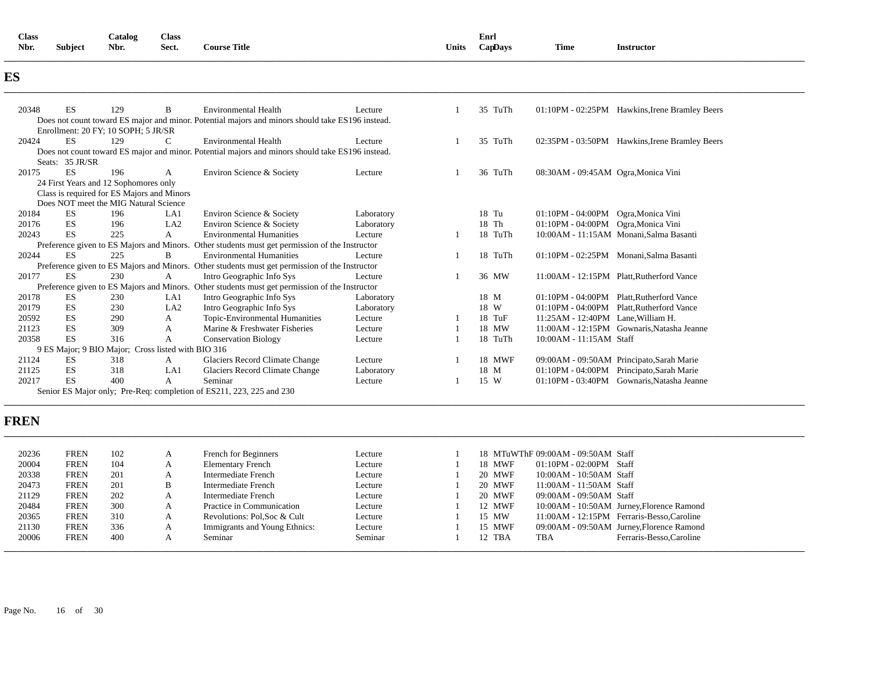| Class |                | Catalog | <b>Class</b> |                     |              | Enrl       |             |            |
|-------|----------------|---------|--------------|---------------------|--------------|------------|-------------|------------|
| Nbr.  | <b>Subject</b> | Nbr.    | Sect.        | <b>Course Title</b> | <b>Units</b> | $Cap$ Davs | <b>Time</b> | Instructor |
|       |                |         |              |                     |              |            |             |            |

### **ES**

| 20348 | <b>ES</b>       | 129                                                | B               | <b>Environmental Health</b>                                                                      | Lecture    | 35<br>TuTh | 01:10PM - 02:25PM Hawkins, Irene Bramley Beers       |  |
|-------|-----------------|----------------------------------------------------|-----------------|--------------------------------------------------------------------------------------------------|------------|------------|------------------------------------------------------|--|
|       |                 |                                                    |                 | Does not count toward ES major and minor. Potential majors and minors should take ES196 instead. |            |            |                                                      |  |
|       |                 | Enrollment: 20 FY; 10 SOPH; 5 JR/SR                |                 |                                                                                                  |            |            |                                                      |  |
| 20424 | <b>ES</b>       | 129                                                | C               | <b>Environmental Health</b>                                                                      | Lecture    | 35 TuTh    | 02:35PM - 03:50PM Hawkins, Irene Bramley Beers       |  |
|       |                 |                                                    |                 | Does not count toward ES major and minor. Potential majors and minors should take ES196 instead. |            |            |                                                      |  |
|       | Seats: 35 JR/SR |                                                    |                 |                                                                                                  |            |            |                                                      |  |
| 20175 | <b>ES</b>       | 196                                                | A               | Environ Science & Society                                                                        | Lecture    | 36 TuTh    | 08:30AM - 09:45AM Ogra, Monica Vini                  |  |
|       |                 | 24 First Years and 12 Sophomores only              |                 |                                                                                                  |            |            |                                                      |  |
|       |                 | Class is required for ES Majors and Minors         |                 |                                                                                                  |            |            |                                                      |  |
|       |                 | Does NOT meet the MIG Natural Science              |                 |                                                                                                  |            |            |                                                      |  |
| 20184 | ES              | 196                                                | LA1             | Environ Science & Society                                                                        | Laboratory | 18 Tu      | $01:10PM - 04:00PM$<br>Ogra, Monica Vini             |  |
| 20176 | ES              | 196                                                | LA <sub>2</sub> | Environ Science & Society                                                                        | Laboratory | 18 Th      | $01:10PM - 04:00PM$<br>Ogra, Monica Vini             |  |
| 20243 | ES              | 225                                                | A               | <b>Environmental Humanities</b>                                                                  | Lecture    | 18 TuTh    | 10:00 AM - 11:15 AM Monani, Salma Basanti            |  |
|       |                 |                                                    |                 | Preference given to ES Majors and Minors. Other students must get permission of the Instructor   |            |            |                                                      |  |
| 20244 | ES              | 225                                                | B               | <b>Environmental Humanities</b>                                                                  | Lecture    | 18 TuTh    | 01:10PM - 02:25PM Monani, Salma Basanti              |  |
|       |                 |                                                    |                 | Preference given to ES Majors and Minors. Other students must get permission of the Instructor   |            |            |                                                      |  |
| 20177 | ES              | 230                                                | A               | Intro Geographic Info Sys                                                                        | Lecture    | 36 MW      | 11:00AM - 12:15PM Platt, Rutherford Vance            |  |
|       |                 |                                                    |                 | Preference given to ES Majors and Minors. Other students must get permission of the Instructor   |            |            |                                                      |  |
| 20178 | ES              | 230                                                | LA1             | Intro Geographic Info Sys                                                                        | Laboratory | 18 M       | $01:10PM - 04:00PM$<br>Platt.Rutherford Vance        |  |
| 20179 | ES              | 230                                                | LA2             | Intro Geographic Info Sys                                                                        | Laboratory | 18 W       | $01:10PM - 04:00PM$<br><b>Platt.Rutherford Vance</b> |  |
| 20592 | ES              | 290                                                | A               | Topic-Environmental Humanities                                                                   | Lecture    | 18 TuF     | 11:25AM - 12:40PM Lane, William H.                   |  |
| 21123 | ES              | 309                                                | А               | Marine & Freshwater Fisheries                                                                    | Lecture    | 18 MW      | 11:00AM - 12:15PM Gownaris, Natasha Jeanne           |  |
| 20358 | ES              | 316                                                | A               | <b>Conservation Biology</b>                                                                      | Lecture    | 18 TuTh    | 10:00AM - 11:15AM Staff                              |  |
|       |                 | 9 ES Major; 9 BIO Major; Cross listed with BIO 316 |                 |                                                                                                  |            |            |                                                      |  |
| 21124 | ES              | 318                                                | A               | Glaciers Record Climate Change                                                                   | Lecture    | 18 MWF     | 09:00AM - 09:50AM Principato, Sarah Marie            |  |
| 21125 | ES              | 318                                                | LA1             | Glaciers Record Climate Change                                                                   | Laboratory | 18 M       | 01:10PM - 04:00PM<br>Principato, Sarah Marie         |  |
| 20217 | ES              | 400                                                | A               | Seminar                                                                                          | Lecture    | 15 W       | 01:10PM - 03:40PM Gownaris, Natasha Jeanne           |  |
|       |                 |                                                    |                 | Senior ES Major only; Pre-Req: completion of ES211, 223, 225 and 230                             |            |            |                                                      |  |

# **FREN**

| 20236 | <b>FREN</b> | 102 |   |                               |         |        | 18 MTuWThF 09:00AM - 09:50AM Staff         |
|-------|-------------|-----|---|-------------------------------|---------|--------|--------------------------------------------|
|       |             |     |   | French for Beginners          | Lecture |        |                                            |
| 20004 | <b>FREN</b> | 104 | A | <b>Elementary French</b>      | Lecture | 18 MWF | $01:10PM - 02:00PM$ Staff                  |
| 20338 | <b>FREN</b> | 201 |   | Intermediate French           | Lecture | 20 MWF | 10:00AM - 10:50AM Staff                    |
| 20473 | <b>FREN</b> | 201 | B | Intermediate French           | Lecture | 20 MWF | 11:00AM - 11:50AM Staff                    |
| 21129 | <b>FREN</b> | 202 |   | Intermediate French           | Lecture | 20 MWF | 09:00AM - 09:50AM Staff                    |
| 20484 | <b>FREN</b> | 300 | А | Practice in Communication     | Lecture | 12 MWF | 10:00AM - 10:50AM Jurney, Florence Ramond  |
| 20365 | <b>FREN</b> | 310 |   | Revolutions: Pol, Soc & Cult  | Lecture | 15 MW  | 11:00AM - 12:15PM Ferraris-Besso, Caroline |
| 21130 | <b>FREN</b> | 336 | A | Immigrants and Young Ethnics: | Lecture | 15 MWF | 09:00AM - 09:50AM Jurney, Florence Ramond  |
| 20006 | <b>FREN</b> | 400 |   | Seminar                       | Seminar | 12 TBA | Ferraris-Besso.Caroline<br>TBA             |
|       |             |     |   |                               |         |        |                                            |

**\_\_\_\_\_\_\_\_\_\_\_\_\_\_\_\_\_\_\_\_\_\_\_\_\_\_\_\_\_\_\_\_\_\_\_\_\_\_\_\_\_\_\_\_\_\_\_\_\_\_\_\_\_\_\_\_\_\_\_\_\_\_\_\_\_\_\_\_\_\_\_\_\_\_\_\_\_\_\_\_\_\_\_\_\_\_\_\_\_\_\_\_\_\_\_\_\_\_\_\_\_\_\_\_\_\_\_\_\_\_\_\_\_\_\_\_\_\_\_\_\_\_\_\_\_\_\_\_\_\_\_\_\_\_\_\_\_\_\_\_\_\_\_\_\_\_\_\_\_\_\_\_\_\_\_\_\_\_\_\_\_\_\_\_\_\_\_\_\_\_\_\_\_\_\_\_\_\_\_\_\_\_** 

**\_\_\_\_\_\_\_\_\_\_\_\_\_\_\_\_\_\_\_\_\_\_\_\_\_\_\_\_\_\_\_\_\_\_\_\_\_\_\_\_\_\_\_\_\_\_\_\_\_\_\_\_\_\_\_\_\_\_\_\_\_\_\_\_\_\_\_\_\_\_\_\_\_\_\_\_\_\_\_\_\_\_\_\_\_\_\_\_\_\_\_\_\_\_\_\_\_\_\_\_\_\_\_\_\_\_\_\_\_\_\_\_\_\_\_\_\_\_\_\_\_\_\_\_\_\_\_\_\_\_\_\_\_\_\_\_\_\_\_\_\_\_\_\_\_\_\_\_\_\_\_\_\_\_\_\_\_\_\_\_\_\_\_\_\_\_\_\_\_\_\_\_\_\_\_\_\_\_\_\_\_\_**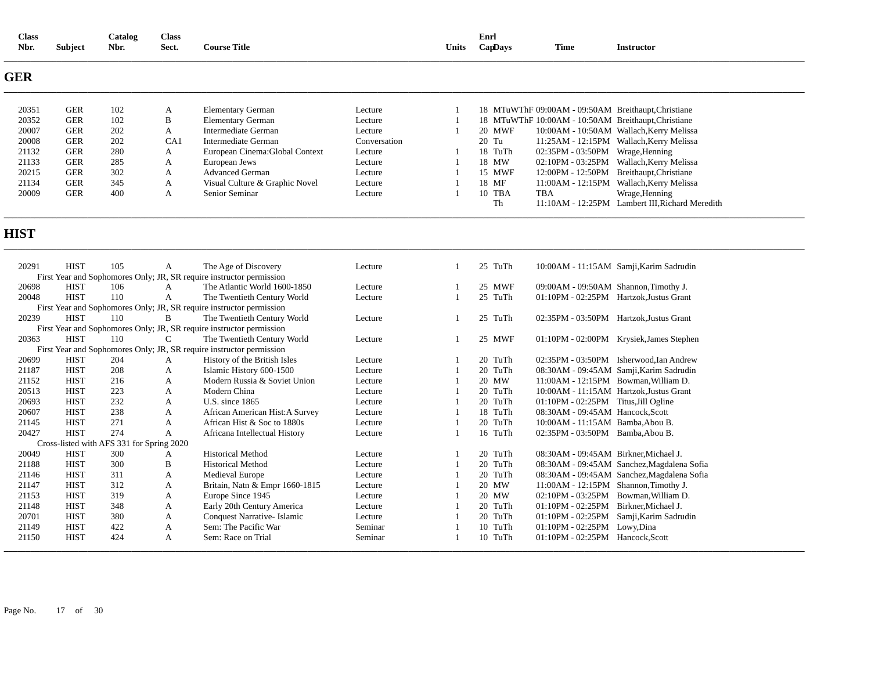| <b>Class</b><br>Nbr. | <b>Subject</b> | Catalog<br>Nbr. | <b>Class</b><br>Sect. | <b>Course Title</b>                                                                          |              | Units | Enrl<br>CapDays | <b>Time</b>                                         | <b>Instructor</b>                               |
|----------------------|----------------|-----------------|-----------------------|----------------------------------------------------------------------------------------------|--------------|-------|-----------------|-----------------------------------------------------|-------------------------------------------------|
| <b>GER</b>           |                |                 |                       |                                                                                              |              |       |                 |                                                     |                                                 |
| 20351                | <b>GER</b>     | 102             | A                     | <b>Elementary German</b>                                                                     | Lecture      |       |                 | 18 MTuWThF 09:00AM - 09:50AM Breithaupt, Christiane |                                                 |
| 20352                | <b>GER</b>     | 102             | B                     | <b>Elementary German</b>                                                                     | Lecture      |       |                 | 18 MTuWThF 10:00AM - 10:50AM Breithaupt, Christiane |                                                 |
| 20007                | <b>GER</b>     | 202             | A                     | <b>Intermediate German</b>                                                                   | Lecture      |       | 20 MWF          |                                                     | 10:00AM - 10:50AM Wallach, Kerry Melissa        |
| 20008                | <b>GER</b>     | 202             | CA1                   | Intermediate German                                                                          | Conversation |       | 20 Tu           |                                                     | 11:25AM - 12:15PM Wallach, Kerry Melissa        |
| 21132                | <b>GER</b>     | 280             | А                     | European Cinema: Global Context                                                              | Lecture      |       | 18 TuTh         | 02:35PM - 03:50PM Wrage, Henning                    |                                                 |
| 21133                | <b>GER</b>     | 285             | A                     | European Jews                                                                                | Lecture      |       | 18 MW           |                                                     | 02:10PM - 03:25PM Wallach, Kerry Melissa        |
| 20215                | <b>GER</b>     | 302             | A                     | <b>Advanced German</b>                                                                       | Lecture      |       | 15 MWF          |                                                     | 12:00PM - 12:50PM Breithaupt, Christiane        |
| 21134                | <b>GER</b>     | 345             | A                     | Visual Culture & Graphic Novel                                                               | Lecture      |       | 18 MF           |                                                     | 11:00AM - 12:15PM Wallach, Kerry Melissa        |
| 20009                | <b>GER</b>     | 400             | A                     | Senior Seminar                                                                               | Lecture      |       | 10 TBA          | <b>TBA</b>                                          | Wrage, Henning                                  |
|                      |                |                 |                       |                                                                                              |              |       | Th              |                                                     | 11:10AM - 12:25PM Lambert III, Richard Meredith |
| <b>HIST</b><br>20291 | <b>HIST</b>    | 105             |                       |                                                                                              |              |       | 25 TuTh         |                                                     |                                                 |
|                      |                |                 | A                     | The Age of Discovery<br>First Year and Sophomores Only; JR, SR require instructor permission | Lecture      |       |                 |                                                     | 10:00AM - 11:15AM Samji, Karim Sadrudin         |
| 20698                | <b>HIST</b>    | 106             | A                     | The Atlantic World 1600-1850                                                                 | Lecture      |       | 25 MWF          | 09:00AM - 09:50AM Shannon, Timothy J.               |                                                 |
| 20048                | <b>HIST</b>    | 110             | A                     | The Twentieth Century World                                                                  | Lecture      |       | 25 TuTh         |                                                     | 01:10PM - 02:25PM Hartzok, Justus Grant         |
|                      |                |                 |                       | First Year and Sophomores Only; JR, SR require instructor permission                         |              |       |                 |                                                     |                                                 |
| 20239                | <b>HIST</b>    | 110             | B                     | The Twentieth Century World                                                                  | Lecture      |       | 25 TuTh         | 02:35PM - 03:50PM Hartzok, Justus Grant             |                                                 |
|                      |                |                 |                       | First Year and Sophomores Only; JR, SR require instructor permission                         |              |       |                 |                                                     |                                                 |
| 20363                | <b>HIST</b>    | 110             | C                     | The Twentieth Century World                                                                  | Lecture      |       | 25 MWF          |                                                     | 01:10PM - 02:00PM Krysiek, James Stephen        |
|                      |                |                 |                       | First Year and Sophomores Only; JR, SR require instructor permission                         |              |       |                 |                                                     |                                                 |
| 20699                | <b>HIST</b>    | 204             | A                     | History of the British Isles                                                                 | Lecture      |       | 20 TuTh         |                                                     | 02:35PM - 03:50PM Isherwood, Ian Andrew         |
| 21187                | <b>HIST</b>    | 208             | A                     | Islamic History 600-1500                                                                     | Lecture      |       | 20 TuTh         |                                                     | 08:30AM - 09:45AM Samji, Karim Sadrudin         |
| 21152                | <b>HIST</b>    | 216             | A                     | Modern Russia & Soviet Union                                                                 | Lecture      |       | 20 MW           | 11:00AM - 12:15PM Bowman. William D.                |                                                 |
| 20513                | <b>HIST</b>    | 223             | A                     | Modern China                                                                                 | Lecture      |       | 20 TuTh         |                                                     | 10:00AM - 11:15AM Hartzok, Justus Grant         |
| 20693                | <b>HIST</b>    | 232             | A                     | U.S. since 1865                                                                              | Lecture      |       | 20 TuTh         | 01:10PM - 02:25PM Titus, Jill Ogline                |                                                 |
| 20607                | <b>HIST</b>    | 238             | A                     | African American Hist: A Survey                                                              | Lecture      |       | 18 TuTh         | 08:30AM - 09:45AM Hancock,Scott                     |                                                 |
| 21145                | <b>HIST</b>    | 271             | A                     | African Hist & Soc to 1880s                                                                  | Lecture      |       | 20 TuTh         | 10:00AM - 11:15AM Bamba, Abou B.                    |                                                 |

A Africana Intellectual History Lecture 1 16 TuTh 02:35PM - 03:50PM Bamba,Abou B.

1 20 TuTh 08:30AM - 09:45AM Sanchez,Magdalena Sofia

21145 HIST 271 A African Hist & Soc to 1880s Lecture 1 20 TuTh 10:00AM - 11:15AM Bamba,Abou B.<br>20427 HIST 274 A Africana Intellectual History Lecture 1 16 TuTh 02:35PM - 03:50PM Bamba,Abou B.

20049 HIST 300 A Historical Method Lecture 1 20 TuTh 08:30AM - 09:45AM Birkner, Michael J.<br>21188 HIST 300 B Historical Method Lecture 1 20 TuTh 08:30AM - 09:45AM Sanchez, Magdalen

21149 HIST 422 A Sem: The Pacific War Seminar 1 10 TuTh 01:10PM - 02:25PM Lowy,Dina<br>21150 HIST 424 A Sem: Race on Trial Seminar 1 10 TuTh 01:10PM - 02:25PM Hancock.Sc 21150 HIST 424 A Sem: Race on Trial Seminar 1 10 TuTh 01:10PM - 02:25PM Hancock,Scott

21146 HIST 311 A Medieval Europe Lecture 1 20 TuTh 08:30AM - 09:45AM Sanchez,Magdalena Sofia 21147 HIST 312 A Britain, Natn & Empr 1660-1815 Lecture 1 20 MW 11:00AM - 12:15PM Shannon,Timothy J. 21153 HIST 319 A Europe Since 1945 Lecture 1 20 MW 02:10PM - 03:25PM Bowman,William D. 21148 HIST 348 A Early 20th Century America Lecture 1 20 TuTh 01:10PM - 02:25PM Birkner,Michael J. 20701 HIST 380 A Conquest Narrative- Islamic Lecture 1 20 TuTh 01:10PM - 02:25PM Samji,Karim Sadrudin

Cross-listed with AFS 331 for Spring 2020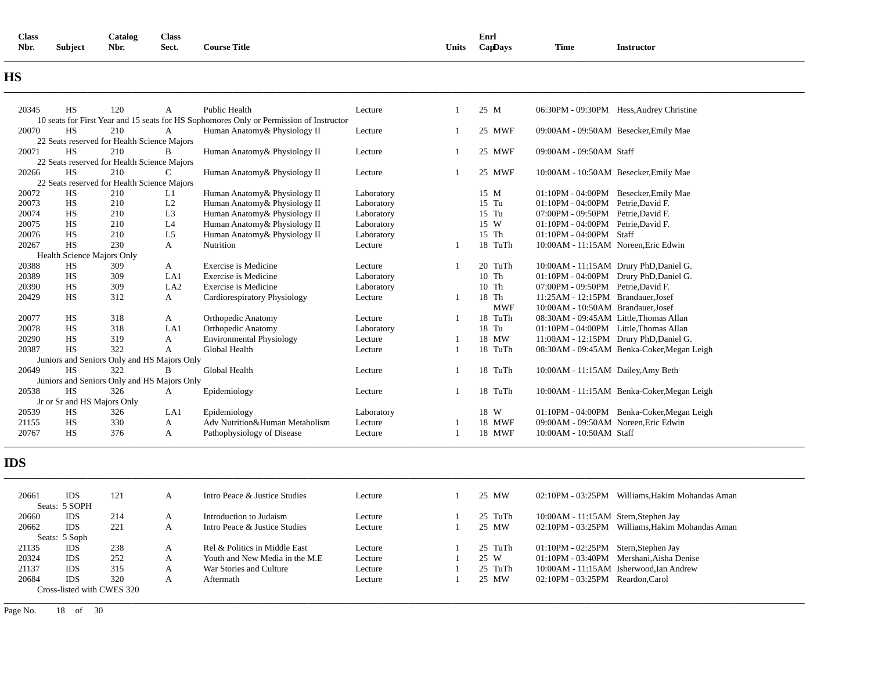| <b>Class</b> |                | Catalog | <b>Class</b> |                     |       | Enrl    |             |                 |
|--------------|----------------|---------|--------------|---------------------|-------|---------|-------------|-----------------|
| Nbr.         | <b>Subject</b> | Nbr.    | Sect.        | <b>Course Title</b> | Units | CapDays | <b>Time</b> | Instructor<br>. |
|              |                |         |              |                     |       |         |             |                 |

### **HS**

| 20345 | <b>HS</b> | 120                                         | A              | Public Health                                                                           | Lecture    |  | 25 M       |                                        | 06:30PM - 09:30PM Hess, Audrey Christine   |
|-------|-----------|---------------------------------------------|----------------|-----------------------------------------------------------------------------------------|------------|--|------------|----------------------------------------|--------------------------------------------|
|       |           |                                             |                | 10 seats for First Year and 15 seats for HS Sophomores Only or Permission of Instructor |            |  |            |                                        |                                            |
| 20070 | <b>HS</b> | 210                                         | A              | Human Anatomy & Physiology II                                                           | Lecture    |  | 25 MWF     | 09:00AM - 09:50AM Besecker, Emily Mae  |                                            |
|       |           | 22 Seats reserved for Health Science Majors |                |                                                                                         |            |  |            |                                        |                                            |
| 20071 | <b>HS</b> | 210                                         | B              | Human Anatomy & Physiology II                                                           | Lecture    |  | 25 MWF     | 09:00AM - 09:50AM Staff                |                                            |
|       |           | 22 Seats reserved for Health Science Majors |                |                                                                                         |            |  |            |                                        |                                            |
| 20266 | <b>HS</b> | 210                                         | C              | Human Anatomy & Physiology II                                                           | Lecture    |  | 25 MWF     | 10:00AM - 10:50AM Besecker, Emily Mae  |                                            |
|       |           | 22 Seats reserved for Health Science Majors |                |                                                                                         |            |  |            |                                        |                                            |
| 20072 | HS        | 210                                         | L1             | Human Anatomy & Physiology II                                                           | Laboratory |  | 15 M       | $01:10PM - 04:00PM$                    | Besecker, Emily Mae                        |
| 20073 | <b>HS</b> | 210                                         | L2             | Human Anatomy & Physiology II                                                           | Laboratory |  | 15 Tu      | $01:10PM - 04:00PM$                    | Petrie.David F.                            |
| 20074 | <b>HS</b> | 210                                         | L <sub>3</sub> | Human Anatomy& Physiology II                                                            | Laboratory |  | 15 Tu      | 07:00PM - 09:50PM                      | Petrie.David F.                            |
| 20075 | <b>HS</b> | 210                                         | L4             | Human Anatomy& Physiology II                                                            | Laboratory |  | 15 W       | 01:10PM - 04:00PM Petrie.David F.      |                                            |
| 20076 | HS        | 210                                         | L <sub>5</sub> | Human Anatomy & Physiology II                                                           | Laboratory |  | 15 Th      | $01:10$ PM - $04:00$ PM Staff          |                                            |
| 20267 | <b>HS</b> | 230                                         | A              | Nutrition                                                                               | Lecture    |  | 18 TuTh    | 10:00AM - 11:15AM Noreen. Eric Edwin   |                                            |
|       |           | Health Science Majors Only                  |                |                                                                                         |            |  |            |                                        |                                            |
| 20388 | HS        | 309                                         | A              | Exercise is Medicine                                                                    | Lecture    |  | 20 TuTh    |                                        | 10:00AM - 11:15AM Drury PhD, Daniel G.     |
| 20389 | HS        | 309                                         | LA1            | Exercise is Medicine                                                                    | Laboratory |  | $10$ Th    | 01:10PM - 04:00PM Drury PhD, Daniel G. |                                            |
| 20390 | <b>HS</b> | 309                                         | LA2            | Exercise is Medicine                                                                    | Laboratory |  | $10$ Th    | 07:00PM - 09:50PM Petrie.David F.      |                                            |
| 20429 | <b>HS</b> | 312                                         | A              | Cardiorespiratory Physiology                                                            | Lecture    |  | 18 Th      | 11:25AM - 12:15PM Brandauer, Josef     |                                            |
|       |           |                                             |                |                                                                                         |            |  | <b>MWF</b> | 10:00AM - 10:50AM Brandauer.Josef      |                                            |
| 20077 | <b>HS</b> | 318                                         | A              | Orthopedic Anatomy                                                                      | Lecture    |  | 18 TuTh    | 08:30AM - 09:45AM Little.Thomas Allan  |                                            |
| 20078 | <b>HS</b> | 318                                         | LA1            | Orthopedic Anatomy                                                                      | Laboratory |  | 18 Tu      | 01:10PM - 04:00PM Little, Thomas Allan |                                            |
| 20290 | <b>HS</b> | 319                                         | A              | <b>Environmental Physiology</b>                                                         | Lecture    |  | 18 MW      | 11:00AM - 12:15PM Drury PhD, Daniel G. |                                            |
| 20387 | <b>HS</b> | 322                                         | A              | Global Health                                                                           | Lecture    |  | 18 TuTh    |                                        | 08:30AM - 09:45AM Benka-Coker, Megan Leigh |
|       |           | Juniors and Seniors Only and HS Majors Only |                |                                                                                         |            |  |            |                                        |                                            |
| 20649 | <b>HS</b> | 322                                         | B              | Global Health                                                                           | Lecture    |  | 18 TuTh    | 10:00AM - 11:15AM Dailey, Amy Beth     |                                            |
|       |           | Juniors and Seniors Only and HS Majors Only |                |                                                                                         |            |  |            |                                        |                                            |
| 20538 | <b>HS</b> | 326                                         | A              | Epidemiology                                                                            | Lecture    |  | 18 TuTh    |                                        | 10:00AM - 11:15AM Benka-Coker, Megan Leigh |
|       |           | Jr or Sr and HS Majors Only                 |                |                                                                                         |            |  |            |                                        |                                            |
| 20539 | <b>HS</b> | 326                                         | LA1            | Epidemiology                                                                            | Laboratory |  | 18 W       |                                        | 01:10PM - 04:00PM Benka-Coker, Megan Leigh |
| 21155 | <b>HS</b> | 330                                         | A              | Adv Nutrition&Human Metabolism                                                          | Lecture    |  | 18 MWF     | 09:00AM - 09:50AM Noreen, Eric Edwin   |                                            |
| 20767 | <b>HS</b> | 376                                         | A              | Pathophysiology of Disease                                                              | Lecture    |  | 18 MWF     | 10:00AM - 10:50AM Staff                |                                            |

### **IDS**

| 20661 | <b>IDS</b><br>Seats: 5 SOPH | 121                        | А | Intro Peace & Justice Studies   | Lecture | 25 MW   | 02:10PM - 03:25PM Williams. Hakim Mohandas Aman |
|-------|-----------------------------|----------------------------|---|---------------------------------|---------|---------|-------------------------------------------------|
| 20660 | <b>IDS</b>                  | 214                        | A | Introduction to Judaism         | Lecture | 25 TuTh | 10:00 AM - 11:15 AM Stern, Stephen Jay          |
|       |                             |                            |   |                                 |         |         |                                                 |
| 20662 | <b>IDS</b>                  | 221                        | А | Intro Peace & Justice Studies   | Lecture | 25 MW   | 02:10PM - 03:25PM Williams. Hakim Mohandas Aman |
|       | Seats: 5 Soph               |                            |   |                                 |         |         |                                                 |
| 21135 | <b>IDS</b>                  | 238                        | А | Rel & Politics in Middle East   | Lecture | 25 TuTh | $01:10PM - 02:25PM$ Stern, Stephen Jay          |
| 20324 | <b>IDS</b>                  | 252                        | А | Youth and New Media in the M.E. | Lecture | 25 W    | 01:10PM - 03:40PM Mershani, Aisha Denise        |
| 21137 | <b>IDS</b>                  | 315                        |   | War Stories and Culture         | Lecture | 25 TuTh | 10:00 AM - 11:15 AM Isherwood, Ian Andrew       |
| 20684 | <b>IDS</b>                  | 320                        | A | Aftermath                       | Lecture | 25 MW   | $02:10PM - 03:25PM$ Reardon.Carol               |
|       |                             | Cross-listed with CWES 320 |   |                                 |         |         |                                                 |
|       |                             |                            |   |                                 |         |         |                                                 |

**\_\_\_\_\_\_\_\_\_\_\_\_\_\_\_\_\_\_\_\_\_\_\_\_\_\_\_\_\_\_\_\_\_\_\_\_\_\_\_\_\_\_\_\_\_\_\_\_\_\_\_\_\_\_\_\_\_\_\_\_\_\_\_\_\_\_\_\_\_\_\_\_\_\_\_\_\_\_\_\_\_\_\_\_\_\_\_\_\_\_\_\_\_\_\_\_\_\_\_\_\_\_\_\_\_\_\_\_\_\_\_\_\_\_\_\_\_\_\_\_\_\_\_\_\_\_\_\_\_\_\_\_\_\_\_\_\_\_\_\_\_\_\_\_\_\_\_\_\_\_\_\_\_\_\_\_\_\_\_\_\_\_\_\_\_\_\_\_\_\_\_\_\_\_\_\_\_\_\_\_\_\_**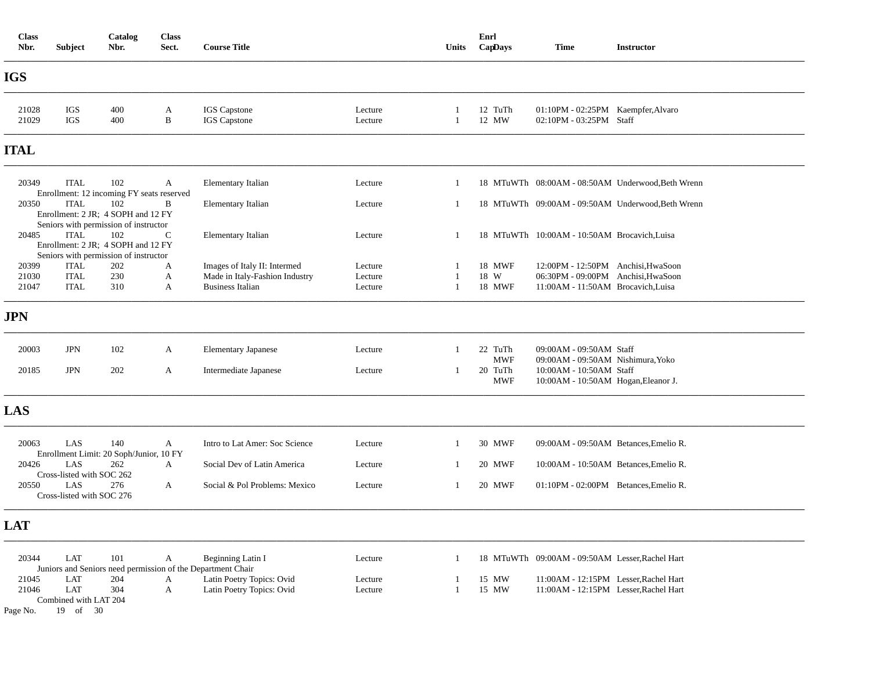| <b>Class</b><br>Nbr.    | <b>Subject</b>                     | Catalog<br>Nbr.                                                                    | <b>Class</b><br>Sect.        | <b>Course Title</b>                                                                       |                               | Units                | Enrl<br>CapDays          | <b>Time</b>                                                                                                    | <b>Instructor</b>                                 |
|-------------------------|------------------------------------|------------------------------------------------------------------------------------|------------------------------|-------------------------------------------------------------------------------------------|-------------------------------|----------------------|--------------------------|----------------------------------------------------------------------------------------------------------------|---------------------------------------------------|
| IGS                     |                                    |                                                                                    |                              |                                                                                           |                               |                      |                          |                                                                                                                |                                                   |
| 21028<br>21029          | IGS<br><b>IGS</b>                  | 400<br>400                                                                         | $\mathbf{A}$<br>$\, {\bf B}$ | <b>IGS</b> Capstone<br>IGS Capstone                                                       | Lecture<br>Lecture            | 1<br>$\overline{1}$  | 12 TuTh<br>12 MW         | 01:10PM - 02:25PM Kaempfer, Alvaro<br>02:10PM - 03:25PM Staff                                                  |                                                   |
| ITAL                    |                                    |                                                                                    |                              |                                                                                           |                               |                      |                          |                                                                                                                |                                                   |
| 20349                   | <b>ITAL</b>                        | 102<br>Enrollment: 12 incoming FY seats reserved                                   | A                            | <b>Elementary Italian</b>                                                                 | Lecture                       | 1                    |                          |                                                                                                                | 18 MTuWTh 08:00AM - 08:50AM Underwood, Beth Wrenn |
| 20350                   | <b>ITAL</b>                        | 102<br>Enrollment: 2 JR; 4 SOPH and 12 FY                                          | B                            | Elementary Italian                                                                        | Lecture                       | 1                    |                          |                                                                                                                | 18 MTuWTh 09:00AM - 09:50AM Underwood, Beth Wrenn |
| 20485                   | <b>ITAL</b>                        | Seniors with permission of instructor<br>102<br>Enrollment: 2 JR; 4 SOPH and 12 FY | C                            | <b>Elementary Italian</b>                                                                 | Lecture                       | -1                   |                          | 18 MTuWTh 10:00AM - 10:50AM Brocavich, Luisa                                                                   |                                                   |
| 20399<br>21030<br>21047 | ITAL<br><b>ITAL</b><br><b>ITAL</b> | Seniors with permission of instructor<br>202<br>230<br>310                         | A<br>A<br>$\mathbf{A}$       | Images of Italy II: Intermed<br>Made in Italy-Fashion Industry<br><b>Business Italian</b> | Lecture<br>Lecture<br>Lecture | 1<br>$\overline{1}$  | 18 MWF<br>18 W<br>18 MWF | 12:00PM - 12:50PM Anchisi, HwaSoon<br>06:30PM - 09:00PM Anchisi, HwaSoon<br>11:00AM - 11:50AM Brocavich, Luisa |                                                   |
| JPN                     |                                    |                                                                                    |                              |                                                                                           |                               |                      |                          |                                                                                                                |                                                   |
| 20003                   | <b>JPN</b>                         | 102                                                                                | A                            | <b>Elementary Japanese</b>                                                                | Lecture                       | 1                    | 22 TuTh<br><b>MWF</b>    | 09:00AM - 09:50AM Staff<br>09:00AM - 09:50AM Nishimura, Yoko                                                   |                                                   |
| 20185                   | <b>JPN</b>                         | 202                                                                                | A                            | Intermediate Japanese                                                                     | Lecture                       | 1                    | 20 TuTh<br><b>MWF</b>    | 10:00AM - 10:50AM Staff<br>10:00AM - 10:50AM Hogan, Eleanor J.                                                 |                                                   |
| LAS                     |                                    |                                                                                    |                              |                                                                                           |                               |                      |                          |                                                                                                                |                                                   |
| 20063                   | LAS                                | 140<br>Enrollment Limit: 20 Soph/Junior, 10 FY                                     | A                            | Intro to Lat Amer: Soc Science                                                            | Lecture                       | 1                    | 30 MWF                   | 09:00AM - 09:50AM Betances, Emelio R.                                                                          |                                                   |
| 20426                   | LAS<br>Cross-listed with SOC 262   | 262                                                                                | A                            | Social Dev of Latin America                                                               | Lecture                       |                      | 20 MWF                   | 10:00AM - 10:50AM Betances, Emelio R.                                                                          |                                                   |
| 20550                   | LAS<br>Cross-listed with SOC 276   | 276                                                                                | $\mathbf{A}$                 | Social & Pol Problems: Mexico                                                             | Lecture                       | -1                   | 20 MWF                   | 01:10PM - 02:00PM Betances, Emelio R.                                                                          |                                                   |
| LAT                     |                                    |                                                                                    |                              |                                                                                           |                               |                      |                          |                                                                                                                |                                                   |
| 20344                   | LAT                                | 101                                                                                | A                            | Beginning Latin I<br>Juniors and Seniors need permission of the Department Chair          | Lecture                       | 1                    |                          | 18 MTuWTh 09:00AM - 09:50AM Lesser, Rachel Hart                                                                |                                                   |
| 21045<br>21046          | LAT<br><b>LAT</b>                  | 204<br>304                                                                         | A<br>A                       | Latin Poetry Topics: Ovid<br>Latin Poetry Topics: Ovid                                    | Lecture<br>Lecture            | -1<br>$\overline{1}$ | 15 MW<br>15 MW           | 11:00AM - 12:15PM Lesser, Rachel Hart<br>11:00AM - 12:15PM Lesser, Rachel Hart                                 |                                                   |

Combined with LAT 204<br>Page No. 19 of 30

19 of 30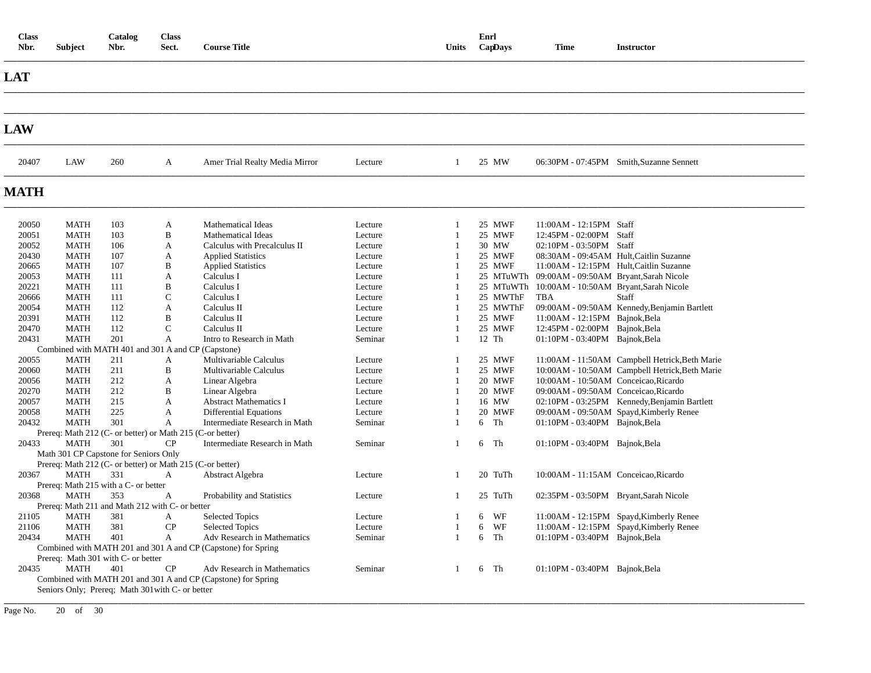| <b>Class</b><br>Nbr. | <b>Subject</b>             | Catalog<br>Nbr.                                                  | <b>Class</b><br>Sect. | <b>Course Title</b>                                           |                    | <b>Units</b>                     | Enrl<br>CapDays |           | <b>Time</b>                                                        | <b>Instructor</b>                              |
|----------------------|----------------------------|------------------------------------------------------------------|-----------------------|---------------------------------------------------------------|--------------------|----------------------------------|-----------------|-----------|--------------------------------------------------------------------|------------------------------------------------|
| LAT                  |                            |                                                                  |                       |                                                               |                    |                                  |                 |           |                                                                    |                                                |
|                      |                            |                                                                  |                       |                                                               |                    |                                  |                 |           |                                                                    |                                                |
| <b>LAW</b>           |                            |                                                                  |                       |                                                               |                    |                                  |                 |           |                                                                    |                                                |
| 20407                | LAW                        | 260                                                              | A                     | Amer Trial Realty Media Mirror                                | Lecture            | -1                               | 25 MW           |           |                                                                    | 06:30PM - 07:45PM Smith, Suzanne Sennett       |
| <b>MATH</b>          |                            |                                                                  |                       |                                                               |                    |                                  |                 |           |                                                                    |                                                |
| 20050                | <b>MATH</b>                | 103                                                              | A                     | <b>Mathematical Ideas</b>                                     | Lecture            | 1                                | 25 MWF          |           | 11:00AM - 12:15PM Staff                                            |                                                |
| 20051                | <b>MATH</b>                | 103                                                              | $\mathbf B$           | <b>Mathematical Ideas</b>                                     | Lecture            |                                  | 25 MWF          |           | 12:45PM - 02:00PM Staff                                            |                                                |
| 20052<br>20430       | <b>MATH</b><br><b>MATH</b> | 106<br>107                                                       | A<br>A                | Calculus with Precalculus II<br><b>Applied Statistics</b>     | Lecture<br>Lecture | $\overline{1}$<br>$\mathbf{1}$   | 30 MW<br>25 MWF |           | 02:10PM - 03:50PM Staff<br>08:30AM - 09:45AM Hult, Caitlin Suzanne |                                                |
| 20665                | <b>MATH</b>                | 107                                                              | B                     | <b>Applied Statistics</b>                                     | Lecture            | -1                               | 25 MWF          |           | 11:00AM - 12:15PM Hult, Caitlin Suzanne                            |                                                |
| 20053                | <b>MATH</b>                | 111                                                              | $\mathbf{A}$          | Calculus I                                                    | Lecture            | $\overline{1}$                   |                 |           | 25 MTuWTh 09:00AM - 09:50AM Bryant,Sarah Nicole                    |                                                |
| 20221                | <b>MATH</b>                | 111                                                              | B                     | Calculus I                                                    | Lecture            | $\overline{1}$                   |                 | 25 MTuWTh | 10:00AM - 10:50AM Bryant, Sarah Nicole                             |                                                |
| 20666                | <b>MATH</b>                | 111                                                              | $\mathsf{C}$          | Calculus I                                                    | Lecture            | $\overline{1}$                   |                 | 25 MWThF  | TBA                                                                | Staff                                          |
| 20054                | <b>MATH</b>                | 112                                                              | A                     | Calculus II                                                   | Lecture            | $\overline{1}$                   |                 | 25 MWThF  |                                                                    | 09:00AM - 09:50AM Kennedy, Benjamin Bartlett   |
| 20391                | <b>MATH</b>                | 112                                                              | B                     | Calculus II                                                   | Lecture            | $\overline{1}$                   | 25 MWF          |           | 11:00AM - 12:15PM Bajnok, Bela                                     |                                                |
| 20470                | <b>MATH</b>                | 112                                                              | $\mathcal{C}$         | Calculus II                                                   | Lecture            | $\overline{1}$                   | 25 MWF          |           | 12:45PM - 02:00PM Bajnok, Bela                                     |                                                |
| 20431                | <b>MATH</b>                | 201                                                              | A                     | Intro to Research in Math                                     | Seminar            | $\overline{1}$                   | 12 Th           |           | 01:10PM - 03:40PM Bajnok, Bela                                     |                                                |
|                      |                            | Combined with MATH 401 and 301 A and CP (Capstone)               |                       |                                                               |                    |                                  |                 |           |                                                                    |                                                |
| 20055                | <b>MATH</b>                | 211                                                              | A                     | Multivariable Calculus                                        | Lecture            | 1                                | 25 MWF          |           |                                                                    | 11:00AM - 11:50AM Campbell Hetrick, Beth Marie |
| 20060                | <b>MATH</b>                | 211                                                              | B                     | Multivariable Calculus                                        | Lecture            | $\overline{1}$                   | 25 MWF          |           |                                                                    | 10:00AM - 10:50AM Campbell Hetrick, Beth Marie |
| 20056                | <b>MATH</b>                | 212                                                              | A                     | Linear Algebra                                                | Lecture            | $\overline{1}$                   | 20 MWF          |           | 10:00AM - 10:50AM Conceicao.Ricardo                                |                                                |
| 20270                | <b>MATH</b>                | 212                                                              | $\, {\bf B}$          | Linear Algebra                                                | Lecture            | $\overline{1}$                   | 20 MWF          |           | 09:00AM - 09:50AM Conceicao, Ricardo                               |                                                |
| 20057                | <b>MATH</b>                | 215                                                              | A                     | <b>Abstract Mathematics I</b>                                 | Lecture            | $\overline{1}$                   | 16 MW           |           |                                                                    | 02:10PM - 03:25PM Kennedy, Benjamin Bartlett   |
| 20058                | <b>MATH</b>                | 225                                                              | A                     | Differential Equations                                        | Lecture            | $\overline{1}$<br>$\overline{1}$ | 20 MWF          |           |                                                                    | 09:00AM - 09:50AM Spayd, Kimberly Renee        |
| 20432                | <b>MATH</b>                | 301                                                              | $\mathbf{A}$          | Intermediate Research in Math                                 | Seminar            |                                  | $6$ Th          |           | 01:10PM - 03:40PM Bajnok, Bela                                     |                                                |
| 20433                | <b>MATH</b>                | Prereq: Math 212 (C- or better) or Math 215 (C-or better)<br>301 | CP                    | Intermediate Research in Math                                 | Seminar            | $\overline{1}$                   | 6               | Th        | 01:10PM - 03:40PM Bajnok, Bela                                     |                                                |
|                      |                            | Math 301 CP Capstone for Seniors Only                            |                       |                                                               |                    |                                  |                 |           |                                                                    |                                                |
|                      |                            | Prereq: Math 212 (C- or better) or Math 215 (C-or better)        |                       |                                                               |                    |                                  |                 |           |                                                                    |                                                |
| 20367                | <b>MATH</b>                | 331                                                              | A                     | Abstract Algebra                                              | Lecture            | 1                                | 20 TuTh         |           | 10:00AM - 11:15AM Conceicao, Ricardo                               |                                                |
|                      |                            | Prereq: Math 215 with a C- or better                             |                       |                                                               |                    |                                  |                 |           |                                                                    |                                                |
| 20368                | <b>MATH</b>                | 353                                                              | $\mathbf{A}$          | Probability and Statistics                                    | Lecture            | $\mathbf{1}$                     | 25 TuTh         |           | 02:35PM - 03:50PM Bryant, Sarah Nicole                             |                                                |
|                      |                            | Prereq: Math 211 and Math 212 with C- or better                  |                       |                                                               |                    |                                  |                 |           |                                                                    |                                                |
| 21105                | <b>MATH</b>                | 381                                                              | $\mathbf{A}$          | <b>Selected Topics</b>                                        | Lecture            | 1                                | 6               | WF        |                                                                    | 11:00AM - 12:15PM Spayd, Kimberly Renee        |
| 21106                | MATH                       | 381                                                              | CP                    | <b>Selected Topics</b>                                        | Lecture            | $\overline{1}$                   | 6               | WF        |                                                                    | 11:00AM - 12:15PM Spayd, Kimberly Renee        |
| 20434                | <b>MATH</b>                | 401                                                              | $\mathbf{A}$          | Adv Research in Mathematics                                   | Seminar            | $\overline{1}$                   | 6               | Th        | 01:10PM - 03:40PM Bajnok, Bela                                     |                                                |
|                      |                            |                                                                  |                       | Combined with MATH 201 and 301 A and CP (Capstone) for Spring |                    |                                  |                 |           |                                                                    |                                                |
|                      |                            | Prereq: Math 301 with C- or better                               |                       |                                                               |                    |                                  |                 |           |                                                                    |                                                |
| 20435                | <b>MATH</b>                | 401                                                              | CP                    | Adv Research in Mathematics                                   | Seminar            | $\overline{1}$                   | $6$ Th          |           | $01:10$ PM - $03:40$ PM Bajnok, Bela                               |                                                |
|                      |                            |                                                                  |                       | Combined with MATH 201 and 301 A and CP (Capstone) for Spring |                    |                                  |                 |           |                                                                    |                                                |
|                      |                            | Seniors Only; Prereq; Math 301 with C- or better                 |                       |                                                               |                    |                                  |                 |           |                                                                    |                                                |
|                      |                            |                                                                  |                       |                                                               |                    |                                  |                 |           |                                                                    |                                                |

Page No. 20 of 30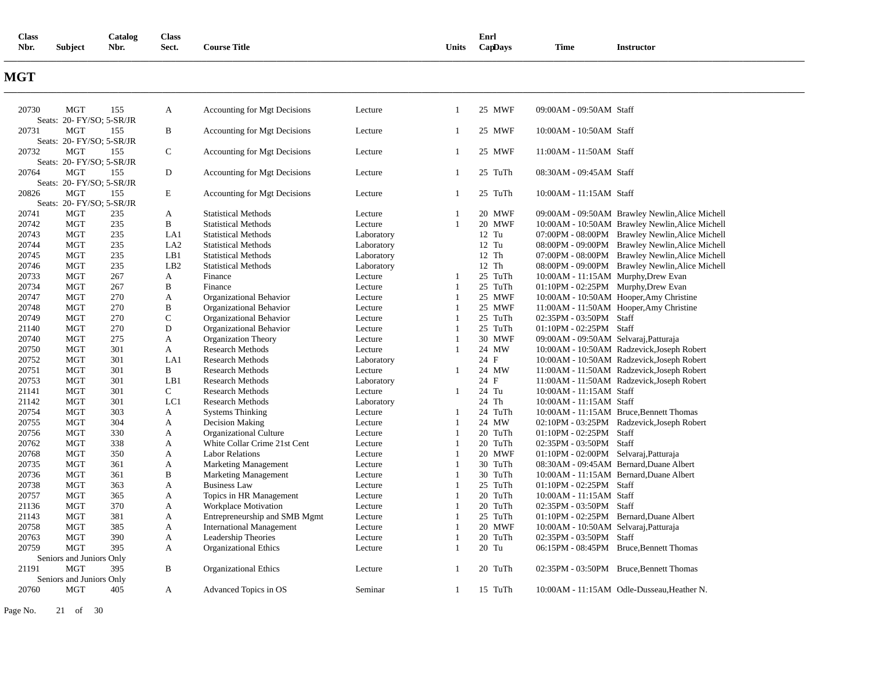| <b>Class</b><br>Nbr. | <b>Subject</b>                          | Catalog<br>Nbr. | <b>Class</b><br>Sect. | <b>Course Title</b>                          |                    | Units                        | Enrl<br>CapDays    | Time                                               | <b>Instructor</b>                               |
|----------------------|-----------------------------------------|-----------------|-----------------------|----------------------------------------------|--------------------|------------------------------|--------------------|----------------------------------------------------|-------------------------------------------------|
| <b>MGT</b>           |                                         |                 |                       |                                              |                    |                              |                    |                                                    |                                                 |
| 20730                | <b>MGT</b><br>Seats: 20- FY/SO; 5-SR/JR | 155             | A                     | <b>Accounting for Mgt Decisions</b>          | Lecture            | 1                            | 25 MWF             | 09:00AM - 09:50AM Staff                            |                                                 |
| 20731                | <b>MGT</b><br>Seats: 20- FY/SO; 5-SR/JR | 155             | B                     | Accounting for Mgt Decisions                 | Lecture            | $\mathbf{1}$                 | 25 MWF             | 10:00AM - 10:50AM Staff                            |                                                 |
| 20732                | <b>MGT</b><br>Seats: 20- FY/SO; 5-SR/JR | 155             | $\mathbf C$           | <b>Accounting for Mgt Decisions</b>          | Lecture            | $\mathbf{1}$                 | 25 MWF             | 11:00AM - 11:50AM Staff                            |                                                 |
| 20764                | <b>MGT</b><br>Seats: 20- FY/SO; 5-SR/JR | 155             | D                     | Accounting for Mgt Decisions                 | Lecture            | $\mathbf{1}$                 | 25 TuTh            | 08:30AM - 09:45AM Staff                            |                                                 |
| 20826                | <b>MGT</b><br>Seats: 20- FY/SO; 5-SR/JR | 155             | E                     | Accounting for Mgt Decisions                 | Lecture            | 1                            | 25 TuTh            | 10:00AM - 11:15AM Staff                            |                                                 |
| 20741                | <b>MGT</b>                              | 235             | A                     | <b>Statistical Methods</b>                   | Lecture            | $\mathbf{1}$                 | 20 MWF             |                                                    | 09:00AM - 09:50AM Brawley Newlin, Alice Michell |
| 20742                | <b>MGT</b>                              | 235             | B                     | <b>Statistical Methods</b>                   | Lecture            | $\mathbf{1}$                 | 20 MWF             |                                                    | 10:00AM - 10:50AM Brawley Newlin, Alice Michell |
| 20743                | <b>MGT</b>                              | 235             | LA1                   | <b>Statistical Methods</b>                   | Laboratory         |                              | 12 Tu              |                                                    | 07:00PM - 08:00PM Brawley Newlin, Alice Michell |
| 20744                | <b>MGT</b>                              | 235             | LA <sub>2</sub>       | <b>Statistical Methods</b>                   | Laboratory         |                              | 12 Tu              |                                                    | 08:00PM - 09:00PM Brawley Newlin, Alice Michell |
| 20745                | <b>MGT</b>                              | 235             | LB1                   | <b>Statistical Methods</b>                   | Laboratory         |                              | 12 Th              |                                                    | 07:00PM - 08:00PM Brawley Newlin, Alice Michell |
| 20746                | <b>MGT</b>                              | 235             | LB2                   | <b>Statistical Methods</b>                   | Laboratory         |                              | 12 Th              |                                                    | 08:00PM - 09:00PM Brawley Newlin, Alice Michell |
| 20733                | MGT                                     | 267             | A                     | Finance                                      | Lecture            | -1                           | 25 TuTh            | 10:00AM - 11:15AM Murphy, Drew Evan                |                                                 |
| 20734                | <b>MGT</b>                              | 267             | B                     | Finance                                      | Lecture            | 1                            | 25 TuTh            | 01:10PM - 02:25PM Murphy, Drew Evan                |                                                 |
| 20747                | <b>MGT</b>                              | 270             | A                     | Organizational Behavior                      | Lecture            | -1                           | 25 MWF             |                                                    | 10:00AM - 10:50AM Hooper, Amy Christine         |
| 20748                | <b>MGT</b>                              | 270             | B                     | Organizational Behavior                      | Lecture            | -1                           | 25 MWF             |                                                    | 11:00AM - 11:50AM Hooper, Amy Christine         |
| 20749                | <b>MGT</b>                              | 270             | C                     | Organizational Behavior                      | Lecture            | $\overline{1}$               | 25 TuTh            | 02:35PM - 03:50PM Staff                            |                                                 |
| 21140                | <b>MGT</b>                              | 270             | D                     | Organizational Behavior                      | Lecture            | 1                            | 25 TuTh            | 01:10PM - 02:25PM Staff                            |                                                 |
| 20740                | <b>MGT</b>                              | 275             | A                     | Organization Theory                          | Lecture            | $\mathbf{1}$                 | 30 MWF             | 09:00AM - 09:50AM Selvaraj, Patturaja              |                                                 |
| 20750                | <b>MGT</b>                              | 301             | A                     | <b>Research Methods</b>                      | Lecture            | 1                            | 24 MW              |                                                    | 10:00AM - 10:50AM Radzevick, Joseph Robert      |
| 20752                | <b>MGT</b>                              | 301             | LA1                   | <b>Research Methods</b>                      | Laboratory         |                              | 24 F               |                                                    | 10:00AM - 10:50AM Radzevick, Joseph Robert      |
| 20751                | <b>MGT</b>                              | 301             | B                     | Research Methods                             | Lecture            | -1                           | 24 MW              |                                                    | 11:00AM - 11:50AM Radzevick, Joseph Robert      |
| 20753                | <b>MGT</b>                              | 301             | LB1                   | <b>Research Methods</b>                      | Laboratory         |                              | 24 F               |                                                    | 11:00AM - 11:50AM Radzevick, Joseph Robert      |
| 21141                | <b>MGT</b>                              | 301             | $\mathsf{C}$          | <b>Research Methods</b>                      | Lecture            | 1                            | 24 Tu              | 10:00AM - 11:15AM Staff                            |                                                 |
| 21142                | <b>MGT</b>                              | 301             | LC1                   | <b>Research Methods</b>                      | Laboratory         |                              | 24 Th              | 10:00AM - 11:15AM Staff                            |                                                 |
| 20754                | <b>MGT</b>                              | 303             | A                     | <b>Systems Thinking</b>                      | Lecture            | 1                            | 24 TuTh            |                                                    | 10:00AM - 11:15AM Bruce, Bennett Thomas         |
| 20755                | MGT                                     | 304             | A                     | Decision Making                              | Lecture            | $\mathbf{1}$                 | 24 MW              |                                                    | 02:10PM - 03:25PM Radzevick, Joseph Robert      |
| 20756                | MGT                                     | 330<br>338      | A                     | Organizational Culture                       | Lecture            | $\mathbf{1}$<br>$\mathbf{1}$ | 20 TuTh<br>20 TuTh | 01:10PM - 02:25PM Staff<br>02:35PM - 03:50PM Staff |                                                 |
| 20762                | <b>MGT</b><br><b>MGT</b>                | 350             | A<br>A                | White Collar Crime 21st Cent                 | Lecture            | 1                            | 20 MWF             | 01:10PM - 02:00PM Selvaraj, Patturaja              |                                                 |
| 20768<br>20735       | <b>MGT</b>                              | 361             | A                     | <b>Labor Relations</b>                       | Lecture<br>Lecture | $\mathbf{1}$                 | 30 TuTh            |                                                    | 08:30AM - 09:45AM Bernard, Duane Albert         |
| 20736                | <b>MGT</b>                              | 361             | B                     | Marketing Management<br>Marketing Management | Lecture            | $\mathbf{1}$                 | 30 TuTh            |                                                    | 10:00AM - 11:15AM Bernard, Duane Albert         |
| 20738                | <b>MGT</b>                              | 363             | A                     | <b>Business Law</b>                          | Lecture            | $\mathbf{1}$                 | 25 TuTh            | 01:10PM - 02:25PM Staff                            |                                                 |
| 20757                | <b>MGT</b>                              | 365             | A                     | Topics in HR Management                      | Lecture            | $\mathbf{1}$                 | 20 TuTh            | 10:00AM - 11:15AM Staff                            |                                                 |
| 21136                | <b>MGT</b>                              | 370             | A                     | Workplace Motivation                         | Lecture            | $\mathbf{1}$                 | 20 TuTh            | 02:35PM - 03:50PM Staff                            |                                                 |
| 21143                | MGT                                     | 381             | A                     | Entrepreneurship and SMB Mgmt                | Lecture            | 1                            | 25 TuTh            |                                                    | 01:10PM - 02:25PM Bernard, Duane Albert         |
| 20758                | <b>MGT</b>                              | 385             | A                     | <b>International Management</b>              | Lecture            | $\mathbf{1}$                 | 20 MWF             | 10:00AM - 10:50AM Selvaraj, Patturaja              |                                                 |
| 20763                | <b>MGT</b>                              | 390             | A                     | Leadership Theories                          | Lecture            | $\mathbf{1}$                 | 20 TuTh            | 02:35PM - 03:50PM Staff                            |                                                 |
| 20759                | <b>MGT</b>                              | 395             | A                     | Organizational Ethics                        | Lecture            | 1                            | 20 Tu              |                                                    | 06:15PM - 08:45PM Bruce, Bennett Thomas         |
|                      | Seniors and Juniors Only                |                 |                       |                                              |                    |                              |                    |                                                    |                                                 |
| 21191                | <b>MGT</b>                              | 395             | B                     | Organizational Ethics                        | Lecture            | $\mathbf{1}$                 | 20 TuTh            |                                                    | 02:35PM - 03:50PM Bruce, Bennett Thomas         |
|                      | Seniors and Juniors Only                |                 |                       |                                              |                    |                              |                    |                                                    |                                                 |
| 20760                | <b>MGT</b>                              | 405             | A                     | Advanced Topics in OS                        | Seminar            | 1                            | 15 TuTh            |                                                    | 10:00AM - 11:15AM Odle-Dusseau, Heather N.      |

Page No. 21 of 30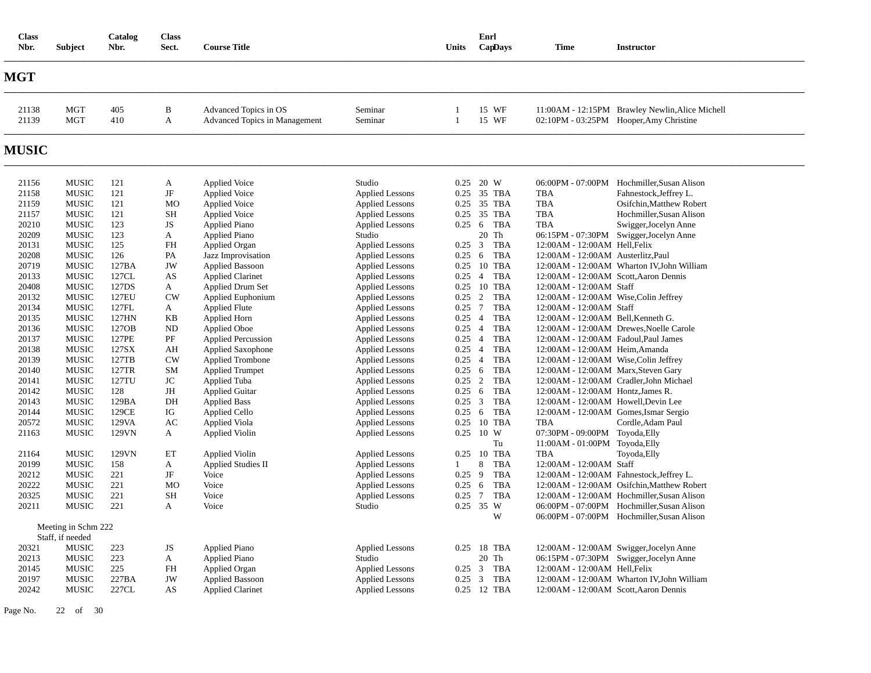| <b>Class</b><br>Nbr.                                                                                                                                                                                                                            | <b>Subject</b>                                                                                                                                                                                                                                                                                                                                                                                                                               | Catalog<br>Nbr.                                                                                                                                                                                                             | <b>Class</b><br>Sect.                                                                                                                                                                                                           | <b>Course Title</b>                                                                                                                                                                                                                                                                                                                                                                                                                                                                                                                                                                                                                             |                                                                                                                                                                                                                                                                                                                                                                                                                                                                                                                                                                                                                                                                                            | Units                                                                                                                                                                                                   |                                                                                                 | Enrl<br>CapDays                                                                                                                                                                                                                                                                                                                             | <b>Time</b>                                                                                                                                                                                                                                                                                                                                                                                                                                                                                                                                                                                                                                                         | <b>Instructor</b>                                                                                                                                                                                                                                                                                                                                                                                                  |
|-------------------------------------------------------------------------------------------------------------------------------------------------------------------------------------------------------------------------------------------------|----------------------------------------------------------------------------------------------------------------------------------------------------------------------------------------------------------------------------------------------------------------------------------------------------------------------------------------------------------------------------------------------------------------------------------------------|-----------------------------------------------------------------------------------------------------------------------------------------------------------------------------------------------------------------------------|---------------------------------------------------------------------------------------------------------------------------------------------------------------------------------------------------------------------------------|-------------------------------------------------------------------------------------------------------------------------------------------------------------------------------------------------------------------------------------------------------------------------------------------------------------------------------------------------------------------------------------------------------------------------------------------------------------------------------------------------------------------------------------------------------------------------------------------------------------------------------------------------|--------------------------------------------------------------------------------------------------------------------------------------------------------------------------------------------------------------------------------------------------------------------------------------------------------------------------------------------------------------------------------------------------------------------------------------------------------------------------------------------------------------------------------------------------------------------------------------------------------------------------------------------------------------------------------------------|---------------------------------------------------------------------------------------------------------------------------------------------------------------------------------------------------------|-------------------------------------------------------------------------------------------------|---------------------------------------------------------------------------------------------------------------------------------------------------------------------------------------------------------------------------------------------------------------------------------------------------------------------------------------------|---------------------------------------------------------------------------------------------------------------------------------------------------------------------------------------------------------------------------------------------------------------------------------------------------------------------------------------------------------------------------------------------------------------------------------------------------------------------------------------------------------------------------------------------------------------------------------------------------------------------------------------------------------------------|--------------------------------------------------------------------------------------------------------------------------------------------------------------------------------------------------------------------------------------------------------------------------------------------------------------------------------------------------------------------------------------------------------------------|
| <b>MGT</b>                                                                                                                                                                                                                                      |                                                                                                                                                                                                                                                                                                                                                                                                                                              |                                                                                                                                                                                                                             |                                                                                                                                                                                                                                 |                                                                                                                                                                                                                                                                                                                                                                                                                                                                                                                                                                                                                                                 |                                                                                                                                                                                                                                                                                                                                                                                                                                                                                                                                                                                                                                                                                            |                                                                                                                                                                                                         |                                                                                                 |                                                                                                                                                                                                                                                                                                                                             |                                                                                                                                                                                                                                                                                                                                                                                                                                                                                                                                                                                                                                                                     |                                                                                                                                                                                                                                                                                                                                                                                                                    |
| 21138<br>21139                                                                                                                                                                                                                                  | <b>MGT</b><br><b>MGT</b>                                                                                                                                                                                                                                                                                                                                                                                                                     | 405<br>410                                                                                                                                                                                                                  | $\, {\bf B}$<br>$\mathbf{A}$                                                                                                                                                                                                    | Advanced Topics in OS<br>Advanced Topics in Management                                                                                                                                                                                                                                                                                                                                                                                                                                                                                                                                                                                          | Seminar<br>Seminar                                                                                                                                                                                                                                                                                                                                                                                                                                                                                                                                                                                                                                                                         | $\mathbf{1}$                                                                                                                                                                                            |                                                                                                 | 15 WF<br>15 WF                                                                                                                                                                                                                                                                                                                              |                                                                                                                                                                                                                                                                                                                                                                                                                                                                                                                                                                                                                                                                     | 11:00AM - 12:15PM Brawley Newlin, Alice Michell<br>02:10PM - 03:25PM Hooper, Amy Christine                                                                                                                                                                                                                                                                                                                         |
| <b>MUSIC</b>                                                                                                                                                                                                                                    |                                                                                                                                                                                                                                                                                                                                                                                                                                              |                                                                                                                                                                                                                             |                                                                                                                                                                                                                                 |                                                                                                                                                                                                                                                                                                                                                                                                                                                                                                                                                                                                                                                 |                                                                                                                                                                                                                                                                                                                                                                                                                                                                                                                                                                                                                                                                                            |                                                                                                                                                                                                         |                                                                                                 |                                                                                                                                                                                                                                                                                                                                             |                                                                                                                                                                                                                                                                                                                                                                                                                                                                                                                                                                                                                                                                     |                                                                                                                                                                                                                                                                                                                                                                                                                    |
| 21156<br>21158<br>21159<br>21157<br>20210<br>20209<br>20131<br>20208<br>20719<br>20133<br>20408<br>20132<br>20134<br>20135<br>20136<br>20137<br>20138<br>20139<br>20140<br>20141<br>20142<br>20143<br>20144<br>20572<br>21163<br>21164<br>20199 | <b>MUSIC</b><br><b>MUSIC</b><br><b>MUSIC</b><br><b>MUSIC</b><br><b>MUSIC</b><br><b>MUSIC</b><br><b>MUSIC</b><br><b>MUSIC</b><br><b>MUSIC</b><br><b>MUSIC</b><br><b>MUSIC</b><br><b>MUSIC</b><br><b>MUSIC</b><br><b>MUSIC</b><br><b>MUSIC</b><br><b>MUSIC</b><br><b>MUSIC</b><br><b>MUSIC</b><br><b>MUSIC</b><br><b>MUSIC</b><br><b>MUSIC</b><br><b>MUSIC</b><br><b>MUSIC</b><br><b>MUSIC</b><br><b>MUSIC</b><br><b>MUSIC</b><br><b>MUSIC</b> | 121<br>121<br>121<br>121<br>123<br>123<br>125<br>126<br>127BA<br>127CL<br>127DS<br>127EU<br>127FL<br>127HN<br>127OB<br>127PE<br>127SX<br>127TB<br>127TR<br>127TU<br>128<br>129BA<br>129CE<br>129VA<br>129VN<br>129VN<br>158 | A<br>$\rm{JF}$<br>M <sub>O</sub><br><b>SH</b><br>JS<br>A<br>FH<br>PA<br>JW<br>AS<br>A<br><b>CW</b><br>A<br>KB<br><b>ND</b><br>$\rm PF$<br>AH<br><b>CW</b><br><b>SM</b><br>JC<br>JH<br>DH<br>IG<br>AC<br>A<br>ET<br>$\mathbf{A}$ | <b>Applied Voice</b><br><b>Applied Voice</b><br>Applied Voice<br>Applied Voice<br><b>Applied Piano</b><br><b>Applied Piano</b><br>Applied Organ<br>Jazz Improvisation<br><b>Applied Bassoon</b><br><b>Applied Clarinet</b><br>Applied Drum Set<br>Applied Euphonium<br><b>Applied Flute</b><br>Applied Horn<br><b>Applied Oboe</b><br><b>Applied Percussion</b><br><b>Applied Saxophone</b><br><b>Applied Trombone</b><br><b>Applied Trumpet</b><br>Applied Tuba<br><b>Applied Guitar</b><br><b>Applied Bass</b><br><b>Applied Cello</b><br><b>Applied Viola</b><br><b>Applied Violin</b><br><b>Applied Violin</b><br><b>Applied Studies II</b> | Studio<br><b>Applied Lessons</b><br><b>Applied Lessons</b><br><b>Applied Lessons</b><br><b>Applied Lessons</b><br>Studio<br><b>Applied Lessons</b><br><b>Applied Lessons</b><br><b>Applied Lessons</b><br><b>Applied Lessons</b><br><b>Applied Lessons</b><br><b>Applied Lessons</b><br><b>Applied Lessons</b><br><b>Applied Lessons</b><br><b>Applied Lessons</b><br><b>Applied Lessons</b><br><b>Applied Lessons</b><br><b>Applied Lessons</b><br><b>Applied Lessons</b><br><b>Applied Lessons</b><br><b>Applied Lessons</b><br><b>Applied Lessons</b><br><b>Applied Lessons</b><br><b>Applied Lessons</b><br><b>Applied Lessons</b><br><b>Applied Lessons</b><br><b>Applied Lessons</b> | 0.25 20 W<br>0.25<br>0.25<br>0.25<br>$0.25$ 7<br>0.25<br>$0.25 \quad 4$<br>$0.25 \quad 4$<br>0.25<br>0.25<br>$0.25 \quad 6$<br>0.25<br>0.25<br>$0.25 \quad 3$<br>0.25<br>0.25<br>0.25 10 W<br>0.25<br>1 | 6<br>$\overline{4}$<br>$\overline{4}$<br>$\overline{4}$<br>2<br>6<br>6<br>10<br>$8\phantom{.0}$ | 35 TBA<br>0.25 35 TBA<br>0.25 35 TBA<br>0.25 6 TBA<br>20 Th<br>3 TBA<br><b>TBA</b><br>0.25 10 TBA<br>0.25 4 TBA<br>0.25 10 TBA<br>0.25 2 TBA<br><b>TBA</b><br><b>TBA</b><br><b>TBA</b><br><b>TBA</b><br><b>TBA</b><br><b>TBA</b><br><b>TBA</b><br><b>TBA</b><br><b>TBA</b><br>TBA<br><b>TBA</b><br>10 TBA<br>Tu<br><b>TBA</b><br><b>TBA</b> | <b>TBA</b><br><b>TBA</b><br><b>TBA</b><br><b>TBA</b><br>12:00AM - 12:00AM Hell, Felix<br>12:00AM - 12:00AM Austerlitz, Paul<br>12:00AM - 12:00AM Scott, Aaron Dennis<br>12:00AM - 12:00AM Staff<br>12:00AM - 12:00AM Wise, Colin Jeffrey<br>12:00AM - 12:00AM Staff<br>12:00AM - 12:00AM Bell, Kenneth G.<br>12:00AM - 12:00AM Fadoul, Paul James<br>12:00AM - 12:00AM Heim, Amanda<br>12:00AM - 12:00AM Wise, Colin Jeffrey<br>12:00AM - 12:00AM Marx, Steven Gary<br>12:00AM - 12:00AM Hontz, James R.<br>12:00AM - 12:00AM Howell, Devin Lee<br>TBA<br>07:30PM - 09:00PM Toyoda, Elly<br>11:00AM - 01:00PM Toyoda, Elly<br><b>TBA</b><br>12:00AM - 12:00AM Staff | 06:00PM - 07:00PM Hochmiller, Susan Alison<br>Fahnestock, Jeffrey L.<br>Osifchin, Matthew Robert<br>Hochmiller, Susan Alison<br>Swigger, Jocelyn Anne<br>06:15PM - 07:30PM Swigger, Jocelyn Anne<br>12:00AM - 12:00AM Wharton IV, John William<br>12:00AM - 12:00AM Drewes, Noelle Carole<br>12:00AM - 12:00AM Cradler, John Michael<br>12:00AM - 12:00AM Gomes, Ismar Sergio<br>Cordle, Adam Paul<br>Toyoda, Elly |
| 20212<br>20222<br>20325<br>20211                                                                                                                                                                                                                | <b>MUSIC</b><br><b>MUSIC</b><br><b>MUSIC</b><br><b>MUSIC</b>                                                                                                                                                                                                                                                                                                                                                                                 | 221<br>221<br>221<br>221                                                                                                                                                                                                    | $\rm{JF}$<br>MO<br><b>SH</b><br>A                                                                                                                                                                                               | Voice<br>Voice<br>Voice<br>Voice                                                                                                                                                                                                                                                                                                                                                                                                                                                                                                                                                                                                                | <b>Applied Lessons</b><br><b>Applied Lessons</b><br><b>Applied Lessons</b><br>Studio                                                                                                                                                                                                                                                                                                                                                                                                                                                                                                                                                                                                       | 0.25<br>0.25<br>0.25<br>0.25 35 W                                                                                                                                                                       | 9<br>6<br>$7\phantom{.0}$                                                                       | <b>TBA</b><br>TBA<br><b>TBA</b><br>W                                                                                                                                                                                                                                                                                                        |                                                                                                                                                                                                                                                                                                                                                                                                                                                                                                                                                                                                                                                                     | 12:00AM - 12:00AM Fahnestock, Jeffrey L.<br>12:00AM - 12:00AM Osifchin, Matthew Robert<br>12:00AM - 12:00AM Hochmiller, Susan Alison<br>06:00PM - 07:00PM Hochmiller, Susan Alison<br>06:00PM - 07:00PM Hochmiller, Susan Alison                                                                                                                                                                                   |
| 20321<br>20213<br>20145<br>20197<br>20242                                                                                                                                                                                                       | Meeting in Schm 222<br>Staff, if needed<br><b>MUSIC</b><br><b>MUSIC</b><br><b>MUSIC</b><br><b>MUSIC</b><br><b>MUSIC</b>                                                                                                                                                                                                                                                                                                                      | 223<br>223<br>225<br>227BA<br>227CL                                                                                                                                                                                         | JS<br>A<br>FH<br>JW<br>AS                                                                                                                                                                                                       | Applied Piano<br>Applied Piano<br><b>Applied Organ</b><br><b>Applied Bassoon</b><br><b>Applied Clarinet</b>                                                                                                                                                                                                                                                                                                                                                                                                                                                                                                                                     | <b>Applied Lessons</b><br>Studio<br><b>Applied Lessons</b><br><b>Applied Lessons</b><br><b>Applied Lessons</b>                                                                                                                                                                                                                                                                                                                                                                                                                                                                                                                                                                             | 0.25<br>0.25                                                                                                                                                                                            |                                                                                                 | 18 TBA<br>20 Th<br>0.25 3 TBA<br>3 TBA<br>0.25 12 TBA                                                                                                                                                                                                                                                                                       | 12:00AM - 12:00AM Hell, Felix<br>12:00 AM - 12:00 AM Scott, Aaron Dennis                                                                                                                                                                                                                                                                                                                                                                                                                                                                                                                                                                                            | 12:00AM - 12:00AM Swigger, Jocelyn Anne<br>06:15PM - 07:30PM Swigger, Jocelyn Anne<br>12:00AM - 12:00AM Wharton IV, John William                                                                                                                                                                                                                                                                                   |

Page No. 22 of 30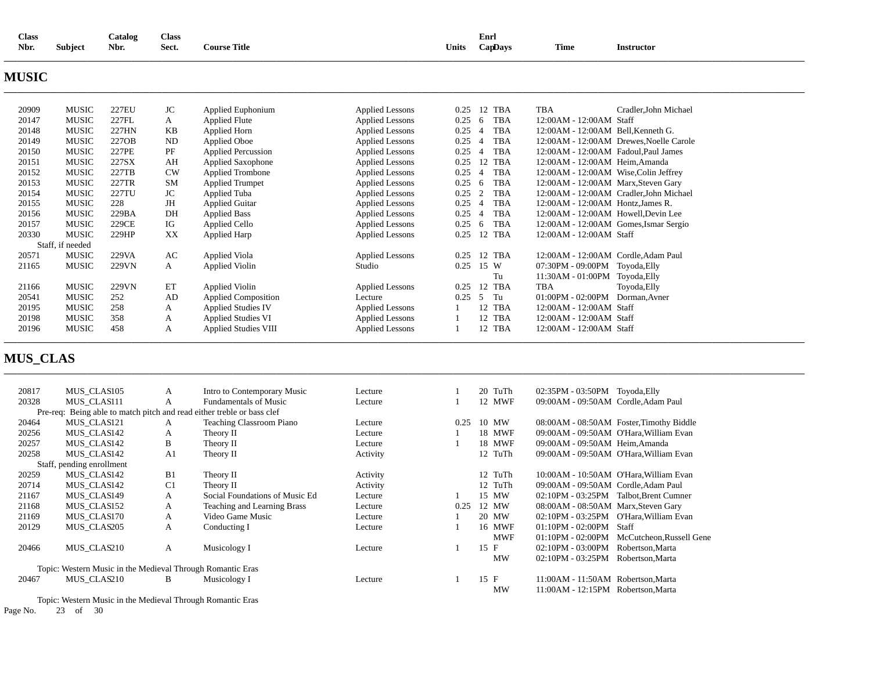| <b>Class</b>           | <b><i>Catalog</i></b> | Class |                     |       | Enrl    |             |            |
|------------------------|-----------------------|-------|---------------------|-------|---------|-------------|------------|
| <b>Subject</b><br>Nbr. | Nbr.                  | Sect. | <b>Course Title</b> | Units | CapDays | <b>Time</b> | Instructor |

### **MUSIC**

| 20909 | <b>MUSIC</b>     | 227EU | JC        | Applied Euphonium           | Applied Lessons        | 0.25 | 12 TBA          | <b>TBA</b>                            | Cradler.John Michael                    |
|-------|------------------|-------|-----------|-----------------------------|------------------------|------|-----------------|---------------------------------------|-----------------------------------------|
| 20147 | <b>MUSIC</b>     | 227FL | A         | Applied Flute               | Applied Lessons        | 0.25 | TBA<br>6        | 12:00AM - 12:00AM Staff               |                                         |
| 20148 | <b>MUSIC</b>     | 227HN | KB        | Applied Horn                | Applied Lessons        | 0.25 | <b>TBA</b>      | 12:00 AM - 12:00 AM Bell. Kenneth G.  |                                         |
| 20149 | <b>MUSIC</b>     | 227OB | <b>ND</b> | Applied Oboe                | Applied Lessons        | 0.25 | <b>TBA</b>      |                                       | 12:00AM - 12:00AM Drewes. Noelle Carole |
| 20150 | <b>MUSIC</b>     | 227PE | PF        | <b>Applied Percussion</b>   | Applied Lessons        | 0.25 | <b>TBA</b>      | 12:00AM - 12:00AM Fadoul.Paul James   |                                         |
| 20151 | <b>MUSIC</b>     | 227SX | AH        | <b>Applied Saxophone</b>    | Applied Lessons        | 0.25 | 12 TBA          | 12:00AM - 12:00AM Heim, Amanda        |                                         |
| 20152 | <b>MUSIC</b>     | 227TB | <b>CW</b> | <b>Applied Trombone</b>     | <b>Applied Lessons</b> | 0.25 | TBA             | 12:00AM - 12:00AM Wise, Colin Jeffrey |                                         |
| 20153 | <b>MUSIC</b>     | 227TR | <b>SM</b> | <b>Applied Trumpet</b>      | Applied Lessons        | 0.25 | <b>TBA</b><br>6 | 12:00AM - 12:00AM Marx, Steven Gary   |                                         |
| 20154 | <b>MUSIC</b>     | 227TU | JC        | Applied Tuba                | <b>Applied Lessons</b> | 0.25 | <b>TBA</b>      |                                       | 12:00AM - 12:00AM Cradler.John Michael  |
| 20155 | <b>MUSIC</b>     | 228   | JH        | <b>Applied Guitar</b>       | Applied Lessons        | 0.25 | <b>TBA</b>      | 12:00 AM - 12:00 AM Hontz, James R.   |                                         |
| 20156 | <b>MUSIC</b>     | 229BA | DH        | <b>Applied Bass</b>         | <b>Applied Lessons</b> | 0.25 | <b>TBA</b>      | 12:00AM - 12:00AM Howell. Devin Lee   |                                         |
| 20157 | <b>MUSIC</b>     | 229CE | IG        | Applied Cello               | Applied Lessons        | 0.25 | <b>TBA</b><br>6 |                                       | 12:00AM - 12:00AM Gomes, Ismar Sergio   |
| 20330 | <b>MUSIC</b>     | 229HP | XX        | Applied Harp                | Applied Lessons        | 0.25 | TBA<br>12       | 12:00AM - 12:00AM Staff               |                                         |
|       | Staff, if needed |       |           |                             |                        |      |                 |                                       |                                         |
| 20571 | <b>MUSIC</b>     | 229VA | AC        | Applied Viola               | Applied Lessons        | 0.25 | 12 TBA          | 12:00 AM - 12:00 AM Cordle. Adam Paul |                                         |
| 21165 | <b>MUSIC</b>     | 229VN | A         | <b>Applied Violin</b>       | Studio                 | 0.25 | 15 W            | 07:30PM - 09:00PM Toyoda, Elly        |                                         |
|       |                  |       |           |                             |                        |      | Tu              | 11:30AM - 01:00PM                     | Toyoda, Elly                            |
| 21166 | <b>MUSIC</b>     | 229VN | ET        | Applied Violin              | <b>Applied Lessons</b> | 0.25 | 12 TBA          | TBA                                   | Toyoda, Elly                            |
| 20541 | <b>MUSIC</b>     | 252   | AD        | <b>Applied Composition</b>  | Lecture                | 0.25 | Tu<br>5         | $01:00PM - 02:00PM$                   | Dorman, Avner                           |
| 20195 | <b>MUSIC</b>     | 258   | A         | <b>Applied Studies IV</b>   | Applied Lessons        |      | 12 TBA          | 12:00AM - 12:00AM Staff               |                                         |
| 20198 | <b>MUSIC</b>     | 358   | A         | <b>Applied Studies VI</b>   | Applied Lessons        |      | 12 TBA          | 12:00AM - 12:00AM Staff               |                                         |
| 20196 | <b>MUSIC</b>     | 458   | A         | <b>Applied Studies VIII</b> | Applied Lessons        |      | 12 TBA          | 12:00AM - 12:00AM Staff               |                                         |
|       |                  |       |           |                             |                        |      |                 |                                       |                                         |

**\_\_\_\_\_\_\_\_\_\_\_\_\_\_\_\_\_\_\_\_\_\_\_\_\_\_\_\_\_\_\_\_\_\_\_\_\_\_\_\_\_\_\_\_\_\_\_\_\_\_\_\_\_\_\_\_\_\_\_\_\_\_\_\_\_\_\_\_\_\_\_\_\_\_\_\_\_\_\_\_\_\_\_\_\_\_\_\_\_\_\_\_\_\_\_\_\_\_\_\_\_\_\_\_\_\_\_\_\_\_\_\_\_\_\_\_\_\_\_\_\_\_\_\_\_\_\_\_\_\_\_\_\_\_\_\_\_\_\_\_\_\_\_\_\_\_\_\_\_\_\_\_\_\_\_\_\_\_\_\_\_\_\_\_\_\_\_\_\_\_\_\_\_\_\_\_\_\_\_\_\_\_** 

**\_\_\_\_\_\_\_\_\_\_\_\_\_\_\_\_\_\_\_\_\_\_\_\_\_\_\_\_\_\_\_\_\_\_\_\_\_\_\_\_\_\_\_\_\_\_\_\_\_\_\_\_\_\_\_\_\_\_\_\_\_\_\_\_\_\_\_\_\_\_\_\_\_\_\_\_\_\_\_\_\_\_\_\_\_\_\_\_\_\_\_\_\_\_\_\_\_\_\_\_\_\_\_\_\_\_\_\_\_\_\_\_\_\_\_\_\_\_\_\_\_\_\_\_\_\_\_\_\_\_\_\_\_\_\_\_\_\_\_\_\_\_\_\_\_\_\_\_\_\_\_\_\_\_\_\_\_\_\_\_\_\_\_\_\_\_\_\_\_\_\_\_\_\_\_\_\_\_\_\_\_\_** 

## **MUS\_CLAS**

| 20817 | MUS CLAS105                                                            | A              | Intro to Contemporary Music     | Lecture  |      | 20 TuTh    | $02:35PM - 03:50PM$ Toyoda, Elly         |                          |
|-------|------------------------------------------------------------------------|----------------|---------------------------------|----------|------|------------|------------------------------------------|--------------------------|
| 20328 | MUS CLAS111                                                            | A              | <b>Fundamentals of Music</b>    | Lecture  |      | 12 MWF     | 09:00AM - 09:50AM Cordle, Adam Paul      |                          |
|       | Pre-req: Being able to match pitch and read either treble or bass clef |                |                                 |          |      |            |                                          |                          |
| 20464 | MUS CLAS121                                                            | A              | <b>Teaching Classroom Piano</b> | Lecture  | 0.25 | 10 MW      | 08:00AM - 08:50AM Foster, Timothy Biddle |                          |
| 20256 | MUS CLAS142                                                            | A              | Theory II                       | Lecture  |      | 18 MWF     | 09:00AM - 09:50AM O'Hara. William Evan   |                          |
| 20257 | MUS CLAS142                                                            | B              | Theory II                       | Lecture  |      | 18 MWF     | 09:00AM - 09:50AM Heim, Amanda           |                          |
| 20258 | MUS CLAS142                                                            | A <sub>1</sub> | Theory II                       | Activity |      | 12 TuTh    | 09:00AM - 09:50AM O'Hara, William Evan   |                          |
|       | Staff, pending enrollment                                              |                |                                 |          |      |            |                                          |                          |
| 20259 | MUS CLAS142                                                            | B1             | Theory II                       | Activity |      | 12 TuTh    | 10:00AM - 10:50AM O'Hara, William Evan   |                          |
| 20714 | MUS CLAS142                                                            | C <sub>1</sub> | Theory II                       | Activity |      | 12 TuTh    | 09:00AM - 09:50AM Cordle, Adam Paul      |                          |
| 21167 | MUS CLAS149                                                            | A              | Social Foundations of Music Ed  | Lecture  |      | 15 MW      | 02:10PM - 03:25PM Talbot.Brent Cumner    |                          |
| 21168 | MUS CLAS152                                                            | A              | Teaching and Learning Brass     | Lecture  | 0.25 | 12 MW      | 08:00AM - 08:50AM Marx, Steven Gary      |                          |
| 21169 | MUS CLAS170                                                            | А              | Video Game Music                | Lecture  |      | 20 MW      | 02:10PM - 03:25PM                        | O'Hara, William Evan     |
| 20129 | MUS CLAS205                                                            | A              | Conducting I                    | Lecture  |      | 16 MWF     | $01:10PM - 02:00PM$                      | Staff                    |
|       |                                                                        |                |                                 |          |      | <b>MWF</b> | $01:10PM - 02:00PM$                      | McCutcheon, Russell Gene |
| 20466 | MUS CLAS210                                                            | A              | Musicology I                    | Lecture  |      | 15 F       | $02:10PM - 03:00PM$                      | Robertson, Marta         |
|       |                                                                        |                |                                 |          |      | <b>MW</b>  | $02:10PM - 03:25PM$                      | Robertson, Marta         |
|       | Topic: Western Music in the Medieval Through Romantic Eras             |                |                                 |          |      |            |                                          |                          |
| 20467 | MUS CLAS210                                                            | B              | Musicology I                    | Lecture  |      | $15$ F     | 11:00AM - 11:50AM Robertson, Marta       |                          |
|       |                                                                        |                |                                 |          |      | <b>MW</b>  | 11:00AM - 12:15PM Robertson, Marta       |                          |
|       |                                                                        |                |                                 |          |      |            |                                          |                          |

Topic: Western Music in the Medieval Through Romantic Eras 23 of 30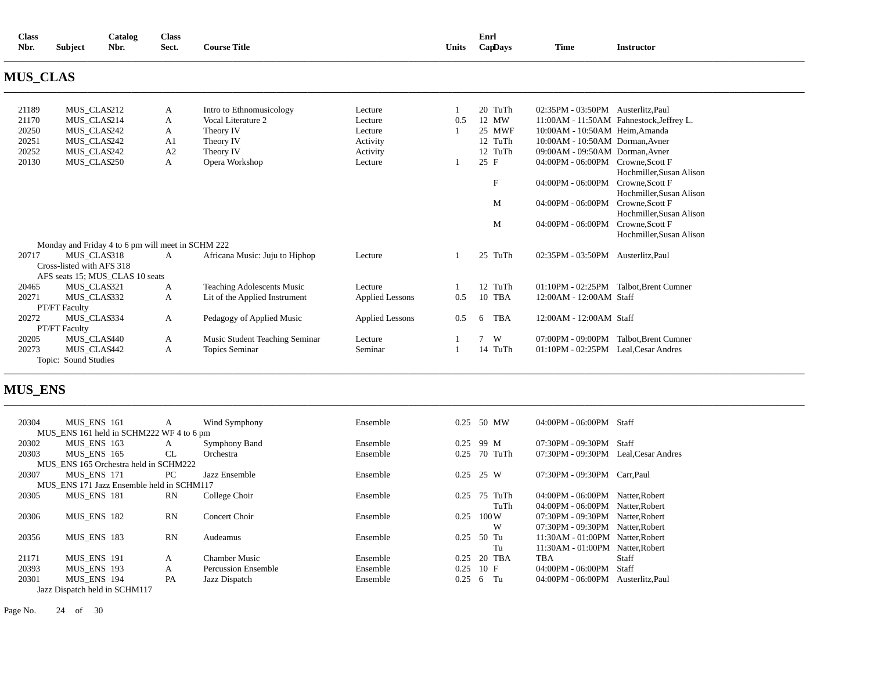| <b>Class</b><br>Nbr. | <b>Subject</b>                      | Catalog<br>Nbr.                                   | <b>Class</b><br>Sect. | <b>Course Title</b>               |                        | <b>Units</b> | Enrl<br>CapDays | <b>Time</b>                         | <b>Instructor</b>                        |
|----------------------|-------------------------------------|---------------------------------------------------|-----------------------|-----------------------------------|------------------------|--------------|-----------------|-------------------------------------|------------------------------------------|
| <b>MUS_CLAS</b>      |                                     |                                                   |                       |                                   |                        |              |                 |                                     |                                          |
| 21189                | MUS CLAS212                         |                                                   | A                     | Intro to Ethnomusicology          | Lecture                |              | 20 TuTh         | 02:35PM - 03:50PM Austerlitz.Paul   |                                          |
| 21170                | MUS CLAS214                         |                                                   | A                     | Vocal Literature 2                | Lecture                | 0.5          | 12 MW           |                                     | 11:00AM - 11:50AM Fahnestock, Jeffrey L. |
| 20250                | MUS CLAS242                         |                                                   | A                     | Theory IV                         | Lecture                | -1           | 25 MWF          | 10:00AM - 10:50AM Heim.Amanda       |                                          |
| 20251                | MUS CLAS242                         |                                                   | A <sub>1</sub>        | Theory IV                         | Activity               |              | 12 TuTh         | 10:00AM - 10:50AM Dorman, Avner     |                                          |
| 20252                | MUS CLAS242                         |                                                   | A2                    | Theory IV                         | Activity               |              | 12 TuTh         | 09:00AM - 09:50AM Dorman.Avner      |                                          |
| 20130                | MUS_CLAS250                         |                                                   | A                     | Opera Workshop                    | Lecture                |              | 25 F            | 04:00PM - 06:00PM Crowne.Scott F    |                                          |
|                      |                                     |                                                   |                       |                                   |                        |              |                 |                                     | Hochmiller, Susan Alison                 |
|                      |                                     |                                                   |                       |                                   |                        |              | F               | 04:00PM - 06:00PM Crowne.Scott F    |                                          |
|                      |                                     |                                                   |                       |                                   |                        |              |                 |                                     | Hochmiller, Susan Alison                 |
|                      |                                     |                                                   |                       |                                   |                        |              | M               | 04:00PM - 06:00PM Crowne.Scott F    |                                          |
|                      |                                     |                                                   |                       |                                   |                        |              |                 |                                     | Hochmiller, Susan Alison                 |
|                      |                                     |                                                   |                       |                                   |                        |              | M               | 04:00PM - 06:00PM                   | Crowne.Scott F                           |
|                      |                                     |                                                   |                       |                                   |                        |              |                 |                                     | Hochmiller, Susan Alison                 |
|                      |                                     | Monday and Friday 4 to 6 pm will meet in SCHM 222 |                       |                                   |                        |              |                 |                                     |                                          |
| 20717                | MUS CLAS318                         |                                                   | A                     | Africana Music: Juju to Hiphop    | Lecture                |              | 25 TuTh         | 02:35PM - 03:50PM Austerlitz.Paul   |                                          |
|                      | Cross-listed with AFS 318           |                                                   |                       |                                   |                        |              |                 |                                     |                                          |
|                      |                                     | AFS seats 15; MUS_CLAS 10 seats                   |                       |                                   |                        |              |                 |                                     |                                          |
| 20465                | MUS CLAS321                         |                                                   | A                     | <b>Teaching Adolescents Music</b> | Lecture                |              | 12 TuTh         |                                     | 01:10PM - 02:25PM Talbot.Brent Cumner    |
| 20271                | MUS CLAS332                         |                                                   | A                     | Lit of the Applied Instrument     | <b>Applied Lessons</b> | 0.5          | 10 TBA          | 12:00AM - 12:00AM Staff             |                                          |
|                      | PT/FT Faculty                       |                                                   |                       |                                   |                        |              |                 |                                     |                                          |
| 20272                | MUS CLAS334                         |                                                   | A                     | Pedagogy of Applied Music         | <b>Applied Lessons</b> | 0.5          | <b>TBA</b><br>6 | 12:00AM - 12:00AM Staff             |                                          |
| 20205                | PT/FT Faculty                       |                                                   |                       |                                   |                        |              | W               |                                     | 07:00PM - 09:00PM Talbot.Brent Cumner    |
| 20273                | MUS_CLAS440                         |                                                   | A                     | Music Student Teaching Seminar    | Lecture<br>Seminar     |              | 14 TuTh         | 01:10PM - 02:25PM Leal.Cesar Andres |                                          |
|                      | MUS CLAS442<br>Topic: Sound Studies |                                                   | A                     | Topics Seminar                    |                        |              |                 |                                     |                                          |
|                      |                                     |                                                   |                       |                                   |                        |              |                 |                                     |                                          |

# **MUS\_ENS**

| 20304 | MUS ENS 161                               | A  | Wind Symphony              | Ensemble | 0.25 | 50 MW    | 04:00PM - 06:00PM Staff          |                    |
|-------|-------------------------------------------|----|----------------------------|----------|------|----------|----------------------------------|--------------------|
|       | MUS ENS 161 held in SCHM222 WF 4 to 6 pm  |    |                            |          |      |          |                                  |                    |
| 20302 | MUS ENS 163                               | A  | Symphony Band              | Ensemble | 0.25 | 99 M     | 07:30PM - 09:30PM                | Staff              |
| 20303 | MUS ENS 165                               | CL | Orchestra                  | Ensemble | 0.25 | 70 TuTh  | 07:30PM - 09:30PM                | Leal, Cesar Andres |
|       | MUS ENS 165 Orchestra held in SCHM222     |    |                            |          |      |          |                                  |                    |
| 20307 | MUS ENS 171                               | PC | Jazz Ensemble              | Ensemble | 0.25 | 25 W     | 07:30PM - 09:30PM                | Carr.Paul          |
|       | MUS ENS 171 Jazz Ensemble held in SCHM117 |    |                            |          |      |          |                                  |                    |
| 20305 | MUS ENS 181                               | RN | College Choir              | Ensemble | 0.25 | 75 TuTh  | 04:00PM - 06:00PM                | Natter, Robert     |
|       |                                           |    |                            |          |      | TuTh     | 04:00PM - 06:00PM                | Natter.Robert      |
| 20306 | MUS ENS 182                               | RN | <b>Concert Choir</b>       | Ensemble | 0.25 | 100W     | 07:30PM - 09:30PM Natter.Robert  |                    |
|       |                                           |    |                            |          |      | W        | 07:30PM - 09:30PM                | Natter.Robert      |
| 20356 | MUS ENS 183                               | RN | Audeamus                   | Ensemble | 0.25 | 50 Tu    | 11:30AM - 01:00PM Natter, Robert |                    |
|       |                                           |    |                            |          |      | Tu       | 11:30AM - 01:00PM Natter, Robert |                    |
| 21171 | MUS ENS 191                               | A  | <b>Chamber Music</b>       | Ensemble | 0.25 | 20 TBA   | TBA                              | Staff              |
| 20393 | MUS ENS 193                               | A  | <b>Percussion Ensemble</b> | Ensemble | 0.25 | 10 F     | $04:00$ PM - $06:00$ PM          | Staff              |
| 20301 | MUS ENS 194                               | PA | Jazz Dispatch              | Ensemble | 0.25 | Tu<br>-6 | $04:00PM - 06:00PM$              | Austerlitz, Paul   |
|       | Jazz Dispatch held in SCHM117             |    |                            |          |      |          |                                  |                    |

Page No. 24 of 30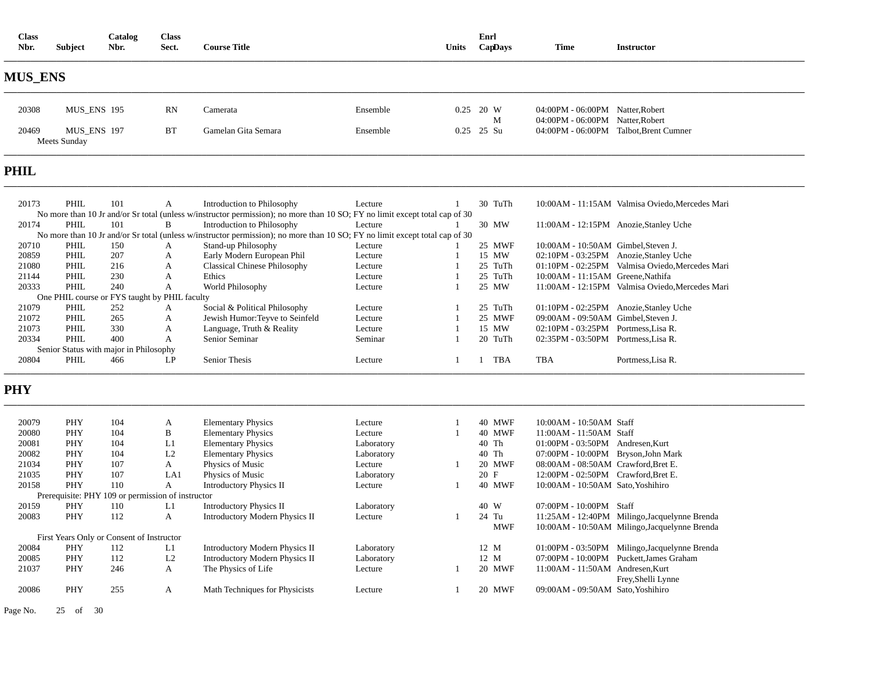| <b>Class</b><br>Nbr. | Subject      | Catalog<br>Nbr. | <b>Class</b><br>Sect. | <b>Course Title</b> |          | <b>Units</b> | Enrl<br>CapDays | Time                             | <b>Instructor</b>                      |  |
|----------------------|--------------|-----------------|-----------------------|---------------------|----------|--------------|-----------------|----------------------------------|----------------------------------------|--|
| <b>MUS_ENS</b>       |              |                 |                       |                     |          |              |                 |                                  |                                        |  |
| 20308                | MUS_ENS 195  |                 | RN                    | Camerata            | Ensemble |              | $0.25$ 20 W     | 04:00PM - 06:00PM Natter, Robert |                                        |  |
|                      |              |                 |                       |                     |          |              | М               | 04:00PM - 06:00PM Natter, Robert |                                        |  |
| 20469                | MUS ENS 197  |                 | BT                    | Gamelan Gita Semara | Ensemble |              | $0.25$ 25 Su    |                                  | 04:00PM - 06:00PM Talbot, Brent Cumner |  |
|                      | Meets Sunday |                 |                       |                     |          |              |                 |                                  |                                        |  |
|                      |              |                 |                       |                     |          |              |                 |                                  |                                        |  |
| <b>PHIL</b>          |              |                 |                       |                     |          |              |                 |                                  |                                        |  |
|                      |              |                 |                       |                     |          |              |                 |                                  |                                        |  |

| 20173 | PHIL                                   | 101 | А                                             | Introduction to Philosophy                                                                                                  | Lecture |  | 30 TuTh    |                                       | 10:00AM - 11:15AM Valmisa Oviedo.Mercedes Mari |
|-------|----------------------------------------|-----|-----------------------------------------------|-----------------------------------------------------------------------------------------------------------------------------|---------|--|------------|---------------------------------------|------------------------------------------------|
|       |                                        |     |                                               | No more than 10 Jr and/or Sr total (unless w/instructor permission); no more than 10 SO; FY no limit except total cap of 30 |         |  |            |                                       |                                                |
| 20174 | PHIL                                   | 101 | B                                             | Introduction to Philosophy                                                                                                  | Lecture |  | 30 MW      |                                       | 11:00AM - 12:15PM Anozie, Stanley Uche         |
|       |                                        |     |                                               | No more than 10 Jr and/or Sr total (unless w/instructor permission); no more than 10 SO; FY no limit except total cap of 30 |         |  |            |                                       |                                                |
| 20710 | <b>PHIL</b>                            | 150 | A                                             | Stand-up Philosophy                                                                                                         | Lecture |  | 25 MWF     | 10:00AM - 10:50AM Gimbel.Steven J.    |                                                |
| 20859 | PHIL                                   | 207 | A                                             | Early Modern European Phil                                                                                                  | Lecture |  | 15 MW      |                                       | 02:10PM - 03:25PM Anozie, Stanley Uche         |
| 21080 | PHIL                                   | 216 | A                                             | <b>Classical Chinese Philosophy</b>                                                                                         | Lecture |  | 25 TuTh    |                                       | 01:10PM - 02:25PM Valmisa Oviedo.Mercedes Mari |
| 21144 | PHIL                                   | 230 | A                                             | Ethics                                                                                                                      | Lecture |  | 25 TuTh    | 10:00AM - 11:15AM Greene.Nathifa      |                                                |
| 20333 | PHIL                                   | 240 | А                                             | World Philosophy                                                                                                            | Lecture |  | 25 MW      |                                       | 11:00AM - 12:15PM Valmisa Oviedo.Mercedes Mari |
|       |                                        |     | One PHIL course or FYS taught by PHIL faculty |                                                                                                                             |         |  |            |                                       |                                                |
| 21079 | <b>PHIL</b>                            | 252 | А                                             | Social & Political Philosophy                                                                                               | Lecture |  | 25 TuTh    |                                       | 01:10PM - 02:25PM Anozie, Stanley Uche         |
| 21072 | PHIL                                   | 265 | A                                             | Jewish Humor: Teyve to Seinfeld                                                                                             | Lecture |  | 25 MWF     | 09:00AM - 09:50AM Gimbel, Steven J.   |                                                |
| 21073 | PHIL                                   | 330 | A                                             | Language, Truth & Reality                                                                                                   | Lecture |  | 15 MW      | $02:10PM - 03:25PM$ Portmess. Lisa R. |                                                |
| 20334 | PHIL                                   | 400 | А                                             | Senior Seminar                                                                                                              | Seminar |  | 20 TuTh    | $02:35PM - 03:50PM$ Portmess. Lisa R. |                                                |
|       | Senior Status with major in Philosophy |     |                                               |                                                                                                                             |         |  |            |                                       |                                                |
| 20804 | PHIL                                   | 466 | LP                                            | <b>Senior Thesis</b>                                                                                                        | Lecture |  | <b>TBA</b> | <b>TBA</b>                            | Portmess, Lisa R.                              |
|       |                                        |     |                                               |                                                                                                                             |         |  |            |                                       |                                                |

### **PHY**

| 20079 | <b>PHY</b>                                | 104 | A                                                 | <b>Elementary Physics</b>             | Lecture    | 40 MWF     | 10:00AM - 10:50AM Staff             |                                               |
|-------|-------------------------------------------|-----|---------------------------------------------------|---------------------------------------|------------|------------|-------------------------------------|-----------------------------------------------|
| 20080 | <b>PHY</b>                                | 104 | B                                                 | <b>Elementary Physics</b>             | Lecture    | 40 MWF     | 11:00AM - 11:50AM Staff             |                                               |
| 20081 | <b>PHY</b>                                | 104 | L1                                                | <b>Elementary Physics</b>             | Laboratory | 40 Th      | $01:00PM - 03:50PM$                 | Andresen.Kurt                                 |
| 20082 | <b>PHY</b>                                | 104 | L2                                                | <b>Elementary Physics</b>             | Laboratory | 40 Th      | 07:00PM - 10:00PM Bryson, John Mark |                                               |
| 21034 | <b>PHY</b>                                | 107 | A                                                 | Physics of Music                      | Lecture    | 20 MWF     | 08:00AM - 08:50AM Crawford.Bret E.  |                                               |
| 21035 | <b>PHY</b>                                | 107 | LA1                                               | Physics of Music                      | Laboratory | 20 F       | 12:00PM - 02:50PM                   | Crawford.Bret E.                              |
| 20158 | <b>PHY</b>                                | 110 | A                                                 | <b>Introductory Physics II</b>        | Lecture    | 40 MWF     | 10:00AM - 10:50AM Sato. Yoshihiro   |                                               |
|       |                                           |     | Prerequisite: PHY 109 or permission of instructor |                                       |            |            |                                     |                                               |
| 20159 | <b>PHY</b>                                | 110 | L1                                                | <b>Introductory Physics II</b>        | Laboratory | 40 W       | $07:00$ PM - $10:00$ PM             | Staff                                         |
| 20083 | <b>PHY</b>                                | 112 | A                                                 | <b>Introductory Modern Physics II</b> | Lecture    | 24 Tu      |                                     | 11:25AM - 12:40PM Milingo, Jacquelynne Brenda |
|       |                                           |     |                                                   |                                       |            | <b>MWF</b> |                                     | 10:00AM - 10:50AM Milingo, Jacquelynne Brenda |
|       | First Years Only or Consent of Instructor |     |                                                   |                                       |            |            |                                     |                                               |
| 20084 | <b>PHY</b>                                | 112 | L1                                                | <b>Introductory Modern Physics II</b> | Laboratory | 12 M       | $01:00PM - 03:50PM$                 | Milingo, Jacquelynne Brenda                   |
| 20085 | <b>PHY</b>                                | 112 | L <sub>2</sub>                                    | <b>Introductory Modern Physics II</b> | Laboratory | 12 M       | $07:00$ PM - $10:00$ PM             | Puckett.James Graham                          |
| 21037 | <b>PHY</b>                                | 246 | A                                                 | The Physics of Life                   | Lecture    | 20 MWF     | 11:00AM - 11:50AM Andresen.Kurt     |                                               |
|       |                                           |     |                                                   |                                       |            |            |                                     | Frey, Shelli Lynne                            |
| 20086 | <b>PHY</b>                                | 255 | A                                                 | Math Techniques for Physicists        | Lecture    | 20 MWF     | 09:00AM - 09:50AM                   | Sato. Yoshihiro                               |
|       |                                           |     |                                                   |                                       |            |            |                                     |                                               |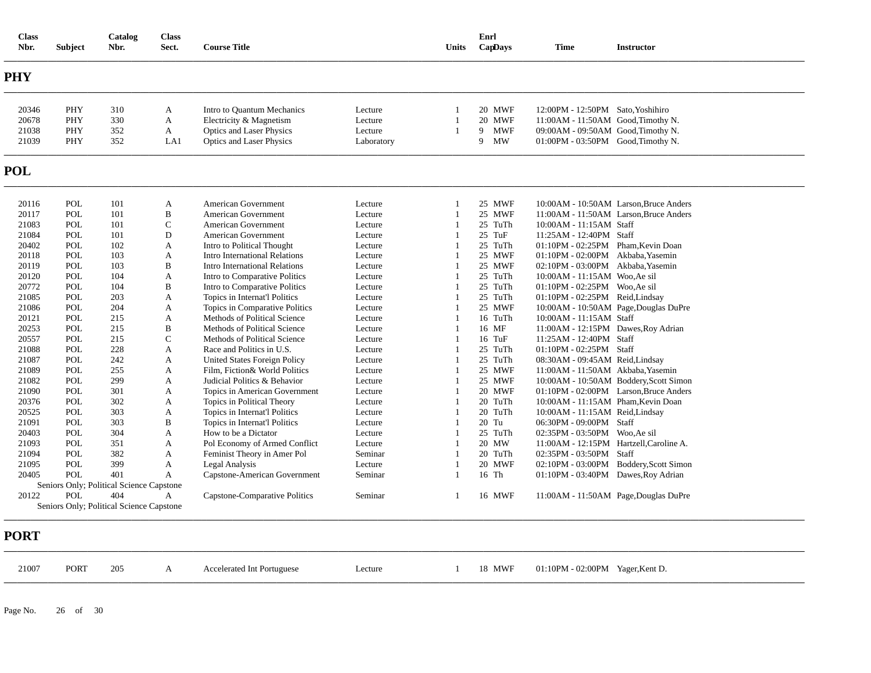| <b>Class</b><br>Nbr. | <b>Subject</b> | Catalog<br>Nbr.                          | <b>Class</b><br>Sect. | <b>Course Title</b>            |            | <b>Units</b>   | Enrl<br>CapDays | Time                                | <b>Instructor</b>                       |
|----------------------|----------------|------------------------------------------|-----------------------|--------------------------------|------------|----------------|-----------------|-------------------------------------|-----------------------------------------|
| <b>PHY</b>           |                |                                          |                       |                                |            |                |                 |                                     |                                         |
| 20346                | <b>PHY</b>     | 310                                      | A                     | Intro to Quantum Mechanics     | Lecture    | -1             | <b>20 MWF</b>   | 12:00PM - 12:50PM Sato, Yoshihiro   |                                         |
| 20678                | PHY            | 330                                      | A                     | Electricity & Magnetism        | Lecture    | $\mathbf{1}$   | <b>20 MWF</b>   | 11:00AM - 11:50AM Good, Timothy N.  |                                         |
| 21038                | PHY            | 352                                      | A                     | Optics and Laser Physics       | Lecture    | $\overline{1}$ | <b>MWF</b><br>9 | 09:00AM - 09:50AM Good, Timothy N.  |                                         |
| 21039                | PHY            | 352                                      | LA1                   | Optics and Laser Physics       | Laboratory |                | 9<br>MW         | 01:00PM - 03:50PM Good, Timothy N.  |                                         |
| POL                  |                |                                          |                       |                                |            |                |                 |                                     |                                         |
| 20116                | <b>POL</b>     | 101                                      | $\mathbf{A}$          | <b>American Government</b>     | Lecture    | -1             | 25 MWF          |                                     | 10:00AM - 10:50AM Larson.Bruce Anders   |
| 20117                | <b>POL</b>     | 101                                      | $\, {\bf B}$          | <b>American Government</b>     | Lecture    | $\mathbf{1}$   | 25 MWF          |                                     | 11:00AM - 11:50AM Larson, Bruce Anders  |
| 21083                | <b>POL</b>     | 101                                      | $\mathcal{C}$         | American Government            | Lecture    | -1             | 25 TuTh         | 10:00AM - 11:15AM Staff             |                                         |
| 21084                | POL            | 101                                      | D                     | American Government            | Lecture    | -1             | 25 TuF          | 11:25AM - 12:40PM Staff             |                                         |
| 20402                | <b>POL</b>     | 102                                      | A                     | Intro to Political Thought     | Lecture    | -1             | 25 TuTh         | 01:10PM - 02:25PM Pham, Kevin Doan  |                                         |
| 20118                | <b>POL</b>     | 103                                      | A                     | Intro International Relations  | Lecture    | -1             | 25 MWF          | 01:10PM - 02:00PM Akbaba, Yasemin   |                                         |
| 20119                | <b>POL</b>     | 103                                      | B                     | Intro International Relations  | Lecture    | -1             | 25 MWF          | 02:10PM - 03:00PM Akbaba, Yasemin   |                                         |
| 20120                | <b>POL</b>     | 104                                      | $\mathbf{A}$          | Intro to Comparative Politics  | Lecture    | -1             | 25 TuTh         | 10:00AM - 11:15AM Woo, Ae sil       |                                         |
| 20772                | <b>POL</b>     | 104                                      | B                     | Intro to Comparative Politics  | Lecture    | -1             | 25 TuTh         | 01:10PM - 02:25PM Woo, Ae sil       |                                         |
| 21085                | <b>POL</b>     | 203                                      | A                     | Topics in Internat'l Politics  | Lecture    | -1             | 25 TuTh         | 01:10PM - 02:25PM Reid, Lindsay     |                                         |
| 21086                | <b>POL</b>     | 204                                      | A                     | Topics in Comparative Politics | Lecture    | -1             | 25 MWF          |                                     | 10:00AM - 10:50AM Page,Douglas DuPre    |
| 20121                | <b>POL</b>     | 215                                      | A                     | Methods of Political Science   | Lecture    | $\overline{1}$ | 16 TuTh         | 10:00AM - 11:15AM Staff             |                                         |
| 20253                | POL            | 215                                      | B                     | Methods of Political Science   | Lecture    | -1             | 16 MF           | 11:00AM - 12:15PM Dawes, Roy Adrian |                                         |
| 20557                | <b>POL</b>     | 215                                      | $\mathcal{C}$         | Methods of Political Science   | Lecture    | -1             | 16 TuF          | 11:25AM - 12:40PM Staff             |                                         |
| 21088                | <b>POL</b>     | 228                                      | A                     | Race and Politics in U.S.      | Lecture    | -1             | 25 TuTh         | 01:10PM - 02:25PM Staff             |                                         |
| 21087                | <b>POL</b>     | 242                                      | $\mathbf{A}$          | United States Foreign Policy   | Lecture    | -1             | 25 TuTh         | 08:30AM - 09:45AM Reid, Lindsay     |                                         |
| 21089                | <b>POL</b>     | 255                                      | A                     | Film, Fiction& World Politics  | Lecture    | -1             | 25 MWF          | 11:00AM - 11:50AM Akbaba, Yasemin   |                                         |
| 21082                | POL            | 299                                      | $\mathbf{A}$          | Judicial Politics & Behavior   | Lecture    | -1             | 25 MWF          |                                     | 10:00AM - 10:50AM Boddery, Scott Simon  |
| 21090                | <b>POL</b>     | 301                                      | A                     | Topics in American Government  | Lecture    | 1              | <b>20 MWF</b>   |                                     | 01:10PM - 02:00PM Larson, Bruce Anders  |
| 20376                | <b>POL</b>     | 302                                      | A                     | Topics in Political Theory     | Lecture    | -1             | 20 TuTh         | 10:00AM - 11:15AM Pham, Kevin Doan  |                                         |
| 20525                | <b>POL</b>     | 303                                      | A                     | Topics in Internat'l Politics  | Lecture    | -1             | 20 TuTh         | 10:00AM - 11:15AM Reid, Lindsay     |                                         |
| 21091                | <b>POL</b>     | 303                                      | B                     | Topics in Internat'l Politics  | Lecture    | -1             | 20 Tu           | 06:30PM - 09:00PM Staff             |                                         |
| 20403                | POL            | 304                                      | A                     | How to be a Dictator           | Lecture    | -1             | 25 TuTh         | 02:35PM - 03:50PM Woo, Ae sil       |                                         |
| 21093                | <b>POL</b>     | 351                                      | A                     | Pol Economy of Armed Conflict  | Lecture    | -1             | 20 MW           |                                     | 11:00AM - 12:15PM Hartzell, Caroline A. |
| 21094                | <b>POL</b>     | 382                                      | A                     | Feminist Theory in Amer Pol    | Seminar    | -1             | 20 TuTh         | 02:35PM - 03:50PM Staff             |                                         |
| 21095                | POL            | 399                                      | A                     | Legal Analysis                 | Lecture    | -1             | <b>20 MWF</b>   |                                     | 02:10PM - 03:00PM Boddery, Scott Simon  |
| 20405                | <b>POL</b>     | 401                                      | A                     | Capstone-American Government   | Seminar    | $\overline{1}$ | 16 Th           | 01:10PM - 03:40PM Dawes, Roy Adrian |                                         |
|                      |                | Seniors Only; Political Science Capstone |                       |                                |            |                |                 |                                     |                                         |
| 20122                | <b>POL</b>     | 404                                      | $\mathbf{A}$          | Capstone-Comparative Politics  | Seminar    | -1             | 16 MWF          |                                     | 11:00AM - 11:50AM Page, Douglas DuPre   |
|                      |                | Seniors Only; Political Science Capstone |                       |                                |            |                |                 |                                     |                                         |
| <b>PORT</b>          |                |                                          |                       |                                |            |                |                 |                                     |                                         |

21007 PORT 205 A Accelerated Int Portuguese Lecture 1 18 MWF 01:10PM - 02:00PM Yager,Kent D.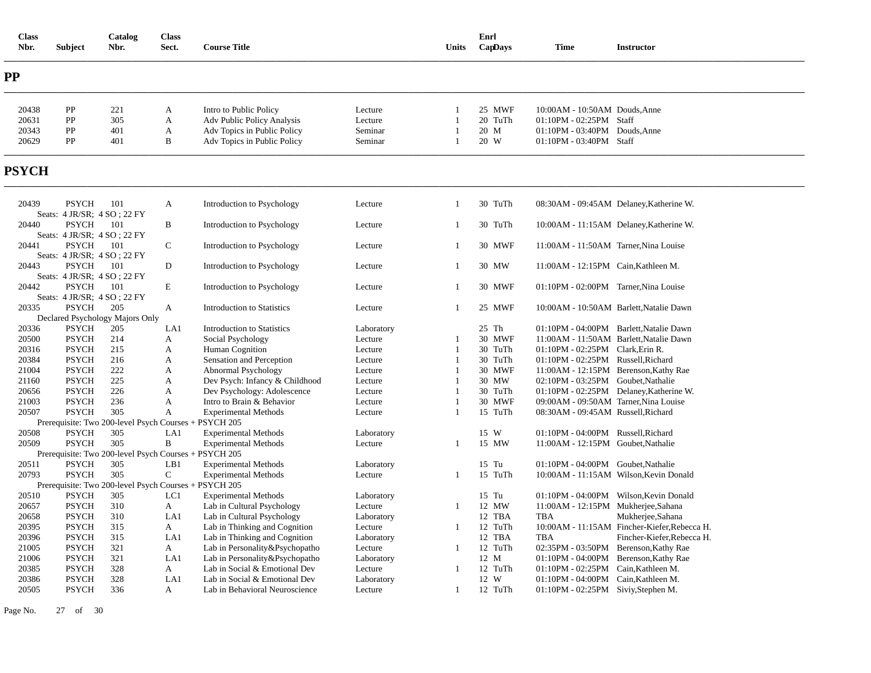| <b>Class</b><br>Nbr. | <b>Subject</b>                              | Catalog<br>Nbr.                        | <b>Class</b><br>Sect. | <b>Course Title</b>                                   |            | Units          | Enrl<br>CapDays | <b>Time</b>                           | <b>Instructor</b>                            |
|----------------------|---------------------------------------------|----------------------------------------|-----------------------|-------------------------------------------------------|------------|----------------|-----------------|---------------------------------------|----------------------------------------------|
| PP                   |                                             |                                        |                       |                                                       |            |                |                 |                                       |                                              |
| 20438                | PP                                          | 221                                    | A                     | Intro to Public Policy                                | Lecture    | $\overline{1}$ | 25 MWF          | 10:00AM - 10:50AM Douds, Anne         |                                              |
| 20631                | PP                                          | 305                                    | A                     | Adv Public Policy Analysis                            | Lecture    | $\overline{1}$ | 20 TuTh         | 01:10PM - 02:25PM Staff               |                                              |
| 20343                | PP                                          | 401                                    | A                     | Adv Topics in Public Policy                           | Seminar    | -1             | 20 M            | $01:10PM - 03:40PM$ Douds, Anne       |                                              |
| 20629                | PP                                          | 401                                    | B                     | Adv Topics in Public Policy                           | Seminar    | $\mathbf{1}$   | 20 W            | 01:10PM - 03:40PM Staff               |                                              |
| PSYCH                |                                             |                                        |                       |                                                       |            |                |                 |                                       |                                              |
| 20439                | <b>PSYCH</b>                                | 101<br>Seats: 4 JR/SR: 4 SO ; 22 FY    | A                     | Introduction to Psychology                            | Lecture    | $\mathbf{1}$   | 30 TuTh         |                                       | 08:30AM - 09:45AM Delaney, Katherine W.      |
| 20440                | <b>PSYCH</b><br>Seats: 4 JR/SR; 4 SO; 22 FY | 101                                    | B                     | Introduction to Psychology                            | Lecture    | $\mathbf{1}$   | 30 TuTh         |                                       | 10:00AM - 11:15AM Delaney, Katherine W.      |
| 20441                | <b>PSYCH</b><br>Seats: 4 JR/SR; 4 SO; 22 FY | 101                                    | $\mathsf{C}$          | Introduction to Psychology                            | Lecture    | 1              | 30 MWF          | 11:00AM - 11:50AM Tarner, Nina Louise |                                              |
| 20443                | <b>PSYCH</b><br>Seats: 4 JR/SR; 4 SO; 22 FY | 101                                    | D                     | Introduction to Psychology                            | Lecture    | 1              | 30 MW           | 11:00AM - 12:15PM Cain, Kathleen M.   |                                              |
| 20442                | <b>PSYCH</b>                                | 101<br>Seats: 4 JR/SR; 4 SO; 22 FY     | $\mathbf E$           | Introduction to Psychology                            | Lecture    | 1              | 30 MWF          | 01:10PM - 02:00PM Tarner, Nina Louise |                                              |
| 20335                | <b>PSYCH</b>                                | 205<br>Declared Psychology Majors Only | A                     | Introduction to Statistics                            | Lecture    | $\mathbf{1}$   | 25 MWF          |                                       | 10:00AM - 10:50AM Barlett, Natalie Dawn      |
| 20336                | <b>PSYCH</b>                                | 205                                    | LA1                   | Introduction to Statistics                            | Laboratory |                | 25 Th           |                                       | 01:10PM - 04:00PM Barlett, Natalie Dawn      |
| 20500                | <b>PSYCH</b>                                | 214                                    | A                     | Social Psychology                                     | Lecture    | $\overline{1}$ | 30 MWF          |                                       | 11:00AM - 11:50AM Barlett, Natalie Dawn      |
| 20316                | <b>PSYCH</b>                                | 215                                    | A                     | <b>Human Cognition</b>                                | Lecture    | -1             | 30 TuTh         | 01:10PM - 02:25PM Clark, Erin R.      |                                              |
| 20384                | <b>PSYCH</b>                                | 216                                    | A                     | Sensation and Perception                              | Lecture    | $\overline{1}$ | 30 TuTh         | 01:10PM - 02:25PM Russell, Richard    |                                              |
| 21004                | <b>PSYCH</b>                                | 222                                    | A                     | Abnormal Psychology                                   | Lecture    | -1             | 30 MWF          |                                       | 11:00AM - 12:15PM Berenson, Kathy Rae        |
| 21160                | <b>PSYCH</b>                                | 225                                    | A                     | Dev Psych: Infancy & Childhood                        | Lecture    | $\overline{1}$ | 30 MW           | 02:10PM - 03:25PM Goubet, Nathalie    |                                              |
| 20656                | <b>PSYCH</b>                                | 226                                    | A                     | Dev Psychology: Adolescence                           | Lecture    | $\mathbf{1}$   | 30 TuTh         |                                       | 01:10PM - 02:25PM Delaney, Katherine W.      |
| 21003                | <b>PSYCH</b>                                | 236                                    | A                     | Intro to Brain & Behavior                             | Lecture    | $\overline{1}$ | 30 MWF          | 09:00AM - 09:50AM Tarner, Nina Louise |                                              |
| 20507                | <b>PSYCH</b>                                | 305                                    | A                     | <b>Experimental Methods</b>                           | Lecture    | $\overline{1}$ | 15 TuTh         | 08:30AM - 09:45AM Russell, Richard    |                                              |
|                      |                                             |                                        |                       | Prerequisite: Two 200-level Psych Courses + PSYCH 205 |            |                |                 |                                       |                                              |
| 20508                | <b>PSYCH</b>                                | 305                                    | LA1                   | <b>Experimental Methods</b>                           | Laboratory |                | 15 W            | 01:10PM - 04:00PM Russell, Richard    |                                              |
| 20509                | <b>PSYCH</b>                                | 305                                    | B                     | <b>Experimental Methods</b>                           | Lecture    | $\overline{1}$ | 15 MW           | 11:00AM - 12:15PM Goubet, Nathalie    |                                              |
|                      |                                             |                                        |                       | Prerequisite: Two 200-level Psych Courses + PSYCH 205 |            |                |                 |                                       |                                              |
| 20511                | <b>PSYCH</b>                                | 305                                    | LB1                   | <b>Experimental Methods</b>                           | Laboratory |                | 15 Tu           | 01:10PM - 04:00PM Goubet, Nathalie    |                                              |
| 20793                | <b>PSYCH</b>                                | 305                                    | $\mathbf C$           | <b>Experimental Methods</b>                           | Lecture    | 1              | 15 TuTh         |                                       | 10:00AM - 11:15AM Wilson, Kevin Donald       |
|                      |                                             |                                        |                       | Prerequisite: Two 200-level Psych Courses + PSYCH 205 |            |                |                 |                                       |                                              |
| 20510                | <b>PSYCH</b>                                | 305                                    | LC1                   | <b>Experimental Methods</b>                           | Laboratory |                | 15 Tu           |                                       | 01:10PM - 04:00PM Wilson, Kevin Donald       |
| 20657                | <b>PSYCH</b>                                | 310                                    | A                     | Lab in Cultural Psychology                            | Lecture    | 1              | 12 MW           | 11:00AM - 12:15PM Mukherjee, Sahana   |                                              |
| 20658                | <b>PSYCH</b>                                | 310                                    | LA1                   | Lab in Cultural Psychology                            | Laboratory |                | 12 TBA          | <b>TBA</b>                            | Mukherjee, Sahana                            |
| 20395                | <b>PSYCH</b>                                | 315                                    | A                     | Lab in Thinking and Cognition                         | Lecture    | 1              | 12 TuTh         |                                       | 10:00AM - 11:15AM Fincher-Kiefer, Rebecca H. |
| 20396                | <b>PSYCH</b>                                | 315                                    | LA1                   | Lab in Thinking and Cognition                         | Laboratory |                | 12 TBA          | <b>TBA</b>                            | Fincher-Kiefer, Rebecca H.                   |
| 21005                | <b>PSYCH</b>                                | 321                                    | A                     | Lab in Personality & Psychopatho                      | Lecture    | 1              | 12 TuTh         | 02:35PM - 03:50PM                     | Berenson, Kathy Rae                          |
| 21006                | <b>PSYCH</b>                                | 321                                    | LA1                   | Lab in Personality & Psychopatho                      | Laboratory |                | 12 M            | 01:10PM - 04:00PM                     | Berenson, Kathy Rae                          |
| 20385                | <b>PSYCH</b>                                | 328                                    | A                     | Lab in Social & Emotional Dev                         | Lecture    | $\overline{1}$ | 12 TuTh         | $01:10PM - 02:25PM$                   | Cain, Kathleen M.                            |
| 20386                | <b>PSYCH</b>                                | 328                                    | LA1                   | Lab in Social & Emotional Dev                         | Laboratory |                | 12 W            | 01:10PM - 04:00PM Cain, Kathleen M.   |                                              |
| 20505                | <b>PSYCH</b>                                | 336                                    | A                     | Lab in Behavioral Neuroscience                        | Lecture    | 1              | 12 TuTh         | 01:10PM - 02:25PM Siviy, Stephen M.   |                                              |

Page No. 27 of 30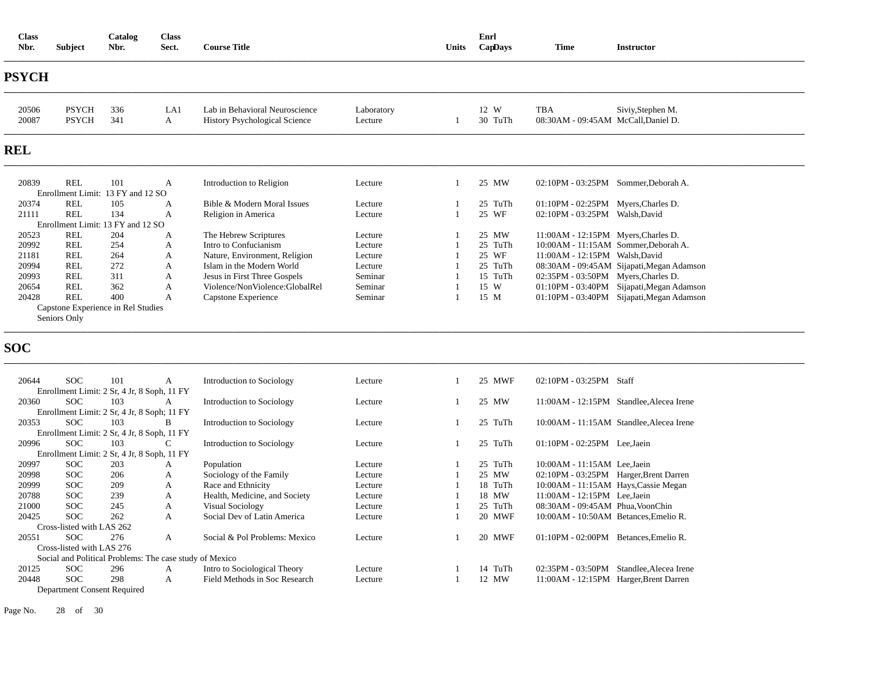| <b>Class</b><br>Nbr. | <b>Subject</b>               | Catalog<br>Nbr.                                         | <b>Class</b><br>Sect. | <b>Course Title</b>                                                    |                       | Units          | Enrl<br>CapDays | <b>Time</b>                                       | <b>Instructor</b>                         |
|----------------------|------------------------------|---------------------------------------------------------|-----------------------|------------------------------------------------------------------------|-----------------------|----------------|-----------------|---------------------------------------------------|-------------------------------------------|
| PSYCH                |                              |                                                         |                       |                                                                        |                       |                |                 |                                                   |                                           |
| 20506<br>20087       | <b>PSYCH</b><br><b>PSYCH</b> | 336<br>341                                              | LA1<br>$\mathbf{A}$   | Lab in Behavioral Neuroscience<br><b>History Psychological Science</b> | Laboratory<br>Lecture | -1             | 12 W<br>30 TuTh | <b>TBA</b><br>08:30AM - 09:45AM McCall, Daniel D. | Siviy, Stephen M.                         |
| REL                  |                              |                                                         |                       |                                                                        |                       |                |                 |                                                   |                                           |
| 20839                | <b>REL</b>                   | 101                                                     | A                     | Introduction to Religion                                               | Lecture               | $\mathbf{1}$   | 25 MW           | 02:10PM - 03:25PM Sommer.Deborah A.               |                                           |
|                      |                              | Enrollment Limit: 13 FY and 12 SO                       |                       |                                                                        |                       |                |                 |                                                   |                                           |
| 20374                | <b>REL</b>                   | 105                                                     | A                     | Bible & Modern Moral Issues                                            | Lecture               | $\overline{1}$ | 25 TuTh         | 01:10PM - 02:25PM Myers, Charles D.               |                                           |
| 21111                | <b>REL</b>                   | 134                                                     | A                     | Religion in America                                                    | Lecture               | -1             | 25 WF           | 02:10PM - 03:25PM Walsh, David                    |                                           |
|                      |                              | Enrollment Limit: 13 FY and 12 SO                       |                       |                                                                        |                       |                |                 |                                                   |                                           |
| 20523                | <b>REL</b>                   | 204                                                     | A                     | The Hebrew Scriptures                                                  | Lecture               | $\overline{1}$ | 25 MW           | 11:00AM - 12:15PM Myers, Charles D.               |                                           |
| 20992                | <b>REL</b>                   | 254                                                     | A                     | Intro to Confucianism                                                  | Lecture               | -1             | 25 TuTh         | 10:00AM - 11:15AM Sommer, Deborah A.              |                                           |
| 21181                | <b>REL</b>                   | 264                                                     | A                     | Nature, Environment, Religion                                          | Lecture               |                | 25 WF           | 11:00AM - 12:15PM Walsh, David                    |                                           |
| 20994                | <b>REL</b>                   | 272                                                     | A                     | Islam in the Modern World                                              | Lecture               | -1             | 25 TuTh         |                                                   | 08:30AM - 09:45AM Sijapati, Megan Adamson |
| 20993                | <b>REL</b>                   | 311                                                     | $\mathbf{A}$          | Jesus in First Three Gospels                                           | Seminar               | $\overline{1}$ | 15 TuTh         | 02:35PM - 03:50PM Myers, Charles D.               |                                           |
| 20654                | <b>REL</b>                   | 362                                                     | A                     | Violence/NonViolence:GlobalRel                                         | Seminar               | $\overline{1}$ | 15 W            |                                                   | 01:10PM - 03:40PM Sijapati, Megan Adamson |
| 20428                | <b>REL</b>                   | 400                                                     | $\mathbf{A}$          | Capstone Experience                                                    | Seminar               | $\overline{1}$ | 15 M            |                                                   | 01:10PM - 03:40PM Sijapati, Megan Adamson |
|                      |                              | Capstone Experience in Rel Studies                      |                       |                                                                        |                       |                |                 |                                                   |                                           |
|                      | Seniors Only                 |                                                         |                       |                                                                        |                       |                |                 |                                                   |                                           |
| SOC                  |                              |                                                         |                       |                                                                        |                       |                |                 |                                                   |                                           |
|                      |                              |                                                         |                       |                                                                        |                       |                |                 |                                                   |                                           |
| 20644                | <b>SOC</b>                   | 101<br>Enrollment Limit: 2 Sr, 4 Jr, 8 Soph, 11 FY      | A                     | Introduction to Sociology                                              | Lecture               | 1              | 25 MWF          | 02:10PM - 03:25PM Staff                           |                                           |
|                      | <b>SOC</b>                   | 103                                                     |                       |                                                                        |                       | 1              |                 |                                                   |                                           |
| 20360                |                              | Enrollment Limit: 2 Sr, 4 Jr, 8 Soph; 11 FY             | A                     | Introduction to Sociology                                              | Lecture               |                | 25 MW           |                                                   | 11:00AM - 12:15PM Standlee, Alecea Irene  |
| 20353                | <b>SOC</b>                   | 103                                                     | B                     | Introduction to Sociology                                              | Lecture               | 1              | 25 TuTh         |                                                   | 10:00AM - 11:15AM Standlee, Alecea Irene  |
|                      |                              | Enrollment Limit: 2 Sr, 4 Jr, 8 Soph, 11 FY             |                       |                                                                        |                       |                |                 |                                                   |                                           |
| 20996                | <b>SOC</b>                   | 103                                                     | $\mathsf{C}$          | Introduction to Sociology                                              | Lecture               | 1              | 25 TuTh         | 01:10PM - 02:25PM Lee, Jaein                      |                                           |
|                      |                              | Enrollment Limit: 2 Sr, 4 Jr, 8 Soph, 11 FY             |                       |                                                                        |                       |                |                 |                                                   |                                           |
| 20997                | <b>SOC</b>                   | 203                                                     | $\mathbf{A}$          | Population                                                             | Lecture               | $\overline{1}$ | 25 TuTh         | 10:00AM - 11:15AM Lee, Jaein                      |                                           |
| 20998                | <b>SOC</b>                   | 206                                                     | A                     | Sociology of the Family                                                | Lecture               | $\overline{1}$ | 25 MW           | 02:10PM - 03:25PM Harger, Brent Darren            |                                           |
| 20999                | <b>SOC</b>                   | 209                                                     | A                     | Race and Ethnicity                                                     | Lecture               | $\overline{1}$ | 18 TuTh         | 10:00AM - 11:15AM Hays, Cassie Megan              |                                           |
| 20788                | <b>SOC</b>                   | 239                                                     | A                     | Health, Medicine, and Society                                          | Lecture               | $\overline{1}$ | 18 MW           | 11:00AM - 12:15PM Lee, Jaein                      |                                           |
| 21000                | <b>SOC</b>                   | 245                                                     |                       | <b>Visual Sociology</b>                                                | Lecture               | $\overline{1}$ | 25 TuTh         | 08:30AM - 09:45AM Phua, VoonChin                  |                                           |
| 20425                | <b>SOC</b>                   | 262                                                     | A<br>A                | Social Dev of Latin America                                            | Lecture               | $\overline{1}$ | <b>20 MWF</b>   | 10:00AM - 10:50AM Betances, Emelio R.             |                                           |
|                      | Cross-listed with LAS 262    |                                                         |                       |                                                                        |                       |                |                 |                                                   |                                           |
| 20551                | <b>SOC</b>                   | 276                                                     | $\mathbf{A}$          | Social & Pol Problems: Mexico                                          | Lecture               | $\overline{1}$ | 20 MWF          | 01:10PM - 02:00PM Betances, Emelio R.             |                                           |
|                      | Cross-listed with LAS 276    |                                                         |                       |                                                                        |                       |                |                 |                                                   |                                           |
|                      |                              | Social and Political Problems: The case study of Mexico |                       |                                                                        |                       |                |                 |                                                   |                                           |
| 20125                | <b>SOC</b>                   | 296                                                     | A                     | Intro to Sociological Theory                                           | Lecture               |                | 14 TuTh         |                                                   | 02:35PM - 03:50PM Standlee, Alecea Irene  |
| 20448                | <b>SOC</b>                   | 298                                                     | $\mathbf{A}$          | Field Methods in Soc Research                                          | Lecture               | $\overline{1}$ | 12 MW           | 11:00AM - 12:15PM Harger, Brent Darren            |                                           |
|                      | Department Consent Required  |                                                         |                       |                                                                        |                       |                |                 |                                                   |                                           |
|                      |                              |                                                         |                       |                                                                        |                       |                |                 |                                                   |                                           |

Page No. 28 of 30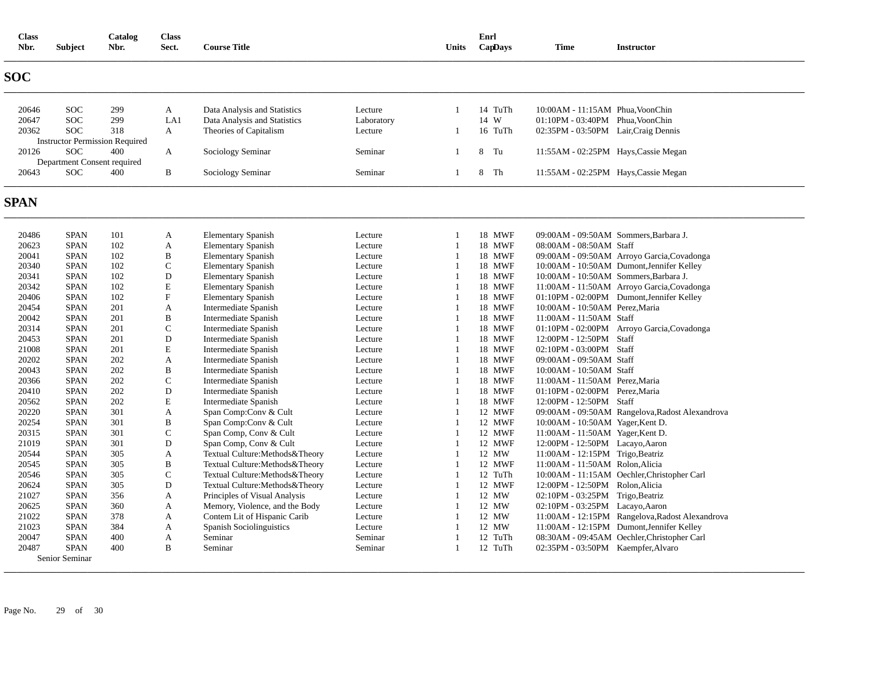| <b>Class</b><br>Nbr. | <b>Subject</b>              | Catalog<br>Nbr.                       | <b>Class</b><br>Sect. | <b>Course Title</b>               |            | <b>Units</b>   | Enrl | CapDays | <b>Time</b>                           | <b>Instructor</b>                               |
|----------------------|-----------------------------|---------------------------------------|-----------------------|-----------------------------------|------------|----------------|------|---------|---------------------------------------|-------------------------------------------------|
| <b>SOC</b>           |                             |                                       |                       |                                   |            |                |      |         |                                       |                                                 |
| 20646                | <b>SOC</b>                  | 299                                   | A                     | Data Analysis and Statistics      | Lecture    | 1              |      | 14 TuTh | 10:00AM - 11:15AM Phua, VoonChin      |                                                 |
| 20647                | <b>SOC</b>                  | 299                                   | LA <sub>1</sub>       | Data Analysis and Statistics      | Laboratory |                |      | 14 W    | 01:10PM - 03:40PM Phua, VoonChin      |                                                 |
| 20362                | <b>SOC</b>                  | 318                                   | A                     | Theories of Capitalism            | Lecture    | -1             |      | 16 TuTh | 02:35PM - 03:50PM Lair, Craig Dennis  |                                                 |
|                      |                             | <b>Instructor Permission Required</b> |                       |                                   |            |                |      |         |                                       |                                                 |
| 20126                | <b>SOC</b>                  | 400                                   | A                     | Sociology Seminar                 | Seminar    | 1              | 8    | Tu      | 11:55AM - 02:25PM Hays, Cassie Megan  |                                                 |
|                      | Department Consent required |                                       |                       |                                   |            |                |      |         |                                       |                                                 |
| 20643                | <b>SOC</b>                  | 400                                   | B                     | Sociology Seminar                 | Seminar    | 1              | 8    | Th      | 11:55AM - 02:25PM Hays, Cassie Megan  |                                                 |
| <b>SPAN</b>          |                             |                                       |                       |                                   |            |                |      |         |                                       |                                                 |
| 20486                | <b>SPAN</b>                 | 101                                   | A                     | <b>Elementary Spanish</b>         | Lecture    | 1              |      | 18 MWF  | 09:00AM - 09:50AM Sommers, Barbara J. |                                                 |
| 20623                | <b>SPAN</b>                 | 102                                   | A                     | <b>Elementary Spanish</b>         | Lecture    | $\mathbf{1}$   |      | 18 MWF  | 08:00AM - 08:50AM Staff               |                                                 |
| 20041                | <b>SPAN</b>                 | 102                                   | B                     | <b>Elementary Spanish</b>         | Lecture    | $\mathbf{1}$   |      | 18 MWF  |                                       | 09:00AM - 09:50AM Arroyo Garcia, Covadonga      |
| 20340                | <b>SPAN</b>                 | 102                                   | C                     | <b>Elementary Spanish</b>         | Lecture    | 1              |      | 18 MWF  |                                       | 10:00AM - 10:50AM Dumont, Jennifer Kelley       |
| 20341                | <b>SPAN</b>                 | 102                                   | D                     | <b>Elementary Spanish</b>         | Lecture    | 1              |      | 18 MWF  | 10:00AM - 10:50AM Sommers, Barbara J. |                                                 |
| 20342                | <b>SPAN</b>                 | 102                                   | $\mathbf E$           | <b>Elementary Spanish</b>         | Lecture    | $\mathbf{1}$   |      | 18 MWF  |                                       | 11:00AM - 11:50AM Arroyo Garcia, Covadonga      |
| 20406                | <b>SPAN</b>                 | 102                                   | $_{\rm F}$            | <b>Elementary Spanish</b>         | Lecture    | 1              |      | 18 MWF  |                                       | 01:10PM - 02:00PM Dumont, Jennifer Kelley       |
| 20454                | <b>SPAN</b>                 | 201                                   | A                     | Intermediate Spanish              | Lecture    | $\mathbf{1}$   |      | 18 MWF  | 10:00AM - 10:50AM Perez, Maria        |                                                 |
| 20042                | <b>SPAN</b>                 | 201                                   | B                     | Intermediate Spanish              | Lecture    | $\mathbf{1}$   |      | 18 MWF  | 11:00AM - 11:50AM Staff               |                                                 |
| 20314                | <b>SPAN</b>                 | 201                                   | $\mathsf{C}$          | Intermediate Spanish              | Lecture    | $\overline{1}$ |      | 18 MWF  |                                       | 01:10PM - 02:00PM Arroyo Garcia, Covadonga      |
| 20453                | <b>SPAN</b>                 | 201                                   | ${\rm D}$             | Intermediate Spanish              | Lecture    | $\mathbf{1}$   |      | 18 MWF  | 12:00PM - 12:50PM Staff               |                                                 |
| 21008                | <b>SPAN</b>                 | 201                                   | E                     | <b>Intermediate Spanish</b>       | Lecture    | $\mathbf{1}$   |      | 18 MWF  | 02:10PM - 03:00PM Staff               |                                                 |
| 20202                | <b>SPAN</b>                 | 202                                   | A                     | <b>Intermediate Spanish</b>       | Lecture    | $\overline{1}$ |      | 18 MWF  | 09:00AM - 09:50AM Staff               |                                                 |
| 20043                | <b>SPAN</b>                 | 202                                   | B                     | Intermediate Spanish              | Lecture    | $\mathbf{1}$   |      | 18 MWF  | 10:00AM - 10:50AM Staff               |                                                 |
| 20366                | <b>SPAN</b>                 | 202                                   | C                     | Intermediate Spanish              | Lecture    | $\mathbf{1}$   |      | 18 MWF  | 11:00AM - 11:50AM Perez, Maria        |                                                 |
| 20410                | <b>SPAN</b>                 | 202                                   | D                     | Intermediate Spanish              | Lecture    | $\mathbf{1}$   |      | 18 MWF  | 01:10PM - 02:00PM Perez, Maria        |                                                 |
| 20562                | <b>SPAN</b>                 | 202                                   | $\mathbf E$           | Intermediate Spanish              | Lecture    | $\mathbf{1}$   |      | 18 MWF  | 12:00PM - 12:50PM Staff               |                                                 |
| 20220                | <b>SPAN</b>                 | 301                                   | A                     | Span Comp:Conv & Cult             | Lecture    | $\mathbf{1}$   |      | 12 MWF  |                                       | 09:00AM - 09:50AM Rangelova, Radost Alexandrova |
| 20254                | <b>SPAN</b>                 | 301                                   | B                     | Span Comp:Conv & Cult             | Lecture    | 1              |      | 12 MWF  | 10:00AM - 10:50AM Yager, Kent D.      |                                                 |
| 20315                | <b>SPAN</b>                 | 301                                   | $\mathsf{C}$          | Span Comp, Conv & Cult            | Lecture    | $\mathbf{1}$   |      | 12 MWF  | 11:00AM - 11:50AM Yager, Kent D.      |                                                 |
| 21019                | <b>SPAN</b>                 | 301                                   | D                     | Span Comp, Conv & Cult            | Lecture    | $\mathbf{1}$   |      | 12 MWF  | 12:00PM - 12:50PM Lacayo, Aaron       |                                                 |
| 20544                | <b>SPAN</b>                 | 305                                   | A                     | Textual Culture: Methods & Theory | Lecture    | 1              |      | 12 MW   | 11:00AM - 12:15PM Trigo, Beatriz      |                                                 |
| 20545                | <b>SPAN</b>                 | 305                                   | B                     | Textual Culture: Methods & Theory | Lecture    | $\mathbf{1}$   |      | 12 MWF  | 11:00AM - 11:50AM Rolon, Alicia       |                                                 |
| 20546                | <b>SPAN</b>                 | 305                                   | $\mathsf{C}$          | Textual Culture: Methods & Theory | Lecture    | -1             |      | 12 TuTh |                                       | 10:00AM - 11:15AM Oechler, Christopher Carl     |
| 20624                | <b>SPAN</b>                 | 305                                   | D                     | Textual Culture: Methods & Theory | Lecture    | $\mathbf{1}$   |      | 12 MWF  | 12:00PM - 12:50PM Rolon, Alicia       |                                                 |
| 21027                | <b>SPAN</b>                 | 356                                   | $\mathbf{A}$          | Principles of Visual Analysis     | Lecture    | $\mathbf{1}$   |      | 12 MW   | 02:10PM - 03:25PM Trigo, Beatriz      |                                                 |
| 20625                | <b>SPAN</b>                 | 360                                   | A                     | Memory, Violence, and the Body    | Lecture    | $\overline{1}$ |      | 12 MW   | 02:10PM - 03:25PM Lacayo, Aaron       |                                                 |
| 21022                | <b>SPAN</b>                 | 378                                   | A                     | Contem Lit of Hispanic Carib      | Lecture    | $\overline{1}$ |      | 12 MW   |                                       | 11:00AM - 12:15PM Rangelova, Radost Alexandrova |
| 21023                | <b>SPAN</b>                 | 384                                   | A                     | Spanish Sociolinguistics          | Lecture    | $\mathbf{1}$   |      | 12 MW   |                                       | 11:00AM - 12:15PM Dumont, Jennifer Kelley       |
| 20047                | <b>SPAN</b>                 | 400                                   | A                     | Seminar                           | Seminar    | 1              |      | 12 TuTh |                                       | 08:30AM - 09:45AM Oechler, Christopher Carl     |
| 20487                | <b>SPAN</b>                 | 400                                   | B                     | Seminar                           | Seminar    | $\mathbf{1}$   |      | 12 TuTh | 02:35PM - 03:50PM Kaempfer, Alvaro    |                                                 |
|                      | Senior Seminar              |                                       |                       |                                   |            |                |      |         |                                       |                                                 |